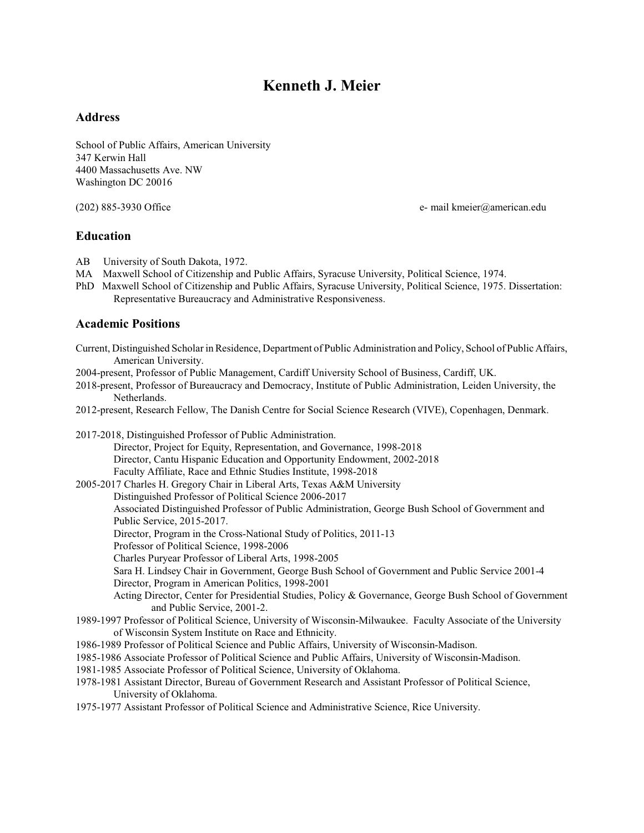# **Kenneth J. Meier**

# **Address**

School of Public Affairs, American University 347 Kerwin Hall 4400 Massachusetts Ave. NW Washington DC 20016

(202) 885-3930 Office e- mail kmeier@american.edu

# **Education**

- AB University of South Dakota, 1972.
- MA Maxwell School of Citizenship and Public Affairs, Syracuse University, Political Science, 1974.
- PhD Maxwell School of Citizenship and Public Affairs, Syracuse University, Political Science, 1975. Dissertation: Representative Bureaucracy and Administrative Responsiveness.

# **Academic Positions**

| Current, Distinguished Scholar in Residence, Department of Public Administration and Policy, School of Public Affairs,<br>American University. |
|------------------------------------------------------------------------------------------------------------------------------------------------|
| 2004-present, Professor of Public Management, Cardiff University School of Business, Cardiff, UK.                                              |
| 2018-present, Professor of Bureaucracy and Democracy, Institute of Public Administration, Leiden University, the<br>Netherlands.               |
|                                                                                                                                                |
| 2012-present, Research Fellow, The Danish Centre for Social Science Research (VIVE), Copenhagen, Denmark.                                      |
| 2017-2018, Distinguished Professor of Public Administration.                                                                                   |
| Director, Project for Equity, Representation, and Governance, 1998-2018                                                                        |
| Director, Cantu Hispanic Education and Opportunity Endowment, 2002-2018                                                                        |
| Faculty Affiliate, Race and Ethnic Studies Institute, 1998-2018                                                                                |
| 2005-2017 Charles H. Gregory Chair in Liberal Arts, Texas A&M University                                                                       |
| Distinguished Professor of Political Science 2006-2017                                                                                         |
| Associated Distinguished Professor of Public Administration, George Bush School of Government and                                              |
| Public Service, 2015-2017.                                                                                                                     |
| Director, Program in the Cross-National Study of Politics, 2011-13                                                                             |
| Professor of Political Science, 1998-2006                                                                                                      |
| Charles Puryear Professor of Liberal Arts, 1998-2005                                                                                           |
| Sara H. Lindsey Chair in Government, George Bush School of Government and Public Service 2001-4                                                |
| Director, Program in American Politics, 1998-2001                                                                                              |
| Acting Director, Center for Presidential Studies, Policy & Governance, George Bush School of Government                                        |
| and Public Service, 2001-2.                                                                                                                    |
| 1989-1997 Professor of Political Science, University of Wisconsin-Milwaukee. Faculty Associate of the University                               |
| of Wisconsin System Institute on Race and Ethnicity.                                                                                           |
| 1986-1989 Professor of Political Science and Public Affairs, University of Wisconsin-Madison.                                                  |
| 1985-1986 Associate Professor of Political Science and Public Affairs, University of Wisconsin-Madison.                                        |
| 1981-1985 Associate Professor of Political Science, University of Oklahoma.                                                                    |
| 1978-1981 Assistant Director, Bureau of Government Research and Assistant Professor of Political Science,                                      |
| University of Oklahoma.                                                                                                                        |
| 1975-1977 Assistant Professor of Political Science and Administrative Science, Rice University.                                                |
|                                                                                                                                                |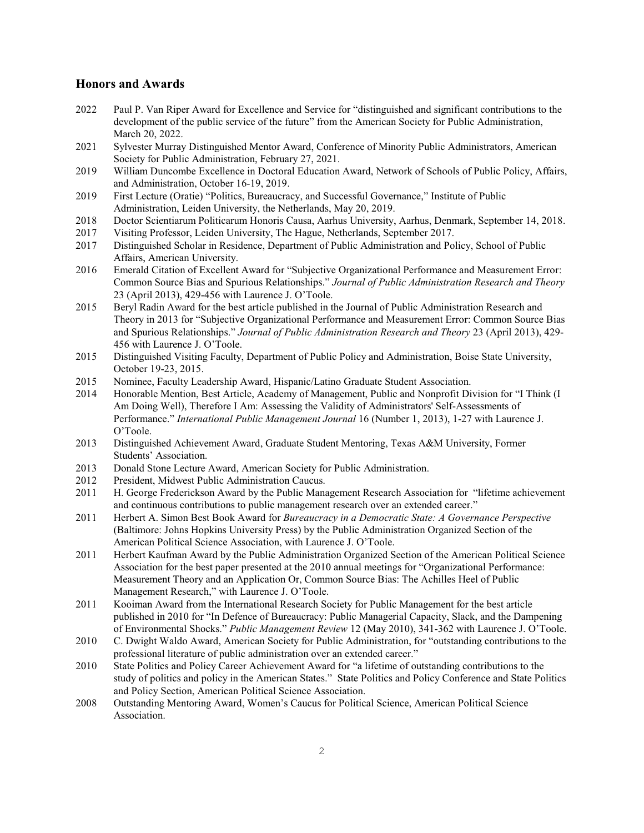### **Honors and Awards**

- 2022 Paul P. Van Riper Award for Excellence and Service for "distinguished and significant contributions to the development of the public service of the future" from the American Society for Public Administration, March 20, 2022.
- 2021 Sylvester Murray Distinguished Mentor Award, Conference of Minority Public Administrators, American Society for Public Administration, February 27, 2021.
- 2019 William Duncombe Excellence in Doctoral Education Award, Network of Schools of Public Policy, Affairs, and Administration, October 16-19, 2019.
- 2019 First Lecture (Oratie) "Politics, Bureaucracy, and Successful Governance," Institute of Public Administration, Leiden University, the Netherlands, May 20, 2019.
- 2018 Doctor Scientiarum Politicarum Honoris Causa, Aarhus University, Aarhus, Denmark, September 14, 2018.
- 2017 Visiting Professor, Leiden University, The Hague, Netherlands, September 2017.
- 2017 Distinguished Scholar in Residence, Department of Public Administration and Policy, School of Public Affairs, American University.
- 2016 Emerald Citation of Excellent Award for "Subjective Organizational Performance and Measurement Error: Common Source Bias and Spurious Relationships." *Journal of Public Administration Research and Theory* 23 (April 2013), 429-456 with Laurence J. O'Toole.
- 2015 Beryl Radin Award for the best article published in the Journal of Public Administration Research and Theory in 2013 for "Subjective Organizational Performance and Measurement Error: Common Source Bias and Spurious Relationships." *Journal of Public Administration Research and Theory* 23 (April 2013), 429- 456 with Laurence J. O'Toole.
- 2015 Distinguished Visiting Faculty, Department of Public Policy and Administration, Boise State University, October 19-23, 2015.
- 2015 Nominee, Faculty Leadership Award, Hispanic/Latino Graduate Student Association.
- 2014 Honorable Mention, Best Article, Academy of Management, Public and Nonprofit Division for "I Think (I Am Doing Well), Therefore I Am: Assessing the Validity of Administrators' Self-Assessments of Performance." *International Public Management Journal* 16 (Number 1, 2013), 1-27 with Laurence J. O'Toole.
- 2013 Distinguished Achievement Award, Graduate Student Mentoring, Texas A&M University, Former Students' Association.
- 2013 Donald Stone Lecture Award, American Society for Public Administration.
- 2012 President, Midwest Public Administration Caucus.
- 2011 H. George Frederickson Award by the Public Management Research Association for "lifetime achievement and continuous contributions to public management research over an extended career."
- 2011 Herbert A. Simon Best Book Award for *Bureaucracy in a Democratic State: A Governance Perspective* (Baltimore: Johns Hopkins University Press) by the Public Administration Organized Section of the American Political Science Association, with Laurence J. O'Toole.
- 2011 Herbert Kaufman Award by the Public Administration Organized Section of the American Political Science Association for the best paper presented at the 2010 annual meetings for "Organizational Performance: Measurement Theory and an Application Or, Common Source Bias: The Achilles Heel of Public Management Research," with Laurence J. O'Toole.
- 2011 Kooiman Award from the International Research Society for Public Management for the best article published in 2010 for "In Defence of Bureaucracy: Public Managerial Capacity, Slack, and the Dampening of Environmental Shocks." *Public Management Review* 12 (May 2010), 341-362 with Laurence J. O'Toole.
- 2010 C. Dwight Waldo Award, American Society for Public Administration, for "outstanding contributions to the professional literature of public administration over an extended career."
- 2010 State Politics and Policy Career Achievement Award for "a lifetime of outstanding contributions to the study of politics and policy in the American States." State Politics and Policy Conference and State Politics and Policy Section, American Political Science Association.
- 2008 Outstanding Mentoring Award, Women's Caucus for Political Science, American Political Science Association.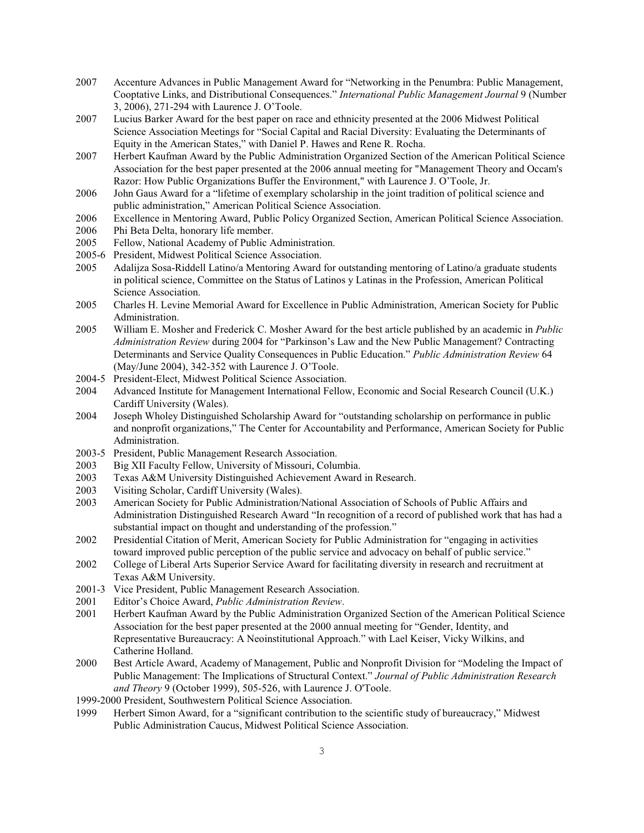- 2007 Accenture Advances in Public Management Award for "Networking in the Penumbra: Public Management, Cooptative Links, and Distributional Consequences." *International Public Management Journal* 9 (Number 3, 2006), 271-294 with Laurence J. O'Toole.
- 2007 Lucius Barker Award for the best paper on race and ethnicity presented at the 2006 Midwest Political Science Association Meetings for "Social Capital and Racial Diversity: Evaluating the Determinants of Equity in the American States," with Daniel P. Hawes and Rene R. Rocha.
- 2007 Herbert Kaufman Award by the Public Administration Organized Section of the American Political Science Association for the best paper presented at the 2006 annual meeting for "Management Theory and Occam's Razor: How Public Organizations Buffer the Environment," with Laurence J. O'Toole, Jr.
- 2006 John Gaus Award for a "lifetime of exemplary scholarship in the joint tradition of political science and public administration," American Political Science Association.
- 2006 Excellence in Mentoring Award, Public Policy Organized Section, American Political Science Association.
- 2006 Phi Beta Delta, honorary life member.
- 2005 Fellow, National Academy of Public Administration.
- 2005-6 President, Midwest Political Science Association.
- 2005 Adalijza Sosa-Riddell Latino/a Mentoring Award for outstanding mentoring of Latino/a graduate students in political science, Committee on the Status of Latinos y Latinas in the Profession, American Political Science Association.
- 2005 Charles H. Levine Memorial Award for Excellence in Public Administration, American Society for Public Administration.
- 2005 William E. Mosher and Frederick C. Mosher Award for the best article published by an academic in *Public Administration Review* during 2004 for "Parkinson's Law and the New Public Management? Contracting Determinants and Service Quality Consequences in Public Education." *Public Administration Review* 64 (May/June 2004), 342-352 with Laurence J. O'Toole.
- 2004-5 President-Elect, Midwest Political Science Association.
- 2004 Advanced Institute for Management International Fellow, Economic and Social Research Council (U.K.) Cardiff University (Wales).
- 2004 Joseph Wholey Distinguished Scholarship Award for "outstanding scholarship on performance in public and nonprofit organizations," The Center for Accountability and Performance, American Society for Public Administration.
- 2003-5 President, Public Management Research Association.
- 2003 Big XII Faculty Fellow, University of Missouri, Columbia.
- 2003 Texas A&M University Distinguished Achievement Award in Research.
- 2003 Visiting Scholar, Cardiff University (Wales).
- 2003 American Society for Public Administration/National Association of Schools of Public Affairs and Administration Distinguished Research Award "In recognition of a record of published work that has had a substantial impact on thought and understanding of the profession."
- 2002 Presidential Citation of Merit, American Society for Public Administration for "engaging in activities toward improved public perception of the public service and advocacy on behalf of public service."
- 2002 College of Liberal Arts Superior Service Award for facilitating diversity in research and recruitment at Texas A&M University.
- 2001-3 Vice President, Public Management Research Association.
- 2001 Editor's Choice Award, *Public Administration Review*.
- 2001 Herbert Kaufman Award by the Public Administration Organized Section of the American Political Science Association for the best paper presented at the 2000 annual meeting for "Gender, Identity, and Representative Bureaucracy: A Neoinstitutional Approach." with Lael Keiser, Vicky Wilkins, and Catherine Holland.
- 2000 Best Article Award, Academy of Management, Public and Nonprofit Division for "Modeling the Impact of Public Management: The Implications of Structural Context." *Journal of Public Administration Research and Theory* 9 (October 1999), 505-526, with Laurence J. O'Toole.
- 1999-2000 President, Southwestern Political Science Association.
- 1999 Herbert Simon Award, for a "significant contribution to the scientific study of bureaucracy," Midwest Public Administration Caucus, Midwest Political Science Association.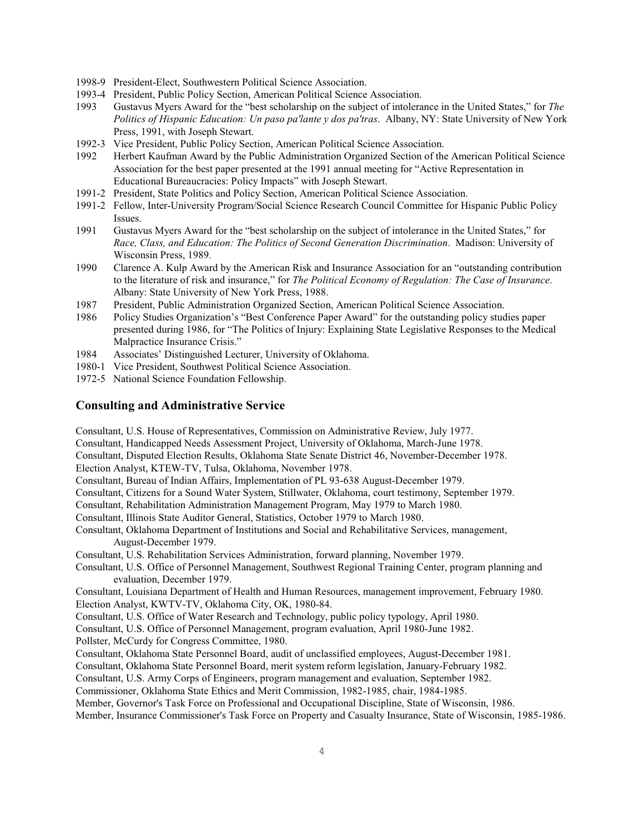- 1998-9 President-Elect, Southwestern Political Science Association.
- 1993-4 President, Public Policy Section, American Political Science Association.
- 1993 Gustavus Myers Award for the "best scholarship on the subject of intolerance in the United States," for *The Politics of Hispanic Education: Un paso pa'lante y dos pa'tras*. Albany, NY: State University of New York Press, 1991, with Joseph Stewart.
- 1992-3 Vice President, Public Policy Section, American Political Science Association.
- 1992 Herbert Kaufman Award by the Public Administration Organized Section of the American Political Science Association for the best paper presented at the 1991 annual meeting for "Active Representation in Educational Bureaucracies: Policy Impacts" with Joseph Stewart.
- 1991-2 President, State Politics and Policy Section, American Political Science Association.
- 1991-2 Fellow, Inter-University Program/Social Science Research Council Committee for Hispanic Public Policy Issues.
- 1991 Gustavus Myers Award for the "best scholarship on the subject of intolerance in the United States," for *Race, Class, and Education: The Politics of Second Generation Discrimination*. Madison: University of Wisconsin Press, 1989.
- 1990 Clarence A. Kulp Award by the American Risk and Insurance Association for an "outstanding contribution to the literature of risk and insurance," for *The Political Economy of Regulation: The Case of Insurance*. Albany: State University of New York Press, 1988.
- 1987 President, Public Administration Organized Section, American Political Science Association.
- 1986 Policy Studies Organization's "Best Conference Paper Award" for the outstanding policy studies paper presented during 1986, for "The Politics of Injury: Explaining State Legislative Responses to the Medical Malpractice Insurance Crisis."
- 1984 Associates' Distinguished Lecturer, University of Oklahoma.
- 1980-1 Vice President, Southwest Political Science Association.
- 1972-5 National Science Foundation Fellowship.

### **Consulting and Administrative Service**

Consultant, U.S. House of Representatives, Commission on Administrative Review, July 1977.

- Consultant, Handicapped Needs Assessment Project, University of Oklahoma, March-June 1978.
- Consultant, Disputed Election Results, Oklahoma State Senate District 46, November-December 1978.

Election Analyst, KTEW-TV, Tulsa, Oklahoma, November 1978.

Consultant, Bureau of Indian Affairs, Implementation of PL 93-638 August-December 1979.

- Consultant, Citizens for a Sound Water System, Stillwater, Oklahoma, court testimony, September 1979.
- Consultant, Rehabilitation Administration Management Program, May 1979 to March 1980.
- Consultant, Illinois State Auditor General, Statistics, October 1979 to March 1980.
- Consultant, Oklahoma Department of Institutions and Social and Rehabilitative Services, management, August-December 1979.
- Consultant, U.S. Rehabilitation Services Administration, forward planning, November 1979.
- Consultant, U.S. Office of Personnel Management, Southwest Regional Training Center, program planning and evaluation, December 1979.

Consultant, Louisiana Department of Health and Human Resources, management improvement, February 1980. Election Analyst, KWTV-TV, Oklahoma City, OK, 1980-84.

Consultant, U.S. Office of Water Research and Technology, public policy typology, April 1980.

Consultant, U.S. Office of Personnel Management, program evaluation, April 1980-June 1982.

Pollster, McCurdy for Congress Committee, 1980.

- Consultant, Oklahoma State Personnel Board, audit of unclassified employees, August-December 1981.
- Consultant, Oklahoma State Personnel Board, merit system reform legislation, January-February 1982.

Consultant, U.S. Army Corps of Engineers, program management and evaluation, September 1982.

Commissioner, Oklahoma State Ethics and Merit Commission, 1982-1985, chair, 1984-1985.

Member, Governor's Task Force on Professional and Occupational Discipline, State of Wisconsin, 1986.

Member, Insurance Commissioner's Task Force on Property and Casualty Insurance, State of Wisconsin, 1985-1986.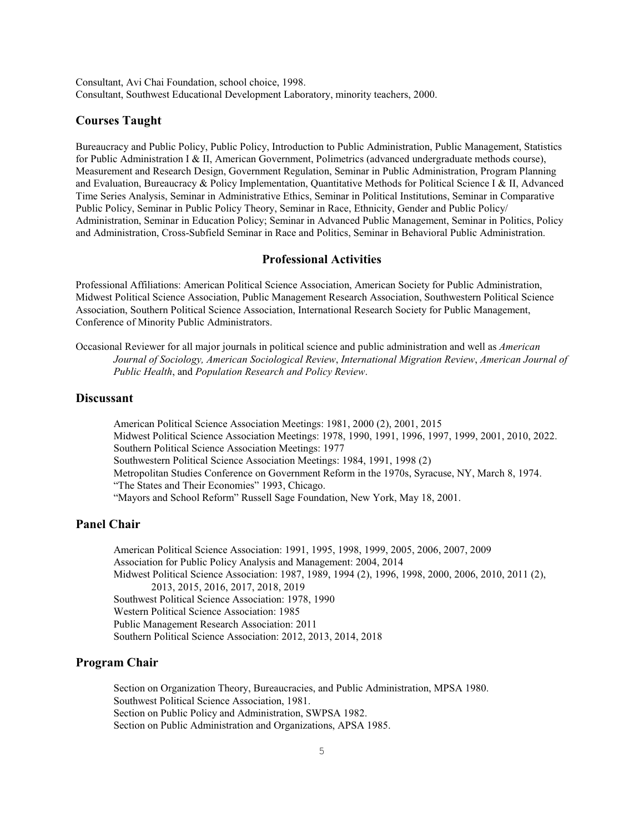Consultant, Avi Chai Foundation, school choice, 1998. Consultant, Southwest Educational Development Laboratory, minority teachers, 2000.

# **Courses Taught**

Bureaucracy and Public Policy, Public Policy, Introduction to Public Administration, Public Management, Statistics for Public Administration I & II, American Government, Polimetrics (advanced undergraduate methods course), Measurement and Research Design, Government Regulation, Seminar in Public Administration, Program Planning and Evaluation, Bureaucracy & Policy Implementation, Quantitative Methods for Political Science I & II, Advanced Time Series Analysis, Seminar in Administrative Ethics, Seminar in Political Institutions, Seminar in Comparative Public Policy, Seminar in Public Policy Theory, Seminar in Race, Ethnicity, Gender and Public Policy/ Administration, Seminar in Education Policy; Seminar in Advanced Public Management, Seminar in Politics, Policy and Administration, Cross-Subfield Seminar in Race and Politics, Seminar in Behavioral Public Administration.

# **Professional Activities**

Professional Affiliations: American Political Science Association, American Society for Public Administration, Midwest Political Science Association, Public Management Research Association, Southwestern Political Science Association, Southern Political Science Association, International Research Society for Public Management, Conference of Minority Public Administrators.

Occasional Reviewer for all major journals in political science and public administration and well as *American Journal of Sociology, American Sociological Review*, *International Migration Review*, *American Journal of Public Health*, and *Population Research and Policy Review*.

# **Discussant**

American Political Science Association Meetings: 1981, 2000 (2), 2001, 2015 Midwest Political Science Association Meetings: 1978, 1990, 1991, 1996, 1997, 1999, 2001, 2010, 2022. Southern Political Science Association Meetings: 1977 Southwestern Political Science Association Meetings: 1984, 1991, 1998 (2) Metropolitan Studies Conference on Government Reform in the 1970s, Syracuse, NY, March 8, 1974. "The States and Their Economies" 1993, Chicago. "Mayors and School Reform" Russell Sage Foundation, New York, May 18, 2001.

### **Panel Chair**

American Political Science Association: 1991, 1995, 1998, 1999, 2005, 2006, 2007, 2009 Association for Public Policy Analysis and Management: 2004, 2014 Midwest Political Science Association: 1987, 1989, 1994 (2), 1996, 1998, 2000, 2006, 2010, 2011 (2), 2013, 2015, 2016, 2017, 2018, 2019 Southwest Political Science Association: 1978, 1990 Western Political Science Association: 1985 Public Management Research Association: 2011 Southern Political Science Association: 2012, 2013, 2014, 2018

### **Program Chair**

Section on Organization Theory, Bureaucracies, and Public Administration, MPSA 1980. Southwest Political Science Association, 1981. Section on Public Policy and Administration, SWPSA 1982. Section on Public Administration and Organizations, APSA 1985.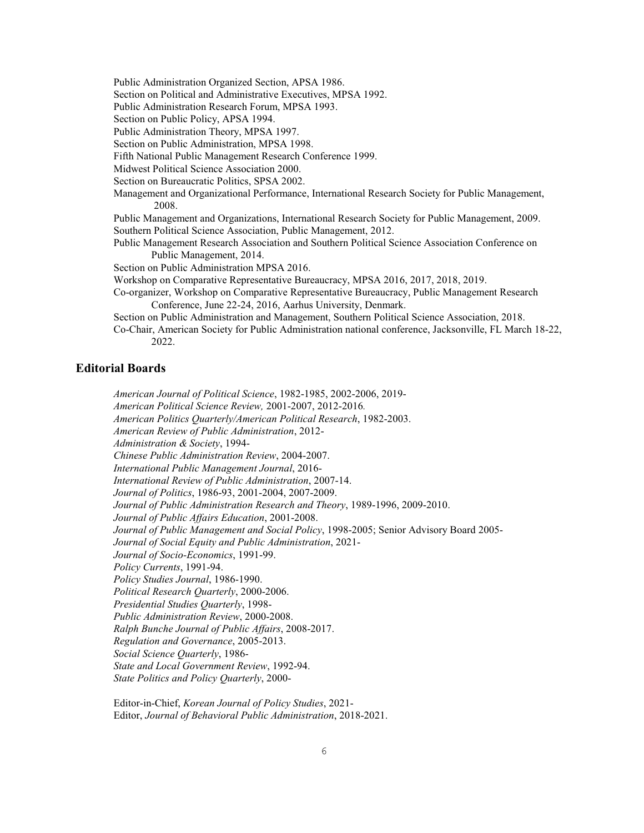Public Administration Organized Section, APSA 1986.

Section on Political and Administrative Executives, MPSA 1992.

Public Administration Research Forum, MPSA 1993.

Section on Public Policy, APSA 1994.

Public Administration Theory, MPSA 1997.

Section on Public Administration, MPSA 1998.

Fifth National Public Management Research Conference 1999.

Midwest Political Science Association 2000.

Section on Bureaucratic Politics, SPSA 2002.

Management and Organizational Performance, International Research Society for Public Management, 2008.

Public Management and Organizations, International Research Society for Public Management, 2009. Southern Political Science Association, Public Management, 2012.

Public Management Research Association and Southern Political Science Association Conference on Public Management, 2014.

Section on Public Administration MPSA 2016.

Workshop on Comparative Representative Bureaucracy, MPSA 2016, 2017, 2018, 2019.

Co-organizer, Workshop on Comparative Representative Bureaucracy, Public Management Research Conference, June 22-24, 2016, Aarhus University, Denmark.

Section on Public Administration and Management, Southern Political Science Association, 2018.

Co-Chair, American Society for Public Administration national conference, Jacksonville, FL March 18-22, 2022.

### **Editorial Boards**

*American Journal of Political Science*, 1982-1985, 2002-2006, 2019- *American Political Science Review,* 2001-2007, 2012-2016*. American Politics Quarterly/American Political Research*, 1982-2003. *American Review of Public Administration*, 2012- *Administration & Society*, 1994- *Chinese Public Administration Review*, 2004-2007. *International Public Management Journal*, 2016- *International Review of Public Administration*, 2007-14. *Journal of Politics*, 1986-93, 2001-2004, 2007-2009. *Journal of Public Administration Research and Theory*, 1989-1996, 2009-2010. *Journal of Public Affairs Education*, 2001-2008. *Journal of Public Management and Social Policy*, 1998-2005; Senior Advisory Board 2005- *Journal of Social Equity and Public Administration*, 2021- *Journal of Socio-Economics*, 1991-99. *Policy Currents*, 1991-94. *Policy Studies Journal*, 1986-1990. *Political Research Quarterly*, 2000-2006. *Presidential Studies Quarterly*, 1998- *Public Administration Review*, 2000-2008. *Ralph Bunche Journal of Public Affairs*, 2008-2017. *Regulation and Governance*, 2005-2013. *Social Science Quarterly*, 1986- *State and Local Government Review*, 1992-94. *State Politics and Policy Quarterly*, 2000-

Editor-in-Chief, *Korean Journal of Policy Studies*, 2021- Editor, *Journal of Behavioral Public Administration*, 2018-2021.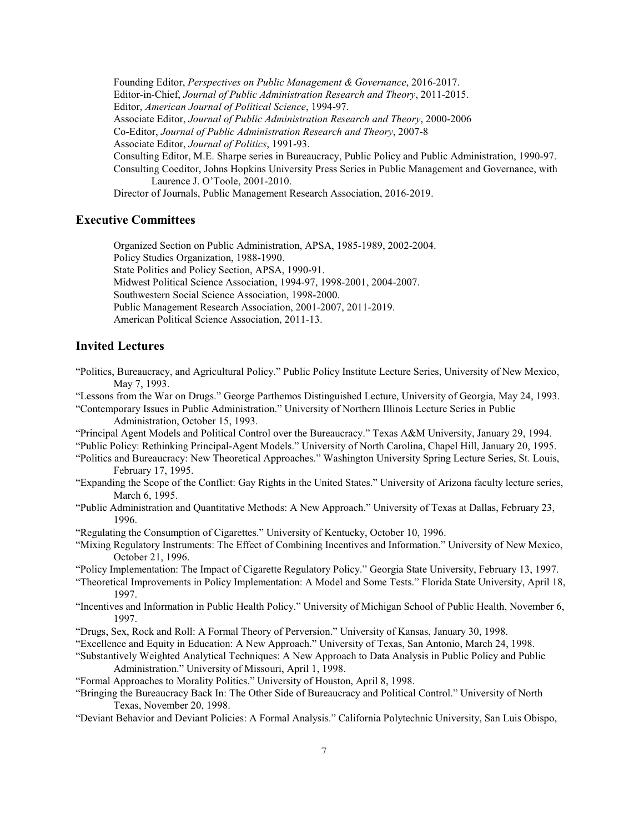Founding Editor, *Perspectives on Public Management & Governance*, 2016-2017. Editor-in-Chief, *Journal of Public Administration Research and Theory*, 2011-2015. Editor, *American Journal of Political Science*, 1994-97. Associate Editor, *Journal of Public Administration Research and Theory*, 2000-2006 Co-Editor, *Journal of Public Administration Research and Theory*, 2007-8 Associate Editor, *Journal of Politics*, 1991-93. Consulting Editor, M.E. Sharpe series in Bureaucracy, Public Policy and Public Administration, 1990-97. Consulting Coeditor, Johns Hopkins University Press Series in Public Management and Governance, with Laurence J. O'Toole, 2001-2010. Director of Journals, Public Management Research Association, 2016-2019.

### **Executive Committees**

Organized Section on Public Administration, APSA, 1985-1989, 2002-2004. Policy Studies Organization, 1988-1990. State Politics and Policy Section, APSA, 1990-91. Midwest Political Science Association, 1994-97, 1998-2001, 2004-2007. Southwestern Social Science Association, 1998-2000. Public Management Research Association, 2001-2007, 2011-2019. American Political Science Association, 2011-13.

# **Invited Lectures**

- "Politics, Bureaucracy, and Agricultural Policy." Public Policy Institute Lecture Series, University of New Mexico, May 7, 1993.
- "Lessons from the War on Drugs." George Parthemos Distinguished Lecture, University of Georgia, May 24, 1993.
- "Contemporary Issues in Public Administration." University of Northern Illinois Lecture Series in Public Administration, October 15, 1993.
- "Principal Agent Models and Political Control over the Bureaucracy." Texas A&M University, January 29, 1994.
- "Public Policy: Rethinking Principal-Agent Models." University of North Carolina, Chapel Hill, January 20, 1995.
- "Politics and Bureaucracy: New Theoretical Approaches." Washington University Spring Lecture Series, St. Louis, February 17, 1995.
- "Expanding the Scope of the Conflict: Gay Rights in the United States." University of Arizona faculty lecture series, March 6, 1995.
- "Public Administration and Quantitative Methods: A New Approach." University of Texas at Dallas, February 23, 1996.
- "Regulating the Consumption of Cigarettes." University of Kentucky, October 10, 1996.
- "Mixing Regulatory Instruments: The Effect of Combining Incentives and Information." University of New Mexico, October 21, 1996.
- "Policy Implementation: The Impact of Cigarette Regulatory Policy." Georgia State University, February 13, 1997.
- "Theoretical Improvements in Policy Implementation: A Model and Some Tests." Florida State University, April 18, 1997.
- "Incentives and Information in Public Health Policy." University of Michigan School of Public Health, November 6, 1997.
- "Drugs, Sex, Rock and Roll: A Formal Theory of Perversion." University of Kansas, January 30, 1998.
- "Excellence and Equity in Education: A New Approach." University of Texas, San Antonio, March 24, 1998.
- "Substantively Weighted Analytical Techniques: A New Approach to Data Analysis in Public Policy and Public Administration." University of Missouri, April 1, 1998.
- "Formal Approaches to Morality Politics." University of Houston, April 8, 1998.
- "Bringing the Bureaucracy Back In: The Other Side of Bureaucracy and Political Control." University of North Texas, November 20, 1998.
- "Deviant Behavior and Deviant Policies: A Formal Analysis." California Polytechnic University, San Luis Obispo,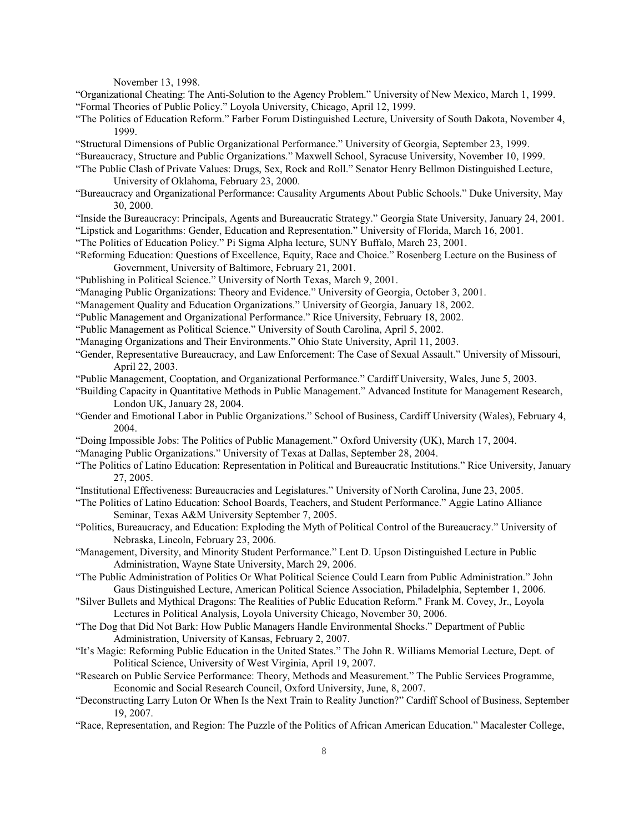November 13, 1998.

- "Organizational Cheating: The Anti-Solution to the Agency Problem." University of New Mexico, March 1, 1999. "Formal Theories of Public Policy." Loyola University, Chicago, April 12, 1999.
- "The Politics of Education Reform." Farber Forum Distinguished Lecture, University of South Dakota, November 4, 1999.
- "Structural Dimensions of Public Organizational Performance." University of Georgia, September 23, 1999.
- "Bureaucracy, Structure and Public Organizations." Maxwell School, Syracuse University, November 10, 1999.
- "The Public Clash of Private Values: Drugs, Sex, Rock and Roll." Senator Henry Bellmon Distinguished Lecture, University of Oklahoma, February 23, 2000.
- "Bureaucracy and Organizational Performance: Causality Arguments About Public Schools." Duke University, May 30, 2000.
- "Inside the Bureaucracy: Principals, Agents and Bureaucratic Strategy." Georgia State University, January 24, 2001.
- "Lipstick and Logarithms: Gender, Education and Representation." University of Florida, March 16, 2001.
- "The Politics of Education Policy." Pi Sigma Alpha lecture, SUNY Buffalo, March 23, 2001.
- "Reforming Education: Questions of Excellence, Equity, Race and Choice." Rosenberg Lecture on the Business of Government, University of Baltimore, February 21, 2001.
- "Publishing in Political Science." University of North Texas, March 9, 2001.
- "Managing Public Organizations: Theory and Evidence." University of Georgia, October 3, 2001.
- "Management Quality and Education Organizations." University of Georgia, January 18, 2002.
- "Public Management and Organizational Performance." Rice University, February 18, 2002.
- "Public Management as Political Science." University of South Carolina, April 5, 2002.
- "Managing Organizations and Their Environments." Ohio State University, April 11, 2003.
- "Gender, Representative Bureaucracy, and Law Enforcement: The Case of Sexual Assault." University of Missouri, April 22, 2003.
- "Public Management, Cooptation, and Organizational Performance." Cardiff University, Wales, June 5, 2003.
- "Building Capacity in Quantitative Methods in Public Management." Advanced Institute for Management Research, London UK, January 28, 2004.
- "Gender and Emotional Labor in Public Organizations." School of Business, Cardiff University (Wales), February 4, 2004.
- "Doing Impossible Jobs: The Politics of Public Management." Oxford University (UK), March 17, 2004.
- "Managing Public Organizations." University of Texas at Dallas, September 28, 2004.
- "The Politics of Latino Education: Representation in Political and Bureaucratic Institutions." Rice University, January 27, 2005.
- "Institutional Effectiveness: Bureaucracies and Legislatures." University of North Carolina, June 23, 2005.
- "The Politics of Latino Education: School Boards, Teachers, and Student Performance." Aggie Latino Alliance Seminar, Texas A&M University September 7, 2005.
- "Politics, Bureaucracy, and Education: Exploding the Myth of Political Control of the Bureaucracy." University of Nebraska, Lincoln, February 23, 2006.
- "Management, Diversity, and Minority Student Performance." Lent D. Upson Distinguished Lecture in Public Administration, Wayne State University, March 29, 2006.
- "The Public Administration of Politics Or What Political Science Could Learn from Public Administration." John Gaus Distinguished Lecture, American Political Science Association, Philadelphia, September 1, 2006.
- "Silver Bullets and Mythical Dragons: The Realities of Public Education Reform." Frank M. Covey, Jr., Loyola Lectures in Political Analysis, Loyola University Chicago, November 30, 2006.
- "The Dog that Did Not Bark: How Public Managers Handle Environmental Shocks." Department of Public Administration, University of Kansas, February 2, 2007.
- "It's Magic: Reforming Public Education in the United States." The John R. Williams Memorial Lecture, Dept. of Political Science, University of West Virginia, April 19, 2007.
- "Research on Public Service Performance: Theory, Methods and Measurement." The Public Services Programme, Economic and Social Research Council, Oxford University, June, 8, 2007.
- "Deconstructing Larry Luton Or When Is the Next Train to Reality Junction?" Cardiff School of Business, September 19, 2007.
- "Race, Representation, and Region: The Puzzle of the Politics of African American Education." Macalester College,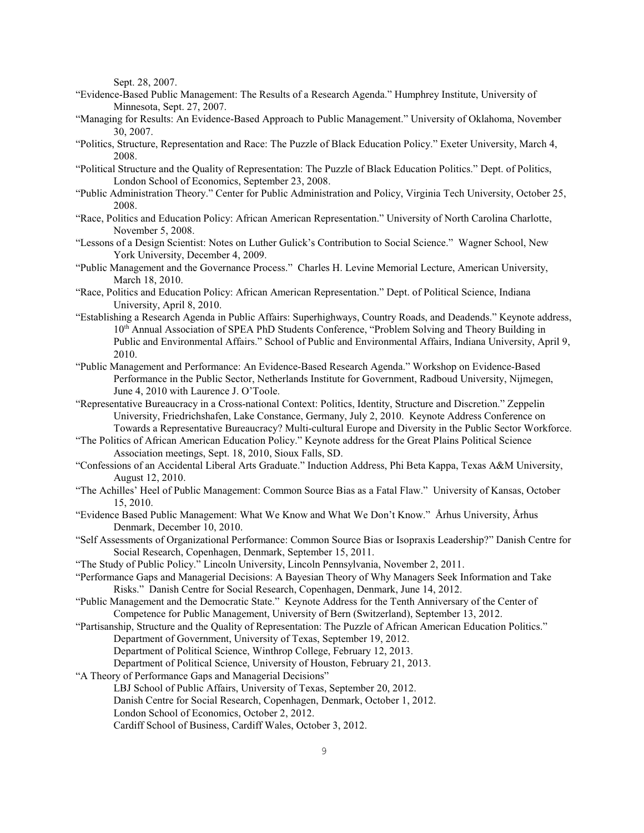Sept. 28, 2007.

- "Evidence-Based Public Management: The Results of a Research Agenda." Humphrey Institute, University of Minnesota, Sept. 27, 2007.
- "Managing for Results: An Evidence-Based Approach to Public Management." University of Oklahoma, November 30, 2007.
- "Politics, Structure, Representation and Race: The Puzzle of Black Education Policy." Exeter University, March 4, 2008.
- "Political Structure and the Quality of Representation: The Puzzle of Black Education Politics." Dept. of Politics, London School of Economics, September 23, 2008.
- "Public Administration Theory." Center for Public Administration and Policy, Virginia Tech University, October 25, 2008.
- "Race, Politics and Education Policy: African American Representation." University of North Carolina Charlotte, November 5, 2008.
- "Lessons of a Design Scientist: Notes on Luther Gulick's Contribution to Social Science." Wagner School, New York University, December 4, 2009.
- "Public Management and the Governance Process." Charles H. Levine Memorial Lecture, American University, March 18, 2010.
- "Race, Politics and Education Policy: African American Representation." Dept. of Political Science, Indiana University, April 8, 2010.
- "Establishing a Research Agenda in Public Affairs: Superhighways, Country Roads, and Deadends." Keynote address, 10<sup>th</sup> Annual Association of SPEA PhD Students Conference, "Problem Solving and Theory Building in Public and Environmental Affairs." School of Public and Environmental Affairs, Indiana University, April 9, 2010.
- "Public Management and Performance: An Evidence-Based Research Agenda." Workshop on Evidence-Based Performance in the Public Sector, Netherlands Institute for Government, Radboud University, Nijmegen, June 4, 2010 with Laurence J. O'Toole.
- "Representative Bureaucracy in a Cross-national Context: Politics, Identity, Structure and Discretion." Zeppelin University, Friedrichshafen, Lake Constance, Germany, July 2, 2010. Keynote Address Conference on Towards a Representative Bureaucracy? Multi-cultural Europe and Diversity in the Public Sector Workforce.
- "The Politics of African American Education Policy." Keynote address for the Great Plains Political Science Association meetings, Sept. 18, 2010, Sioux Falls, SD.
- "Confessions of an Accidental Liberal Arts Graduate." Induction Address, Phi Beta Kappa, Texas A&M University, August 12, 2010.
- "The Achilles' Heel of Public Management: Common Source Bias as a Fatal Flaw." University of Kansas, October 15, 2010.
- "Evidence Based Public Management: What We Know and What We Don't Know." Århus University, Århus Denmark, December 10, 2010.
- "Self Assessments of Organizational Performance: Common Source Bias or Isopraxis Leadership?" Danish Centre for Social Research, Copenhagen, Denmark, September 15, 2011.
- "The Study of Public Policy." Lincoln University, Lincoln Pennsylvania, November 2, 2011.
- "Performance Gaps and Managerial Decisions: A Bayesian Theory of Why Managers Seek Information and Take Risks." Danish Centre for Social Research, Copenhagen, Denmark, June 14, 2012.
- "Public Management and the Democratic State." Keynote Address for the Tenth Anniversary of the Center of Competence for Public Management, University of Bern (Switzerland), September 13, 2012.
- "Partisanship, Structure and the Quality of Representation: The Puzzle of African American Education Politics." Department of Government, University of Texas, September 19, 2012.

Department of Political Science, Winthrop College, February 12, 2013.

Department of Political Science, University of Houston, February 21, 2013.

"A Theory of Performance Gaps and Managerial Decisions"

- LBJ School of Public Affairs, University of Texas, September 20, 2012.
- Danish Centre for Social Research, Copenhagen, Denmark, October 1, 2012.
- London School of Economics, October 2, 2012.
- Cardiff School of Business, Cardiff Wales, October 3, 2012.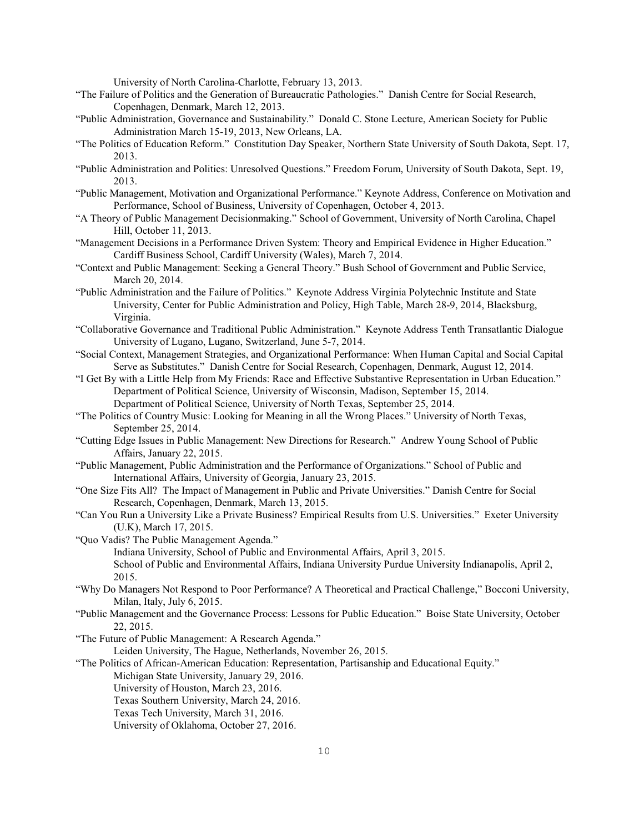University of North Carolina-Charlotte, February 13, 2013.

- "The Failure of Politics and the Generation of Bureaucratic Pathologies." Danish Centre for Social Research, Copenhagen, Denmark, March 12, 2013.
- "Public Administration, Governance and Sustainability." Donald C. Stone Lecture, American Society for Public Administration March 15-19, 2013, New Orleans, LA.
- "The Politics of Education Reform." Constitution Day Speaker, Northern State University of South Dakota, Sept. 17, 2013.
- "Public Administration and Politics: Unresolved Questions." Freedom Forum, University of South Dakota, Sept. 19, 2013.
- "Public Management, Motivation and Organizational Performance." Keynote Address, Conference on Motivation and Performance, School of Business, University of Copenhagen, October 4, 2013.
- "A Theory of Public Management Decisionmaking." School of Government, University of North Carolina, Chapel Hill, October 11, 2013.
- "Management Decisions in a Performance Driven System: Theory and Empirical Evidence in Higher Education." Cardiff Business School, Cardiff University (Wales), March 7, 2014.
- "Context and Public Management: Seeking a General Theory." Bush School of Government and Public Service, March 20, 2014.
- "Public Administration and the Failure of Politics." Keynote Address Virginia Polytechnic Institute and State University, Center for Public Administration and Policy, High Table, March 28-9, 2014, Blacksburg, Virginia.
- "Collaborative Governance and Traditional Public Administration." Keynote Address Tenth Transatlantic Dialogue University of Lugano, Lugano, Switzerland, June 5-7, 2014.
- "Social Context, Management Strategies, and Organizational Performance: When Human Capital and Social Capital Serve as Substitutes." Danish Centre for Social Research, Copenhagen, Denmark, August 12, 2014.
- "I Get By with a Little Help from My Friends: Race and Effective Substantive Representation in Urban Education." Department of Political Science, University of Wisconsin, Madison, September 15, 2014. Department of Political Science, University of North Texas, September 25, 2014.
- "The Politics of Country Music: Looking for Meaning in all the Wrong Places." University of North Texas, September 25, 2014.
- "Cutting Edge Issues in Public Management: New Directions for Research." Andrew Young School of Public Affairs, January 22, 2015.
- "Public Management, Public Administration and the Performance of Organizations." School of Public and International Affairs, University of Georgia, January 23, 2015.
- "One Size Fits All? The Impact of Management in Public and Private Universities." Danish Centre for Social Research, Copenhagen, Denmark, March 13, 2015.
- "Can You Run a University Like a Private Business? Empirical Results from U.S. Universities." Exeter University (U.K), March 17, 2015.

"Quo Vadis? The Public Management Agenda." Indiana University, School of Public and Environmental Affairs, April 3, 2015. School of Public and Environmental Affairs, Indiana University Purdue University Indianapolis, April 2, 2015.

- "Why Do Managers Not Respond to Poor Performance? A Theoretical and Practical Challenge," Bocconi University, Milan, Italy, July 6, 2015.
- "Public Management and the Governance Process: Lessons for Public Education." Boise State University, October 22, 2015.
- "The Future of Public Management: A Research Agenda."

Leiden University, The Hague, Netherlands, November 26, 2015.

"The Politics of African-American Education: Representation, Partisanship and Educational Equity."

Michigan State University, January 29, 2016.

University of Houston, March 23, 2016.

Texas Southern University, March 24, 2016.

Texas Tech University, March 31, 2016.

University of Oklahoma, October 27, 2016.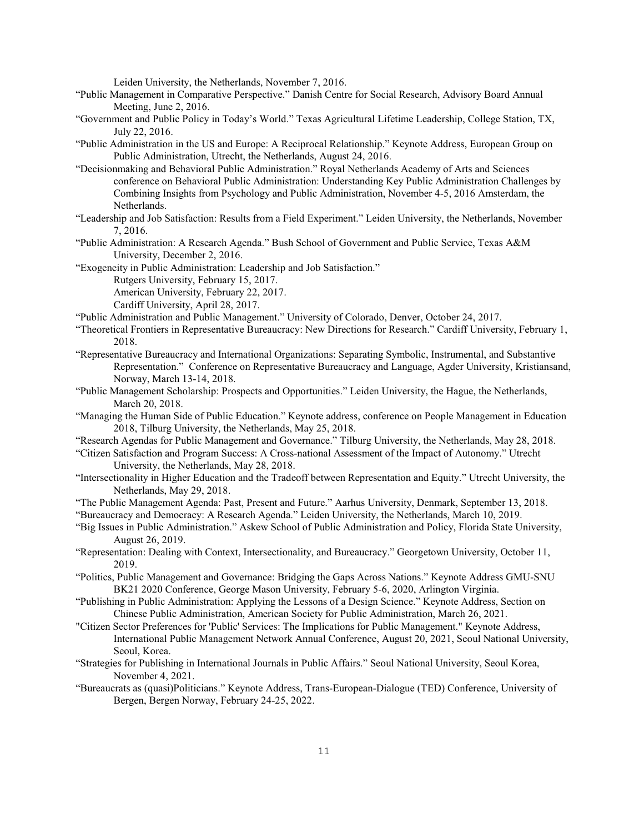Leiden University, the Netherlands, November 7, 2016.

- "Public Management in Comparative Perspective." Danish Centre for Social Research, Advisory Board Annual Meeting, June 2, 2016.
- "Government and Public Policy in Today's World." Texas Agricultural Lifetime Leadership, College Station, TX, July 22, 2016.
- "Public Administration in the US and Europe: A Reciprocal Relationship." Keynote Address, European Group on Public Administration, Utrecht, the Netherlands, August 24, 2016.
- "Decisionmaking and Behavioral Public Administration." Royal Netherlands Academy of Arts and Sciences conference on Behavioral Public Administration: Understanding Key Public Administration Challenges by Combining Insights from Psychology and Public Administration, November 4-5, 2016 Amsterdam, the Netherlands.
- "Leadership and Job Satisfaction: Results from a Field Experiment." Leiden University, the Netherlands, November 7, 2016.
- "Public Administration: A Research Agenda." Bush School of Government and Public Service, Texas A&M University, December 2, 2016.
- "Exogeneity in Public Administration: Leadership and Job Satisfaction."
	- Rutgers University, February 15, 2017.

American University, February 22, 2017.

- Cardiff University, April 28, 2017.
- "Public Administration and Public Management." University of Colorado, Denver, October 24, 2017.
- "Theoretical Frontiers in Representative Bureaucracy: New Directions for Research." Cardiff University, February 1, 2018.
- "Representative Bureaucracy and International Organizations: Separating Symbolic, Instrumental, and Substantive Representation." Conference on Representative Bureaucracy and Language, Agder University, Kristiansand, Norway, March 13-14, 2018.
- "Public Management Scholarship: Prospects and Opportunities." Leiden University, the Hague, the Netherlands, March 20, 2018.
- "Managing the Human Side of Public Education." Keynote address, conference on People Management in Education 2018, Tilburg University, the Netherlands, May 25, 2018.
- "Research Agendas for Public Management and Governance." Tilburg University, the Netherlands, May 28, 2018.
- "Citizen Satisfaction and Program Success: A Cross-national Assessment of the Impact of Autonomy." Utrecht University, the Netherlands, May 28, 2018.
- "Intersectionality in Higher Education and the Tradeoff between Representation and Equity." Utrecht University, the Netherlands, May 29, 2018.
- "The Public Management Agenda: Past, Present and Future." Aarhus University, Denmark, September 13, 2018.

"Bureaucracy and Democracy: A Research Agenda." Leiden University, the Netherlands, March 10, 2019.

- "Big Issues in Public Administration." Askew School of Public Administration and Policy, Florida State University, August 26, 2019.
- "Representation: Dealing with Context, Intersectionality, and Bureaucracy." Georgetown University, October 11, 2019.
- "Politics, Public Management and Governance: Bridging the Gaps Across Nations." Keynote Address GMU-SNU BK21 2020 Conference, George Mason University, February 5-6, 2020, Arlington Virginia.
- "Publishing in Public Administration: Applying the Lessons of a Design Science." Keynote Address, Section on Chinese Public Administration, American Society for Public Administration, March 26, 2021.
- "Citizen Sector Preferences for 'Public' Services: The Implications for Public Management." Keynote Address, International Public Management Network Annual Conference, August 20, 2021, Seoul National University, Seoul, Korea.
- "Strategies for Publishing in International Journals in Public Affairs." Seoul National University, Seoul Korea, November 4, 2021.
- "Bureaucrats as (quasi)Politicians." Keynote Address, Trans-European-Dialogue (TED) Conference, University of Bergen, Bergen Norway, February 24-25, 2022.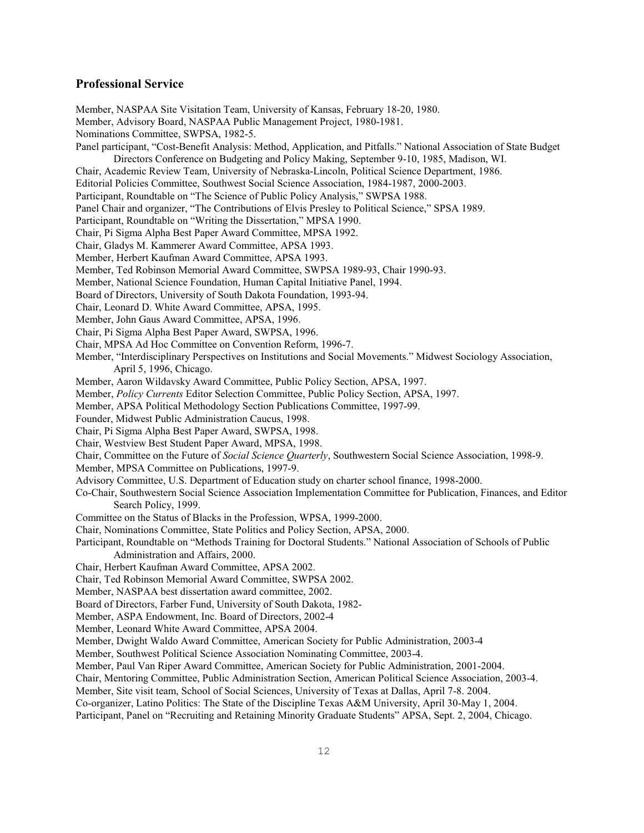### **Professional Service**

Member, NASPAA Site Visitation Team, University of Kansas, February 18-20, 1980. Member, Advisory Board, NASPAA Public Management Project, 1980-1981. Nominations Committee, SWPSA, 1982-5. Panel participant, "Cost-Benefit Analysis: Method, Application, and Pitfalls." National Association of State Budget Directors Conference on Budgeting and Policy Making, September 9-10, 1985, Madison, WI. Chair, Academic Review Team, University of Nebraska-Lincoln, Political Science Department, 1986. Editorial Policies Committee, Southwest Social Science Association, 1984-1987, 2000-2003. Participant, Roundtable on "The Science of Public Policy Analysis," SWPSA 1988. Panel Chair and organizer, "The Contributions of Elvis Presley to Political Science," SPSA 1989. Participant, Roundtable on "Writing the Dissertation," MPSA 1990. Chair, Pi Sigma Alpha Best Paper Award Committee, MPSA 1992. Chair, Gladys M. Kammerer Award Committee, APSA 1993. Member, Herbert Kaufman Award Committee, APSA 1993. Member, Ted Robinson Memorial Award Committee, SWPSA 1989-93, Chair 1990-93. Member, National Science Foundation, Human Capital Initiative Panel, 1994. Board of Directors, University of South Dakota Foundation, 1993-94. Chair, Leonard D. White Award Committee, APSA, 1995. Member, John Gaus Award Committee, APSA, 1996. Chair, Pi Sigma Alpha Best Paper Award, SWPSA, 1996. Chair, MPSA Ad Hoc Committee on Convention Reform, 1996-7. Member, "Interdisciplinary Perspectives on Institutions and Social Movements." Midwest Sociology Association, April 5, 1996, Chicago. Member, Aaron Wildavsky Award Committee, Public Policy Section, APSA, 1997. Member, *Policy Currents* Editor Selection Committee, Public Policy Section, APSA, 1997. Member, APSA Political Methodology Section Publications Committee, 1997-99. Founder, Midwest Public Administration Caucus, 1998. Chair, Pi Sigma Alpha Best Paper Award, SWPSA, 1998. Chair, Westview Best Student Paper Award, MPSA, 1998. Chair, Committee on the Future of *Social Science Quarterly*, Southwestern Social Science Association, 1998-9. Member, MPSA Committee on Publications, 1997-9. Advisory Committee, U.S. Department of Education study on charter school finance, 1998-2000. Co-Chair, Southwestern Social Science Association Implementation Committee for Publication, Finances, and Editor Search Policy, 1999. Committee on the Status of Blacks in the Profession, WPSA, 1999-2000. Chair, Nominations Committee, State Politics and Policy Section, APSA, 2000. Participant, Roundtable on "Methods Training for Doctoral Students." National Association of Schools of Public Administration and Affairs, 2000. Chair, Herbert Kaufman Award Committee, APSA 2002. Chair, Ted Robinson Memorial Award Committee, SWPSA 2002. Member, NASPAA best dissertation award committee, 2002. Board of Directors, Farber Fund, University of South Dakota, 1982- Member, ASPA Endowment, Inc. Board of Directors, 2002-4 Member, Leonard White Award Committee, APSA 2004. Member, Dwight Waldo Award Committee, American Society for Public Administration, 2003-4 Member, Southwest Political Science Association Nominating Committee, 2003-4. Member, Paul Van Riper Award Committee, American Society for Public Administration, 2001-2004. Chair, Mentoring Committee, Public Administration Section, American Political Science Association, 2003-4. Member, Site visit team, School of Social Sciences, University of Texas at Dallas, April 7-8. 2004. Co-organizer, Latino Politics: The State of the Discipline Texas A&M University, April 30-May 1, 2004. Participant, Panel on "Recruiting and Retaining Minority Graduate Students" APSA, Sept. 2, 2004, Chicago.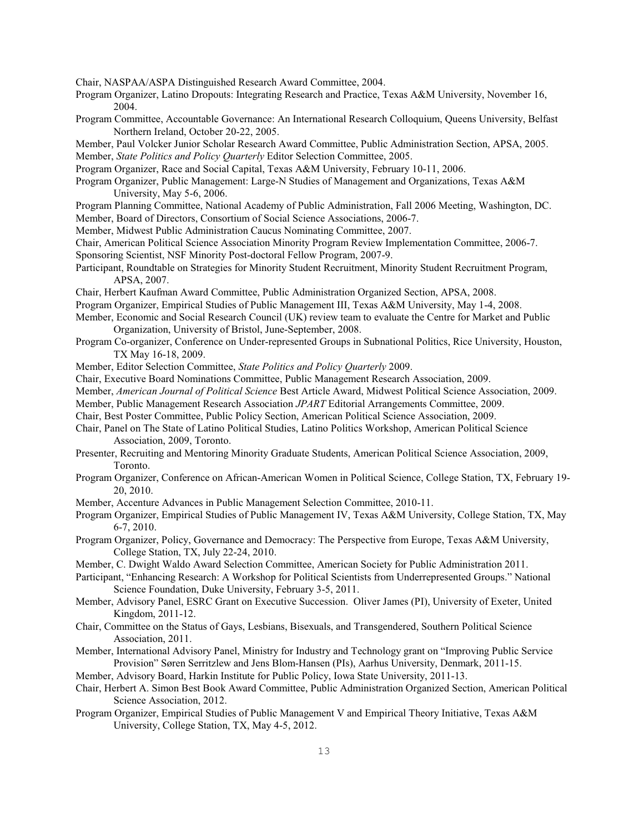Chair, NASPAA/ASPA Distinguished Research Award Committee, 2004.

- Program Organizer, Latino Dropouts: Integrating Research and Practice, Texas A&M University, November 16, 2004.
- Program Committee, Accountable Governance: An International Research Colloquium, Queens University, Belfast Northern Ireland, October 20-22, 2005.
- Member, Paul Volcker Junior Scholar Research Award Committee, Public Administration Section, APSA, 2005. Member, *State Politics and Policy Quarterly* Editor Selection Committee, 2005.
- Program Organizer, Race and Social Capital, Texas A&M University, February 10-11, 2006.
- Program Organizer, Public Management: Large-N Studies of Management and Organizations, Texas A&M University, May 5-6, 2006.
- Program Planning Committee, National Academy of Public Administration, Fall 2006 Meeting, Washington, DC. Member, Board of Directors, Consortium of Social Science Associations, 2006-7.
- Member, Midwest Public Administration Caucus Nominating Committee, 2007.
- Chair, American Political Science Association Minority Program Review Implementation Committee, 2006-7.
- Sponsoring Scientist, NSF Minority Post-doctoral Fellow Program, 2007-9.
- Participant, Roundtable on Strategies for Minority Student Recruitment, Minority Student Recruitment Program, APSA, 2007.
- Chair, Herbert Kaufman Award Committee, Public Administration Organized Section, APSA, 2008.
- Program Organizer, Empirical Studies of Public Management III, Texas A&M University, May 1-4, 2008.
- Member, Economic and Social Research Council (UK) review team to evaluate the Centre for Market and Public Organization, University of Bristol, June-September, 2008.
- Program Co-organizer, Conference on Under-represented Groups in Subnational Politics, Rice University, Houston, TX May 16-18, 2009.
- Member, Editor Selection Committee, *State Politics and Policy Quarterly* 2009.
- Chair, Executive Board Nominations Committee, Public Management Research Association, 2009.
- Member, *American Journal of Political Science* Best Article Award, Midwest Political Science Association, 2009.
- Member, Public Management Research Association *JPART* Editorial Arrangements Committee, 2009.
- Chair, Best Poster Committee, Public Policy Section, American Political Science Association, 2009.
- Chair, Panel on The State of Latino Political Studies, Latino Politics Workshop, American Political Science Association, 2009, Toronto.
- Presenter, Recruiting and Mentoring Minority Graduate Students, American Political Science Association, 2009, Toronto.
- Program Organizer, Conference on African-American Women in Political Science, College Station, TX, February 19- 20, 2010.
- Member, Accenture Advances in Public Management Selection Committee, 2010-11.
- Program Organizer, Empirical Studies of Public Management IV, Texas A&M University, College Station, TX, May 6-7, 2010.
- Program Organizer, Policy, Governance and Democracy: The Perspective from Europe, Texas A&M University, College Station, TX, July 22-24, 2010.
- Member, C. Dwight Waldo Award Selection Committee, American Society for Public Administration 2011.
- Participant, "Enhancing Research: A Workshop for Political Scientists from Underrepresented Groups." National Science Foundation, Duke University, February 3-5, 2011.
- Member, Advisory Panel, ESRC Grant on Executive Succession. Oliver James (PI), University of Exeter, United Kingdom, 2011-12.
- Chair, Committee on the Status of Gays, Lesbians, Bisexuals, and Transgendered, Southern Political Science Association, 2011.
- Member, International Advisory Panel, Ministry for Industry and Technology grant on "Improving Public Service Provision" Søren Serritzlew and Jens Blom-Hansen (PIs), Aarhus University, Denmark, 2011-15.
- Member, Advisory Board, Harkin Institute for Public Policy, Iowa State University, 2011-13.
- Chair, Herbert A. Simon Best Book Award Committee, Public Administration Organized Section, American Political Science Association, 2012.
- Program Organizer, Empirical Studies of Public Management V and Empirical Theory Initiative, Texas A&M University, College Station, TX, May 4-5, 2012.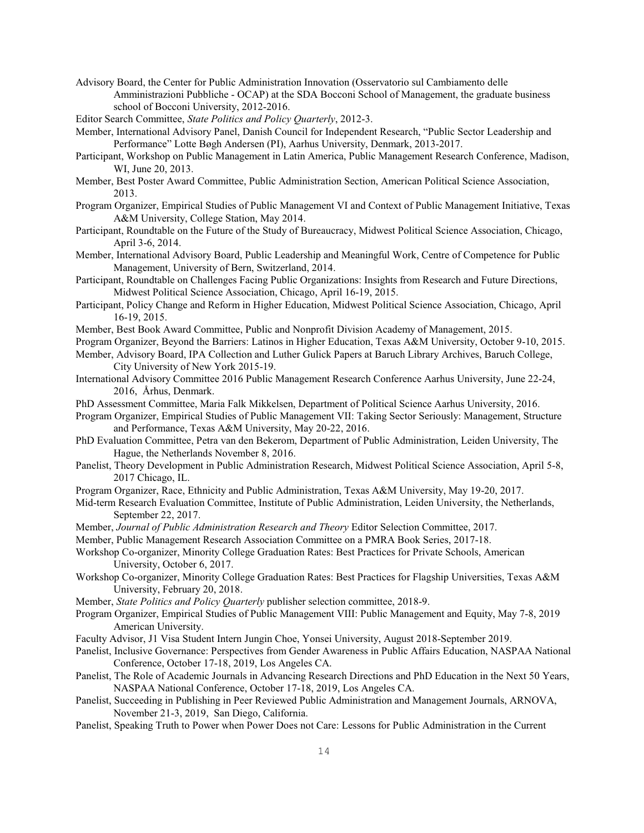Advisory Board, the Center for Public Administration Innovation (Osservatorio sul Cambiamento delle Amministrazioni Pubbliche - OCAP) at the SDA Bocconi School of Management, the graduate business school of Bocconi University, 2012-2016.

Editor Search Committee, *State Politics and Policy Quarterly*, 2012-3.

- Member, International Advisory Panel, Danish Council for Independent Research, "Public Sector Leadership and Performance" Lotte Bøgh Andersen (PI), Aarhus University, Denmark, 2013-2017.
- Participant, Workshop on Public Management in Latin America, Public Management Research Conference, Madison, WI, June 20, 2013.
- Member, Best Poster Award Committee, Public Administration Section, American Political Science Association, 2013.
- Program Organizer, Empirical Studies of Public Management VI and Context of Public Management Initiative, Texas A&M University, College Station, May 2014.
- Participant, Roundtable on the Future of the Study of Bureaucracy, Midwest Political Science Association, Chicago, April 3-6, 2014.
- Member, International Advisory Board, Public Leadership and Meaningful Work, Centre of Competence for Public Management, University of Bern, Switzerland, 2014.
- Participant, Roundtable on Challenges Facing Public Organizations: Insights from Research and Future Directions, Midwest Political Science Association, Chicago, April 16-19, 2015.
- Participant, Policy Change and Reform in Higher Education, Midwest Political Science Association, Chicago, April 16-19, 2015.
- Member, Best Book Award Committee, Public and Nonprofit Division Academy of Management, 2015.
- Program Organizer, Beyond the Barriers: Latinos in Higher Education, Texas A&M University, October 9-10, 2015.
- Member, Advisory Board, IPA Collection and Luther Gulick Papers at Baruch Library Archives, Baruch College, City University of New York 2015-19.
- International Advisory Committee 2016 Public Management Research Conference Aarhus University, June 22-24, 2016, Århus, Denmark.
- PhD Assessment Committee, Maria Falk Mikkelsen, Department of Political Science Aarhus University, 2016.
- Program Organizer, Empirical Studies of Public Management VII: Taking Sector Seriously: Management, Structure and Performance, Texas A&M University, May 20-22, 2016.
- PhD Evaluation Committee, Petra van den Bekerom, Department of Public Administration, Leiden University, The Hague, the Netherlands November 8, 2016.
- Panelist, Theory Development in Public Administration Research, Midwest Political Science Association, April 5-8, 2017 Chicago, IL.
- Program Organizer, Race, Ethnicity and Public Administration, Texas A&M University, May 19-20, 2017.
- Mid-term Research Evaluation Committee, Institute of Public Administration, Leiden University, the Netherlands, September 22, 2017.
- Member, *Journal of Public Administration Research and Theory* Editor Selection Committee, 2017.
- Member, Public Management Research Association Committee on a PMRA Book Series, 2017-18.
- Workshop Co-organizer, Minority College Graduation Rates: Best Practices for Private Schools, American University, October 6, 2017.
- Workshop Co-organizer, Minority College Graduation Rates: Best Practices for Flagship Universities, Texas A&M University, February 20, 2018.
- Member, *State Politics and Policy Quarterly* publisher selection committee, 2018-9.
- Program Organizer, Empirical Studies of Public Management VIII: Public Management and Equity, May 7-8, 2019 American University.
- Faculty Advisor, J1 Visa Student Intern Jungin Choe, Yonsei University, August 2018-September 2019.
- Panelist, Inclusive Governance: Perspectives from Gender Awareness in Public Affairs Education, NASPAA National Conference, October 17-18, 2019, Los Angeles CA.
- Panelist, The Role of Academic Journals in Advancing Research Directions and PhD Education in the Next 50 Years, NASPAA National Conference, October 17-18, 2019, Los Angeles CA.
- Panelist, Succeeding in Publishing in Peer Reviewed Public Administration and Management Journals, ARNOVA, November 21-3, 2019, San Diego, California.
- Panelist, Speaking Truth to Power when Power Does not Care: Lessons for Public Administration in the Current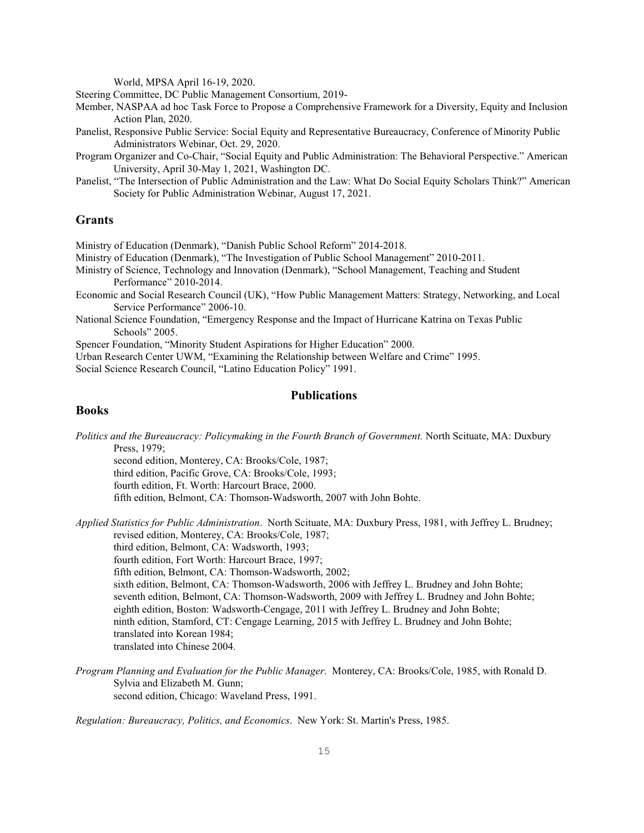World, MPSA April 16-19, 2020.

Steering Committee, DC Public Management Consortium, 2019-

Member, NASPAA ad hoc Task Force to Propose a Comprehensive Framework for a Diversity, Equity and Inclusion Action Plan, 2020.

- Panelist, Responsive Public Service: Social Equity and Representative Bureaucracy, Conference of Minority Public Administrators Webinar, Oct. 29, 2020.
- Program Organizer and Co-Chair, "Social Equity and Public Administration: The Behavioral Perspective." American University, April 30-May 1, 2021, Washington DC.
- Panelist, "The Intersection of Public Administration and the Law: What Do Social Equity Scholars Think?" American Society for Public Administration Webinar, August 17, 2021.

# **Grants**

Ministry of Education (Denmark), "Danish Public School Reform" 2014-2018.

- Ministry of Education (Denmark), "The Investigation of Public School Management" 2010-2011.
- Ministry of Science, Technology and Innovation (Denmark), "School Management, Teaching and Student Performance" 2010-2014.
- Economic and Social Research Council (UK), "How Public Management Matters: Strategy, Networking, and Local Service Performance" 2006-10.
- National Science Foundation, "Emergency Response and the Impact of Hurricane Katrina on Texas Public Schools" 2005.

Spencer Foundation, "Minority Student Aspirations for Higher Education" 2000.

Urban Research Center UWM, "Examining the Relationship between Welfare and Crime" 1995.

Social Science Research Council, "Latino Education Policy" 1991.

# **Publications**

### **Books**

*Politics and the Bureaucracy: Policymaking in the Fourth Branch of Government.* North Scituate, MA: Duxbury Press, 1979;

second edition, Monterey, CA: Brooks/Cole, 1987;

third edition, Pacific Grove, CA: Brooks/Cole, 1993;

fourth edition, Ft. Worth: Harcourt Brace, 2000.

fifth edition, Belmont, CA: Thomson-Wadsworth, 2007 with John Bohte.

*Applied Statistics for Public Administration*. North Scituate, MA: Duxbury Press, 1981, with Jeffrey L. Brudney; revised edition, Monterey, CA: Brooks/Cole, 1987; third edition, Belmont, CA: Wadsworth, 1993; fourth edition, Fort Worth: Harcourt Brace, 1997; fifth edition, Belmont, CA: Thomson-Wadsworth, 2002;

sixth edition, Belmont, CA: Thomson-Wadsworth, 2006 with Jeffrey L. Brudney and John Bohte; seventh edition, Belmont, CA: Thomson-Wadsworth, 2009 with Jeffrey L. Brudney and John Bohte; eighth edition, Boston: Wadsworth-Cengage, 2011 with Jeffrey L. Brudney and John Bohte; ninth edition, Stamford, CT: Cengage Learning, 2015 with Jeffrey L. Brudney and John Bohte; translated into Korean 1984; translated into Chinese 2004.

*Program Planning and Evaluation for the Public Manager*. Monterey, CA: Brooks/Cole, 1985, with Ronald D. Sylvia and Elizabeth M. Gunn; second edition, Chicago: Waveland Press, 1991.

*Regulation: Bureaucracy, Politics, and Economics*. New York: St. Martin's Press, 1985.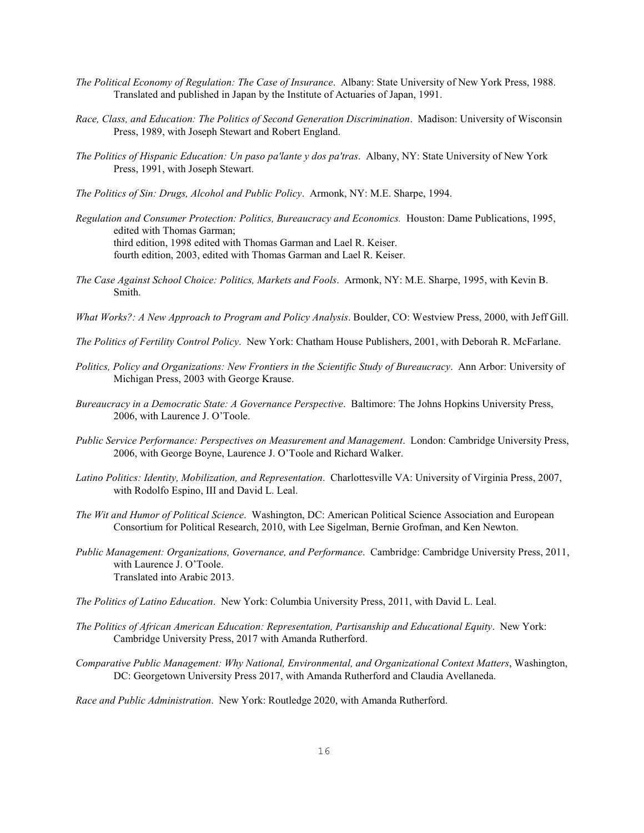- *The Political Economy of Regulation: The Case of Insurance*. Albany: State University of New York Press, 1988. Translated and published in Japan by the Institute of Actuaries of Japan, 1991.
- *Race, Class, and Education: The Politics of Second Generation Discrimination*. Madison: University of Wisconsin Press, 1989, with Joseph Stewart and Robert England.
- *The Politics of Hispanic Education: Un paso pa'lante y dos pa'tras*. Albany, NY: State University of New York Press, 1991, with Joseph Stewart.
- *The Politics of Sin: Drugs, Alcohol and Public Policy*. Armonk, NY: M.E. Sharpe, 1994.
- *Regulation and Consumer Protection: Politics, Bureaucracy and Economics.* Houston: Dame Publications, 1995, edited with Thomas Garman; third edition, 1998 edited with Thomas Garman and Lael R. Keiser. fourth edition, 2003, edited with Thomas Garman and Lael R. Keiser.
- *The Case Against School Choice: Politics, Markets and Fools*. Armonk, NY: M.E. Sharpe, 1995, with Kevin B. Smith.
- *What Works?: A New Approach to Program and Policy Analysis*. Boulder, CO: Westview Press, 2000, with Jeff Gill.
- *The Politics of Fertility Control Policy*. New York: Chatham House Publishers, 2001, with Deborah R. McFarlane.
- *Politics, Policy and Organizations: New Frontiers in the Scientific Study of Bureaucracy*. Ann Arbor: University of Michigan Press, 2003 with George Krause.
- *Bureaucracy in a Democratic State: A Governance Perspective*. Baltimore: The Johns Hopkins University Press, 2006, with Laurence J. O'Toole.
- *Public Service Performance: Perspectives on Measurement and Management*. London: Cambridge University Press, 2006, with George Boyne, Laurence J. O'Toole and Richard Walker.
- *Latino Politics: Identity, Mobilization, and Representation*. Charlottesville VA: University of Virginia Press, 2007, with Rodolfo Espino, III and David L. Leal.
- *The Wit and Humor of Political Science*. Washington, DC: American Political Science Association and European Consortium for Political Research, 2010, with Lee Sigelman, Bernie Grofman, and Ken Newton.
- *Public Management: Organizations, Governance, and Performance*. Cambridge: Cambridge University Press, 2011, with Laurence J. O'Toole. Translated into Arabic 2013.
- *The Politics of Latino Education*. New York: Columbia University Press, 2011, with David L. Leal.
- *The Politics of African American Education: Representation, Partisanship and Educational Equity*. New York: Cambridge University Press, 2017 with Amanda Rutherford.
- *Comparative Public Management: Why National, Environmental, and Organizational Context Matters*, Washington, DC: Georgetown University Press 2017, with Amanda Rutherford and Claudia Avellaneda.

*Race and Public Administration*. New York: Routledge 2020, with Amanda Rutherford.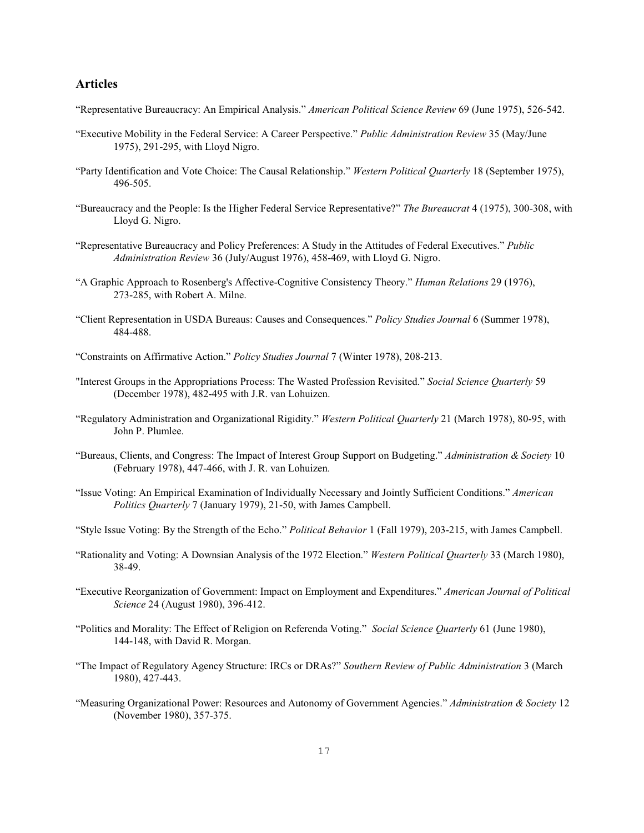# **Articles**

- "Representative Bureaucracy: An Empirical Analysis." *American Political Science Review* 69 (June 1975), 526-542.
- "Executive Mobility in the Federal Service: A Career Perspective." *Public Administration Review* 35 (May/June 1975), 291-295, with Lloyd Nigro.
- "Party Identification and Vote Choice: The Causal Relationship." *Western Political Quarterly* 18 (September 1975), 496-505.
- "Bureaucracy and the People: Is the Higher Federal Service Representative?" *The Bureaucrat* 4 (1975), 300-308, with Lloyd G. Nigro.
- "Representative Bureaucracy and Policy Preferences: A Study in the Attitudes of Federal Executives." *Public Administration Review* 36 (July/August 1976), 458-469, with Lloyd G. Nigro.
- "A Graphic Approach to Rosenberg's Affective-Cognitive Consistency Theory." *Human Relations* 29 (1976), 273-285, with Robert A. Milne.
- "Client Representation in USDA Bureaus: Causes and Consequences." *Policy Studies Journal* 6 (Summer 1978), 484-488.
- "Constraints on Affirmative Action." *Policy Studies Journal* 7 (Winter 1978), 208-213.
- "Interest Groups in the Appropriations Process: The Wasted Profession Revisited." *Social Science Quarterly* 59 (December 1978), 482-495 with J.R. van Lohuizen.
- "Regulatory Administration and Organizational Rigidity." *Western Political Quarterly* 21 (March 1978), 80-95, with John P. Plumlee.
- "Bureaus, Clients, and Congress: The Impact of Interest Group Support on Budgeting." *Administration & Society* 10 (February 1978), 447-466, with J. R. van Lohuizen.
- "Issue Voting: An Empirical Examination of Individually Necessary and Jointly Sufficient Conditions." *American Politics Quarterly* 7 (January 1979), 21-50, with James Campbell.
- "Style Issue Voting: By the Strength of the Echo." *Political Behavior* 1 (Fall 1979), 203-215, with James Campbell.
- "Rationality and Voting: A Downsian Analysis of the 1972 Election." *Western Political Quarterly* 33 (March 1980), 38-49.
- "Executive Reorganization of Government: Impact on Employment and Expenditures." *American Journal of Political Science* 24 (August 1980), 396-412.
- "Politics and Morality: The Effect of Religion on Referenda Voting." *Social Science Quarterly* 61 (June 1980), 144-148, with David R. Morgan.
- "The Impact of Regulatory Agency Structure: IRCs or DRAs?" *Southern Review of Public Administration* 3 (March 1980), 427-443.
- "Measuring Organizational Power: Resources and Autonomy of Government Agencies." *Administration & Society* 12 (November 1980), 357-375.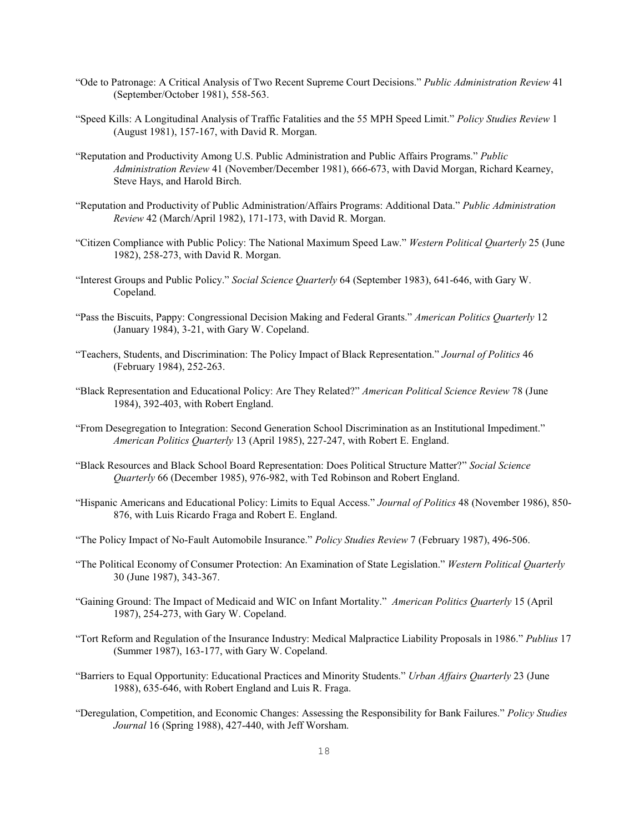- "Ode to Patronage: A Critical Analysis of Two Recent Supreme Court Decisions." *Public Administration Review* 41 (September/October 1981), 558-563.
- "Speed Kills: A Longitudinal Analysis of Traffic Fatalities and the 55 MPH Speed Limit." *Policy Studies Review* 1 (August 1981), 157-167, with David R. Morgan.
- "Reputation and Productivity Among U.S. Public Administration and Public Affairs Programs." *Public Administration Review* 41 (November/December 1981), 666-673, with David Morgan, Richard Kearney, Steve Hays, and Harold Birch.
- "Reputation and Productivity of Public Administration/Affairs Programs: Additional Data." *Public Administration Review* 42 (March/April 1982), 171-173, with David R. Morgan.
- "Citizen Compliance with Public Policy: The National Maximum Speed Law." *Western Political Quarterly* 25 (June 1982), 258-273, with David R. Morgan.
- "Interest Groups and Public Policy." *Social Science Quarterly* 64 (September 1983), 641-646, with Gary W. Copeland.
- "Pass the Biscuits, Pappy: Congressional Decision Making and Federal Grants." *American Politics Quarterly* 12 (January 1984), 3-21, with Gary W. Copeland.
- "Teachers, Students, and Discrimination: The Policy Impact of Black Representation." *Journal of Politics* 46 (February 1984), 252-263.
- "Black Representation and Educational Policy: Are They Related?" *American Political Science Review* 78 (June 1984), 392-403, with Robert England.
- "From Desegregation to Integration: Second Generation School Discrimination as an Institutional Impediment." *American Politics Quarterly* 13 (April 1985), 227-247, with Robert E. England.
- "Black Resources and Black School Board Representation: Does Political Structure Matter?" *Social Science Quarterly* 66 (December 1985), 976-982, with Ted Robinson and Robert England.
- "Hispanic Americans and Educational Policy: Limits to Equal Access." *Journal of Politics* 48 (November 1986), 850- 876, with Luis Ricardo Fraga and Robert E. England.
- "The Policy Impact of No-Fault Automobile Insurance." *Policy Studies Review* 7 (February 1987), 496-506.
- "The Political Economy of Consumer Protection: An Examination of State Legislation." *Western Political Quarterly* 30 (June 1987), 343-367.
- "Gaining Ground: The Impact of Medicaid and WIC on Infant Mortality." *American Politics Quarterly* 15 (April 1987), 254-273, with Gary W. Copeland.
- "Tort Reform and Regulation of the Insurance Industry: Medical Malpractice Liability Proposals in 1986." *Publius* 17 (Summer 1987), 163-177, with Gary W. Copeland.
- "Barriers to Equal Opportunity: Educational Practices and Minority Students." *Urban Affairs Quarterly* 23 (June 1988), 635-646, with Robert England and Luis R. Fraga.
- "Deregulation, Competition, and Economic Changes: Assessing the Responsibility for Bank Failures." *Policy Studies Journal* 16 (Spring 1988), 427-440, with Jeff Worsham.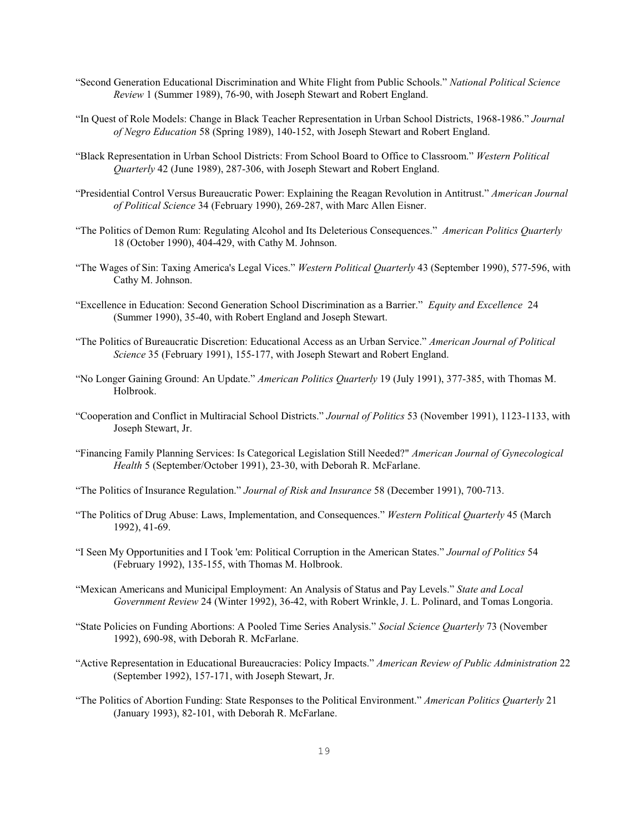- "Second Generation Educational Discrimination and White Flight from Public Schools." *National Political Science Review* 1 (Summer 1989), 76-90, with Joseph Stewart and Robert England.
- "In Quest of Role Models: Change in Black Teacher Representation in Urban School Districts, 1968-1986." *Journal of Negro Education* 58 (Spring 1989), 140-152, with Joseph Stewart and Robert England.
- "Black Representation in Urban School Districts: From School Board to Office to Classroom." *Western Political Quarterly* 42 (June 1989), 287-306, with Joseph Stewart and Robert England.
- "Presidential Control Versus Bureaucratic Power: Explaining the Reagan Revolution in Antitrust." *American Journal of Political Science* 34 (February 1990), 269-287, with Marc Allen Eisner.
- "The Politics of Demon Rum: Regulating Alcohol and Its Deleterious Consequences." *American Politics Quarterly* 18 (October 1990), 404-429, with Cathy M. Johnson.
- "The Wages of Sin: Taxing America's Legal Vices." *Western Political Quarterly* 43 (September 1990), 577-596, with Cathy M. Johnson.
- "Excellence in Education: Second Generation School Discrimination as a Barrier." *Equity and Excellence* 24 (Summer 1990), 35-40, with Robert England and Joseph Stewart.
- "The Politics of Bureaucratic Discretion: Educational Access as an Urban Service." *American Journal of Political Science* 35 (February 1991), 155-177, with Joseph Stewart and Robert England.
- "No Longer Gaining Ground: An Update." *American Politics Quarterly* 19 (July 1991), 377-385, with Thomas M. Holbrook.
- "Cooperation and Conflict in Multiracial School Districts." *Journal of Politics* 53 (November 1991), 1123-1133, with Joseph Stewart, Jr.
- "Financing Family Planning Services: Is Categorical Legislation Still Needed?" *American Journal of Gynecological Health* 5 (September/October 1991), 23-30, with Deborah R. McFarlane.
- "The Politics of Insurance Regulation." *Journal of Risk and Insurance* 58 (December 1991), 700-713.
- "The Politics of Drug Abuse: Laws, Implementation, and Consequences." *Western Political Quarterly* 45 (March 1992), 41-69.
- "I Seen My Opportunities and I Took 'em: Political Corruption in the American States." *Journal of Politics* 54 (February 1992), 135-155, with Thomas M. Holbrook.
- "Mexican Americans and Municipal Employment: An Analysis of Status and Pay Levels." *State and Local Government Review* 24 (Winter 1992), 36-42, with Robert Wrinkle, J. L. Polinard, and Tomas Longoria.
- "State Policies on Funding Abortions: A Pooled Time Series Analysis." *Social Science Quarterly* 73 (November 1992), 690-98, with Deborah R. McFarlane.
- "Active Representation in Educational Bureaucracies: Policy Impacts." *American Review of Public Administration* 22 (September 1992), 157-171, with Joseph Stewart, Jr.
- "The Politics of Abortion Funding: State Responses to the Political Environment." *American Politics Quarterly* 21 (January 1993), 82-101, with Deborah R. McFarlane.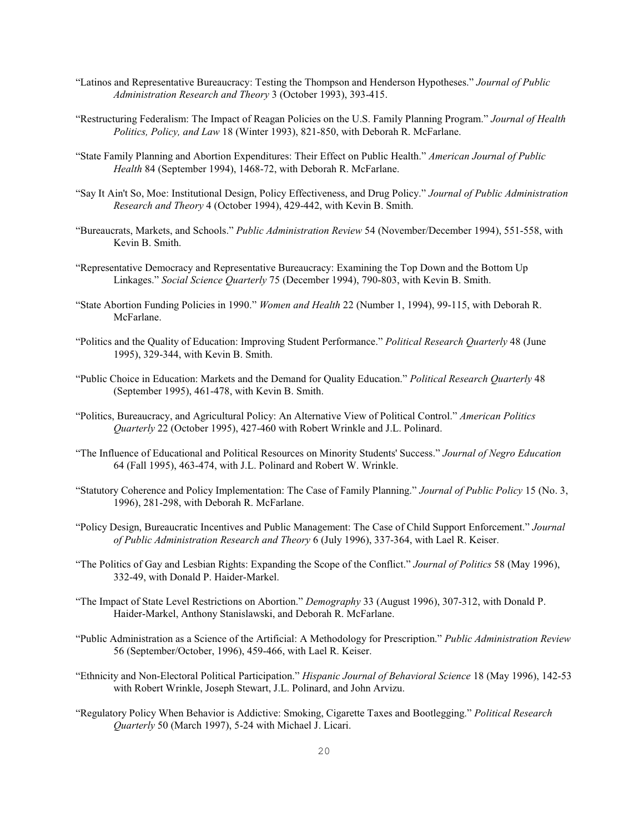- "Latinos and Representative Bureaucracy: Testing the Thompson and Henderson Hypotheses." *Journal of Public Administration Research and Theory* 3 (October 1993), 393-415.
- "Restructuring Federalism: The Impact of Reagan Policies on the U.S. Family Planning Program." *Journal of Health Politics, Policy, and Law* 18 (Winter 1993), 821-850, with Deborah R. McFarlane.
- "State Family Planning and Abortion Expenditures: Their Effect on Public Health." *American Journal of Public Health* 84 (September 1994), 1468-72, with Deborah R. McFarlane.
- "Say It Ain't So, Moe: Institutional Design, Policy Effectiveness, and Drug Policy." *Journal of Public Administration Research and Theory* 4 (October 1994), 429-442, with Kevin B. Smith.
- "Bureaucrats, Markets, and Schools." *Public Administration Review* 54 (November/December 1994), 551-558, with Kevin B. Smith.
- "Representative Democracy and Representative Bureaucracy: Examining the Top Down and the Bottom Up Linkages." *Social Science Quarterly* 75 (December 1994), 790-803, with Kevin B. Smith.
- "State Abortion Funding Policies in 1990." *Women and Health* 22 (Number 1, 1994), 99-115, with Deborah R. McFarlane.
- "Politics and the Quality of Education: Improving Student Performance." *Political Research Quarterly* 48 (June 1995), 329-344, with Kevin B. Smith.
- "Public Choice in Education: Markets and the Demand for Quality Education." *Political Research Quarterly* 48 (September 1995), 461-478, with Kevin B. Smith.
- "Politics, Bureaucracy, and Agricultural Policy: An Alternative View of Political Control." *American Politics Quarterly* 22 (October 1995), 427-460 with Robert Wrinkle and J.L. Polinard.
- "The Influence of Educational and Political Resources on Minority Students' Success." *Journal of Negro Education* 64 (Fall 1995), 463-474, with J.L. Polinard and Robert W. Wrinkle.
- "Statutory Coherence and Policy Implementation: The Case of Family Planning." *Journal of Public Policy* 15 (No. 3, 1996), 281-298, with Deborah R. McFarlane.
- "Policy Design, Bureaucratic Incentives and Public Management: The Case of Child Support Enforcement." *Journal of Public Administration Research and Theory* 6 (July 1996), 337-364, with Lael R. Keiser.
- "The Politics of Gay and Lesbian Rights: Expanding the Scope of the Conflict." *Journal of Politics* 58 (May 1996), 332-49, with Donald P. Haider-Markel.
- "The Impact of State Level Restrictions on Abortion." *Demography* 33 (August 1996), 307-312, with Donald P. Haider-Markel, Anthony Stanislawski, and Deborah R. McFarlane.
- "Public Administration as a Science of the Artificial: A Methodology for Prescription." *Public Administration Review* 56 (September/October, 1996), 459-466, with Lael R. Keiser.
- "Ethnicity and Non-Electoral Political Participation." *Hispanic Journal of Behavioral Science* 18 (May 1996), 142-53 with Robert Wrinkle, Joseph Stewart, J.L. Polinard, and John Arvizu.
- "Regulatory Policy When Behavior is Addictive: Smoking, Cigarette Taxes and Bootlegging." *Political Research Quarterly* 50 (March 1997), 5-24 with Michael J. Licari.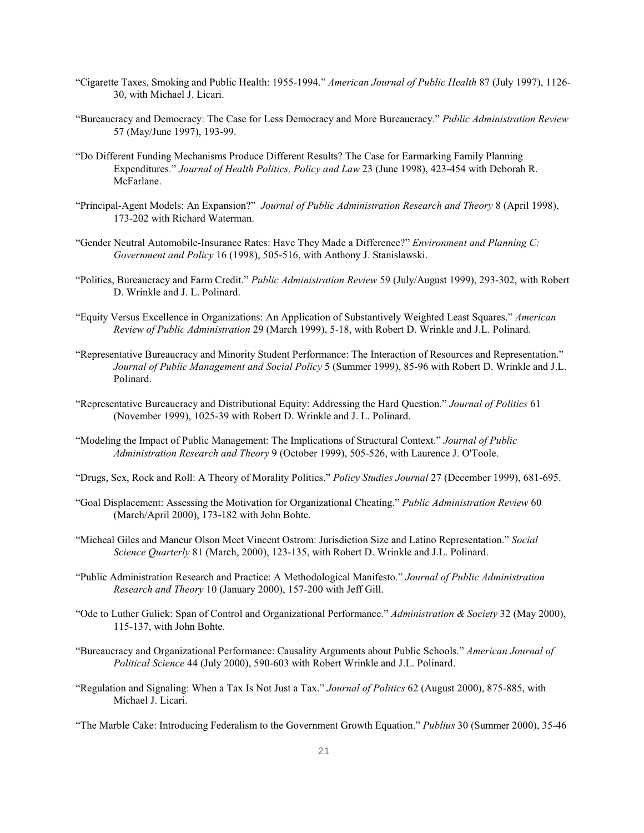- "Cigarette Taxes, Smoking and Public Health: 1955-1994." *American Journal of Public Health* 87 (July 1997), 1126- 30, with Michael J. Licari.
- "Bureaucracy and Democracy: The Case for Less Democracy and More Bureaucracy." *Public Administration Review* 57 (May/June 1997), 193-99.
- "Do Different Funding Mechanisms Produce Different Results? The Case for Earmarking Family Planning Expenditures." *Journal of Health Politics, Policy and Law* 23 (June 1998), 423-454 with Deborah R. McFarlane.
- "Principal-Agent Models: An Expansion?" *Journal of Public Administration Research and Theory* 8 (April 1998), 173-202 with Richard Waterman.
- "Gender Neutral Automobile-Insurance Rates: Have They Made a Difference?" *Environment and Planning C: Government and Policy* 16 (1998), 505-516, with Anthony J. Stanislawski.
- "Politics, Bureaucracy and Farm Credit." *Public Administration Review* 59 (July/August 1999), 293-302, with Robert D. Wrinkle and J. L. Polinard.
- "Equity Versus Excellence in Organizations: An Application of Substantively Weighted Least Squares." *American Review of Public Administration* 29 (March 1999), 5-18, with Robert D. Wrinkle and J.L. Polinard.
- "Representative Bureaucracy and Minority Student Performance: The Interaction of Resources and Representation." *Journal of Public Management and Social Policy* 5 (Summer 1999), 85-96 with Robert D. Wrinkle and J.L. Polinard.
- "Representative Bureaucracy and Distributional Equity: Addressing the Hard Question." *Journal of Politics* 61 (November 1999), 1025-39 with Robert D. Wrinkle and J. L. Polinard.
- "Modeling the Impact of Public Management: The Implications of Structural Context." *Journal of Public Administration Research and Theory* 9 (October 1999), 505-526, with Laurence J. O'Toole.
- "Drugs, Sex, Rock and Roll: A Theory of Morality Politics." *Policy Studies Journal* 27 (December 1999), 681-695.
- "Goal Displacement: Assessing the Motivation for Organizational Cheating." *Public Administration Review* 60 (March/April 2000), 173-182 with John Bohte.
- "Micheal Giles and Mancur Olson Meet Vincent Ostrom: Jurisdiction Size and Latino Representation." *Social Science Quarterly* 81 (March, 2000), 123-135, with Robert D. Wrinkle and J.L. Polinard.
- "Public Administration Research and Practice: A Methodological Manifesto." *Journal of Public Administration Research and Theory* 10 (January 2000), 157-200 with Jeff Gill.
- "Ode to Luther Gulick: Span of Control and Organizational Performance." *Administration & Society* 32 (May 2000), 115-137, with John Bohte.
- "Bureaucracy and Organizational Performance: Causality Arguments about Public Schools." *American Journal of Political Science* 44 (July 2000), 590-603 with Robert Wrinkle and J.L. Polinard.
- "Regulation and Signaling: When a Tax Is Not Just a Tax." *Journal of Politics* 62 (August 2000), 875-885, with Michael J. Licari.
- "The Marble Cake: Introducing Federalism to the Government Growth Equation." *Publius* 30 (Summer 2000), 35-46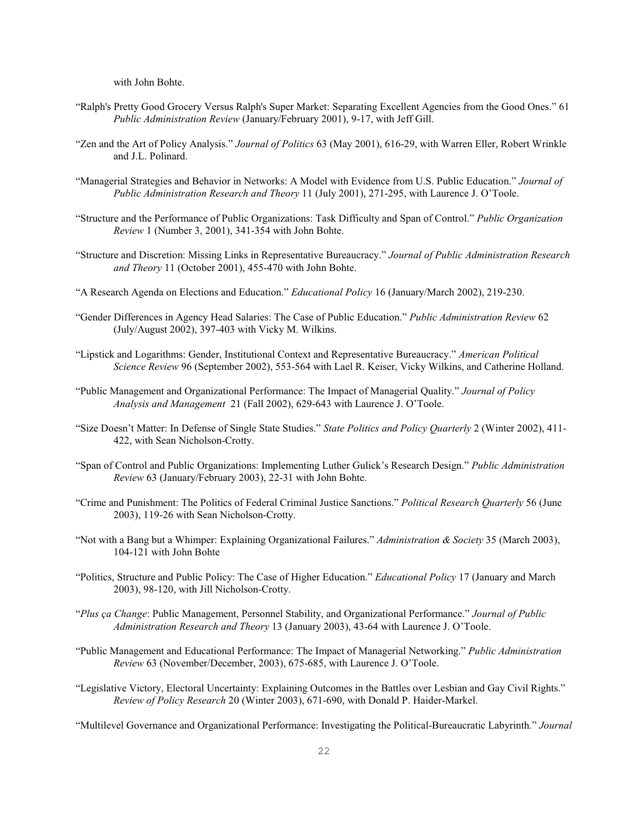with John Bohte.

- "Ralph's Pretty Good Grocery Versus Ralph's Super Market: Separating Excellent Agencies from the Good Ones." 61 *Public Administration Review* (January/February 2001), 9-17, with Jeff Gill.
- "Zen and the Art of Policy Analysis." *Journal of Politics* 63 (May 2001), 616-29, with Warren Eller, Robert Wrinkle and J.L. Polinard.
- "Managerial Strategies and Behavior in Networks: A Model with Evidence from U.S. Public Education." *Journal of Public Administration Research and Theory* 11 (July 2001), 271-295, with Laurence J. O'Toole.
- "Structure and the Performance of Public Organizations: Task Difficulty and Span of Control." *Public Organization Review* 1 (Number 3, 2001), 341-354 with John Bohte.
- "Structure and Discretion: Missing Links in Representative Bureaucracy." *Journal of Public Administration Research and Theory* 11 (October 2001), 455-470 with John Bohte.
- "A Research Agenda on Elections and Education." *Educational Policy* 16 (January/March 2002), 219-230.
- "Gender Differences in Agency Head Salaries: The Case of Public Education." *Public Administration Review* 62 (July/August 2002), 397-403 with Vicky M. Wilkins.
- "Lipstick and Logarithms: Gender, Institutional Context and Representative Bureaucracy." *American Political Science Review* 96 (September 2002), 553-564 with Lael R. Keiser, Vicky Wilkins, and Catherine Holland.
- "Public Management and Organizational Performance: The Impact of Managerial Quality." *Journal of Policy Analysis and Management* 21 (Fall 2002), 629-643 with Laurence J. O'Toole.
- "Size Doesn't Matter: In Defense of Single State Studies." *State Politics and Policy Quarterly* 2 (Winter 2002), 411- 422, with Sean Nicholson-Crotty.
- "Span of Control and Public Organizations: Implementing Luther Gulick's Research Design." *Public Administration Review* 63 (January/February 2003), 22-31 with John Bohte.
- "Crime and Punishment: The Politics of Federal Criminal Justice Sanctions." *Political Research Quarterly* 56 (June 2003), 119-26 with Sean Nicholson-Crotty.
- "Not with a Bang but a Whimper: Explaining Organizational Failures." *Administration & Society* 35 (March 2003), 104-121 with John Bohte
- "Politics, Structure and Public Policy: The Case of Higher Education." *Educational Policy* 17 (January and March 2003), 98-120, with Jill Nicholson-Crotty.
- "*Plus ça Change*: Public Management, Personnel Stability, and Organizational Performance." *Journal of Public Administration Research and Theory* 13 (January 2003), 43-64 with Laurence J. O'Toole.
- "Public Management and Educational Performance: The Impact of Managerial Networking." *Public Administration Review* 63 (November/December, 2003), 675-685, with Laurence J. O'Toole.
- "Legislative Victory, Electoral Uncertainty: Explaining Outcomes in the Battles over Lesbian and Gay Civil Rights." *Review of Policy Research* 20 (Winter 2003), 671-690, with Donald P. Haider-Markel.

"Multilevel Governance and Organizational Performance: Investigating the Political-Bureaucratic Labyrinth." *Journal*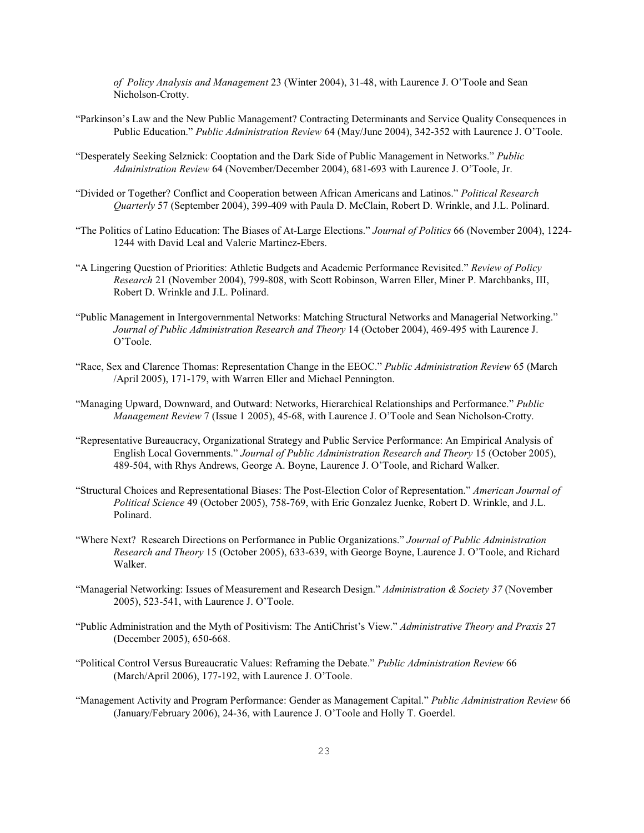*of Policy Analysis and Management* 23 (Winter 2004), 31-48, with Laurence J. O'Toole and Sean Nicholson-Crotty.

- "Parkinson's Law and the New Public Management? Contracting Determinants and Service Quality Consequences in Public Education." *Public Administration Review* 64 (May/June 2004), 342-352 with Laurence J. O'Toole.
- "Desperately Seeking Selznick: Cooptation and the Dark Side of Public Management in Networks." *Public Administration Review* 64 (November/December 2004), 681-693 with Laurence J. O'Toole, Jr.
- "Divided or Together? Conflict and Cooperation between African Americans and Latinos." *Political Research Quarterly* 57 (September 2004), 399-409 with Paula D. McClain, Robert D. Wrinkle, and J.L. Polinard.
- "The Politics of Latino Education: The Biases of At-Large Elections." *Journal of Politics* 66 (November 2004), 1224- 1244 with David Leal and Valerie Martinez-Ebers.
- "A Lingering Question of Priorities: Athletic Budgets and Academic Performance Revisited." *Review of Policy Research* 21 (November 2004), 799-808, with Scott Robinson, Warren Eller, Miner P. Marchbanks, III, Robert D. Wrinkle and J.L. Polinard.
- "Public Management in Intergovernmental Networks: Matching Structural Networks and Managerial Networking." *Journal of Public Administration Research and Theory* 14 (October 2004), 469-495 with Laurence J. O'Toole.
- "Race, Sex and Clarence Thomas: Representation Change in the EEOC." *Public Administration Review* 65 (March /April 2005), 171-179, with Warren Eller and Michael Pennington.
- "Managing Upward, Downward, and Outward: Networks, Hierarchical Relationships and Performance." *Public Management Review* 7 (Issue 1 2005), 45-68, with Laurence J. O'Toole and Sean Nicholson-Crotty.
- "Representative Bureaucracy, Organizational Strategy and Public Service Performance: An Empirical Analysis of English Local Governments." *Journal of Public Administration Research and Theory* 15 (October 2005), 489-504, with Rhys Andrews, George A. Boyne, Laurence J. O'Toole, and Richard Walker.
- "Structural Choices and Representational Biases: The Post-Election Color of Representation." *American Journal of Political Science* 49 (October 2005), 758-769, with Eric Gonzalez Juenke, Robert D. Wrinkle, and J.L. Polinard.
- "Where Next? Research Directions on Performance in Public Organizations." *Journal of Public Administration Research and Theory* 15 (October 2005), 633-639, with George Boyne, Laurence J. O'Toole, and Richard Walker.
- "Managerial Networking: Issues of Measurement and Research Design." *Administration & Society 37* (November 2005), 523-541, with Laurence J. O'Toole.
- "Public Administration and the Myth of Positivism: The AntiChrist's View." *Administrative Theory and Praxis* 27 (December 2005), 650-668.
- "Political Control Versus Bureaucratic Values: Reframing the Debate." *Public Administration Review* 66 (March/April 2006), 177-192, with Laurence J. O'Toole.
- "Management Activity and Program Performance: Gender as Management Capital." *Public Administration Review* 66 (January/February 2006), 24-36, with Laurence J. O'Toole and Holly T. Goerdel.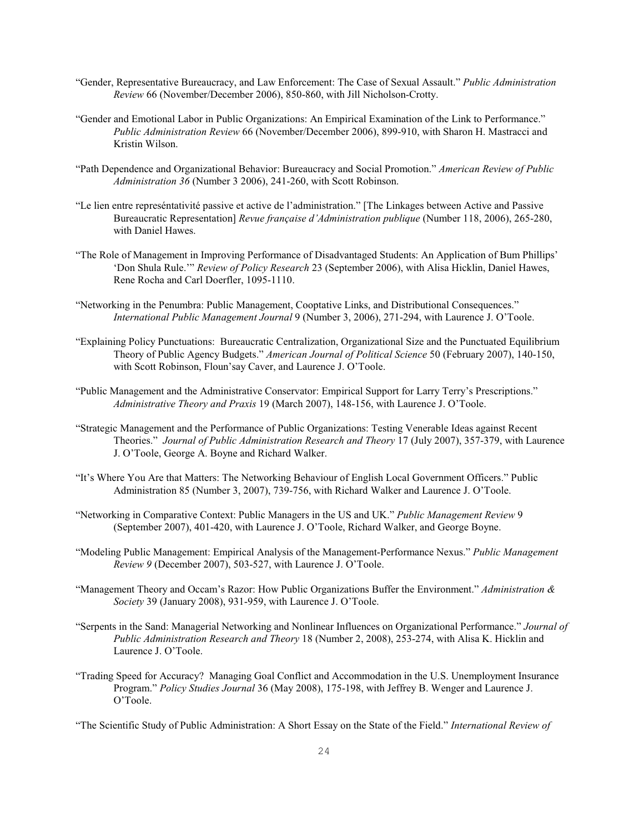- "Gender, Representative Bureaucracy, and Law Enforcement: The Case of Sexual Assault." *Public Administration Review* 66 (November/December 2006), 850-860, with Jill Nicholson-Crotty.
- "Gender and Emotional Labor in Public Organizations: An Empirical Examination of the Link to Performance." *Public Administration Review* 66 (November/December 2006), 899-910, with Sharon H. Mastracci and Kristin Wilson.
- "Path Dependence and Organizational Behavior: Bureaucracy and Social Promotion." *American Review of Public Administration 36* (Number 3 2006), 241-260, with Scott Robinson.
- "Le lien entre represéntativité passive et active de l'administration." [The Linkages between Active and Passive Bureaucratic Representation] *Revue française d'Administration publique* (Number 118, 2006), 265-280, with Daniel Hawes.
- "The Role of Management in Improving Performance of Disadvantaged Students: An Application of Bum Phillips' 'Don Shula Rule.'" *Review of Policy Research* 23 (September 2006), with Alisa Hicklin, Daniel Hawes, Rene Rocha and Carl Doerfler, 1095-1110.
- "Networking in the Penumbra: Public Management, Cooptative Links, and Distributional Consequences." *International Public Management Journal* 9 (Number 3, 2006), 271-294, with Laurence J. O'Toole.
- "Explaining Policy Punctuations: Bureaucratic Centralization, Organizational Size and the Punctuated Equilibrium Theory of Public Agency Budgets." *American Journal of Political Science* 50 (February 2007), 140-150, with Scott Robinson, Floun'say Caver, and Laurence J. O'Toole.
- "Public Management and the Administrative Conservator: Empirical Support for Larry Terry's Prescriptions." *Administrative Theory and Praxis* 19 (March 2007), 148-156, with Laurence J. O'Toole.
- "Strategic Management and the Performance of Public Organizations: Testing Venerable Ideas against Recent Theories." *Journal of Public Administration Research and Theory* 17 (July 2007), 357-379, with Laurence J. O'Toole, George A. Boyne and Richard Walker.
- "It's Where You Are that Matters: The Networking Behaviour of English Local Government Officers." Public Administration 85 (Number 3, 2007), 739-756, with Richard Walker and Laurence J. O'Toole.
- "Networking in Comparative Context: Public Managers in the US and UK." *Public Management Review* 9 (September 2007), 401-420, with Laurence J. O'Toole, Richard Walker, and George Boyne.
- "Modeling Public Management: Empirical Analysis of the Management-Performance Nexus." *Public Management Review 9* (December 2007), 503-527, with Laurence J. O'Toole.
- "Management Theory and Occam's Razor: How Public Organizations Buffer the Environment." *Administration & Society* 39 (January 2008), 931-959, with Laurence J. O'Toole.
- "Serpents in the Sand: Managerial Networking and Nonlinear Influences on Organizational Performance." *Journal of Public Administration Research and Theory* 18 (Number 2, 2008), 253-274, with Alisa K. Hicklin and Laurence J. O'Toole.
- "Trading Speed for Accuracy? Managing Goal Conflict and Accommodation in the U.S. Unemployment Insurance Program." *Policy Studies Journal* 36 (May 2008), 175-198, with Jeffrey B. Wenger and Laurence J. O'Toole.

"The Scientific Study of Public Administration: A Short Essay on the State of the Field." *International Review of*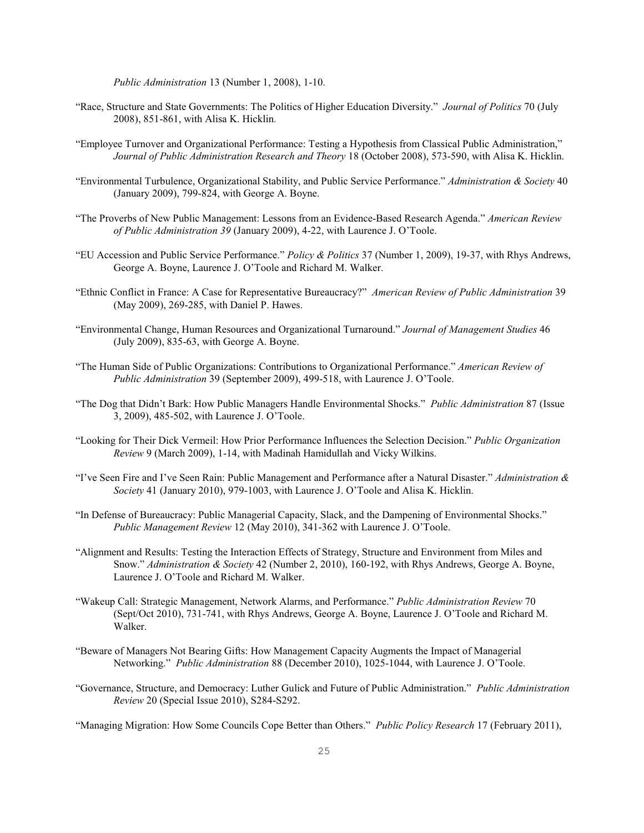*Public Administration* 13 (Number 1, 2008), 1-10.

- "Race, Structure and State Governments: The Politics of Higher Education Diversity." *Journal of Politics* 70 (July 2008), 851-861, with Alisa K. Hicklin.
- "Employee Turnover and Organizational Performance: Testing a Hypothesis from Classical Public Administration," *Journal of Public Administration Research and Theory* 18 (October 2008), 573-590, with Alisa K. Hicklin.
- "Environmental Turbulence, Organizational Stability, and Public Service Performance." *Administration & Society* 40 (January 2009), 799-824, with George A. Boyne.
- "The Proverbs of New Public Management: Lessons from an Evidence-Based Research Agenda." *American Review of Public Administration 39* (January 2009), 4-22, with Laurence J. O'Toole.
- "EU Accession and Public Service Performance." *Policy & Politics* 37 (Number 1, 2009), 19-37, with Rhys Andrews, George A. Boyne, Laurence J. O'Toole and Richard M. Walker.
- "Ethnic Conflict in France: A Case for Representative Bureaucracy?" *American Review of Public Administration* 39 (May 2009), 269-285, with Daniel P. Hawes.
- "Environmental Change, Human Resources and Organizational Turnaround." *Journal of Management Studies* 46 (July 2009), 835-63, with George A. Boyne.
- "The Human Side of Public Organizations: Contributions to Organizational Performance." *American Review of Public Administration* 39 (September 2009), 499-518, with Laurence J. O'Toole.
- "The Dog that Didn't Bark: How Public Managers Handle Environmental Shocks." *Public Administration* 87 (Issue 3, 2009), 485-502, with Laurence J. O'Toole.
- "Looking for Their Dick Vermeil: How Prior Performance Influences the Selection Decision." *Public Organization Review* 9 (March 2009), 1-14, with Madinah Hamidullah and Vicky Wilkins.
- "I've Seen Fire and I've Seen Rain: Public Management and Performance after a Natural Disaster." *Administration & Society* 41 (January 2010), 979-1003, with Laurence J. O'Toole and Alisa K. Hicklin.
- "In Defense of Bureaucracy: Public Managerial Capacity, Slack, and the Dampening of Environmental Shocks." *Public Management Review* 12 (May 2010), 341-362 with Laurence J. O'Toole.
- "Alignment and Results: Testing the Interaction Effects of Strategy, Structure and Environment from Miles and Snow." *Administration & Society* 42 (Number 2, 2010), 160-192, with Rhys Andrews, George A. Boyne, Laurence J. O'Toole and Richard M. Walker.
- "Wakeup Call: Strategic Management, Network Alarms, and Performance." *Public Administration Review* 70 (Sept/Oct 2010), 731-741, with Rhys Andrews, George A. Boyne, Laurence J. O'Toole and Richard M. Walker.
- "Beware of Managers Not Bearing Gifts: How Management Capacity Augments the Impact of Managerial Networking." *Public Administration* 88 (December 2010), 1025-1044, with Laurence J. O'Toole.
- "Governance, Structure, and Democracy: Luther Gulick and Future of Public Administration." *Public Administration Review* 20 (Special Issue 2010), S284-S292.

"Managing Migration: How Some Councils Cope Better than Others." *Public Policy Research* 17 (February 2011),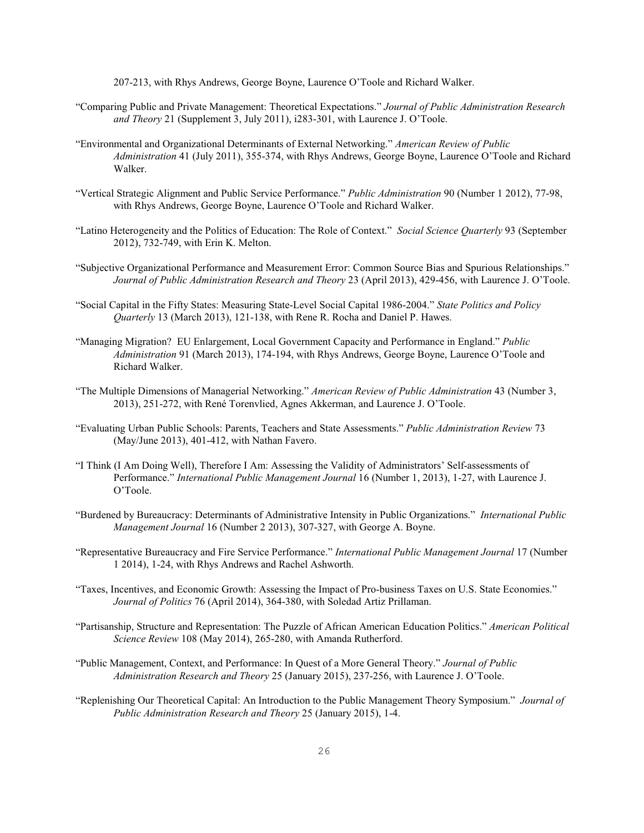207-213, with Rhys Andrews, George Boyne, Laurence O'Toole and Richard Walker.

- "Comparing Public and Private Management: Theoretical Expectations." *Journal of Public Administration Research and Theory* 21 (Supplement 3, July 2011), i283-301, with Laurence J. O'Toole.
- "Environmental and Organizational Determinants of External Networking." *American Review of Public Administration* 41 (July 2011), 355-374, with Rhys Andrews, George Boyne, Laurence O'Toole and Richard Walker.
- "Vertical Strategic Alignment and Public Service Performance." *Public Administration* 90 (Number 1 2012), 77-98, with Rhys Andrews, George Boyne, Laurence O'Toole and Richard Walker.
- "Latino Heterogeneity and the Politics of Education: The Role of Context." *Social Science Quarterly* 93 (September 2012), 732-749, with Erin K. Melton.
- "Subjective Organizational Performance and Measurement Error: Common Source Bias and Spurious Relationships." *Journal of Public Administration Research and Theory* 23 (April 2013), 429-456, with Laurence J. O'Toole.
- "Social Capital in the Fifty States: Measuring State-Level Social Capital 1986-2004." *State Politics and Policy Quarterly* 13 (March 2013), 121-138, with Rene R. Rocha and Daniel P. Hawes.
- "Managing Migration? EU Enlargement, Local Government Capacity and Performance in England." *Public Administration* 91 (March 2013), 174-194, with Rhys Andrews, George Boyne, Laurence O'Toole and Richard Walker.
- "The Multiple Dimensions of Managerial Networking." *American Review of Public Administration* 43 (Number 3, 2013), 251-272, with René Torenvlied, Agnes Akkerman, and Laurence J. O'Toole.
- "Evaluating Urban Public Schools: Parents, Teachers and State Assessments." *Public Administration Review* 73 (May/June 2013), 401-412, with Nathan Favero.
- "I Think (I Am Doing Well), Therefore I Am: Assessing the Validity of Administrators' Self-assessments of Performance." *International Public Management Journal* 16 (Number 1, 2013), 1-27, with Laurence J. O'Toole.
- "Burdened by Bureaucracy: Determinants of Administrative Intensity in Public Organizations." *International Public Management Journal* 16 (Number 2 2013), 307-327, with George A. Boyne.
- "Representative Bureaucracy and Fire Service Performance." *International Public Management Journal* 17 (Number 1 2014), 1-24, with Rhys Andrews and Rachel Ashworth.
- "Taxes, Incentives, and Economic Growth: Assessing the Impact of Pro-business Taxes on U.S. State Economies." *Journal of Politics* 76 (April 2014), 364-380, with Soledad Artiz Prillaman.
- "Partisanship, Structure and Representation: The Puzzle of African American Education Politics." *American Political Science Review* 108 (May 2014), 265-280, with Amanda Rutherford.
- "Public Management, Context, and Performance: In Quest of a More General Theory." *Journal of Public Administration Research and Theory* 25 (January 2015), 237-256, with Laurence J. O'Toole.
- "Replenishing Our Theoretical Capital: An Introduction to the Public Management Theory Symposium." *Journal of Public Administration Research and Theory* 25 (January 2015), 1-4.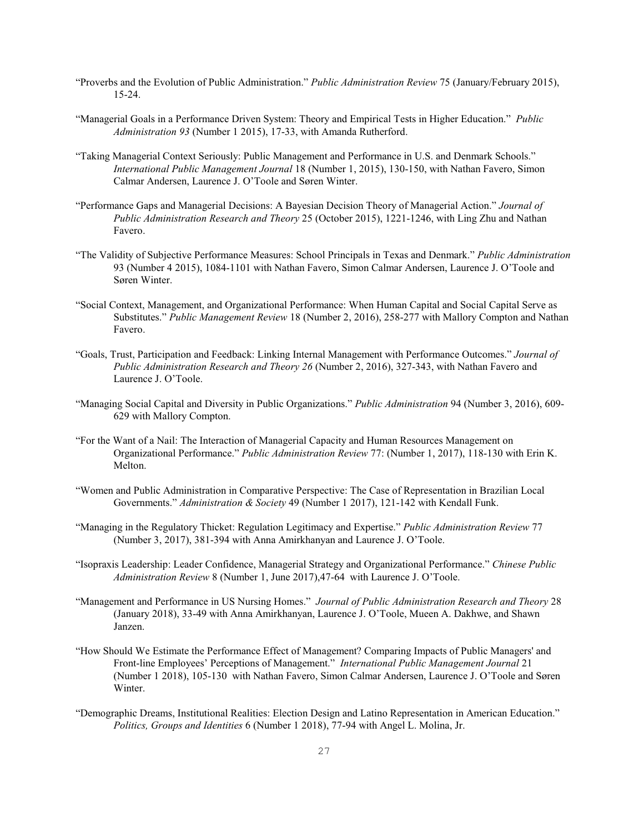- "Proverbs and the Evolution of Public Administration." *Public Administration Review* 75 (January/February 2015), 15-24.
- "Managerial Goals in a Performance Driven System: Theory and Empirical Tests in Higher Education." *Public Administration 93* (Number 1 2015), 17-33, with Amanda Rutherford.
- "Taking Managerial Context Seriously: Public Management and Performance in U.S. and Denmark Schools." *International Public Management Journal* 18 (Number 1, 2015), 130-150, with Nathan Favero, Simon Calmar Andersen, Laurence J. O'Toole and Søren Winter.
- "Performance Gaps and Managerial Decisions: A Bayesian Decision Theory of Managerial Action." *Journal of Public Administration Research and Theory* 25 (October 2015), 1221-1246, with Ling Zhu and Nathan Favero.
- "The Validity of Subjective Performance Measures: School Principals in Texas and Denmark." *Public Administration* 93 (Number 4 2015), 1084-1101 with Nathan Favero, Simon Calmar Andersen, Laurence J. O'Toole and Søren Winter.
- "Social Context, Management, and Organizational Performance: When Human Capital and Social Capital Serve as Substitutes." *Public Management Review* 18 (Number 2, 2016), 258-277 with Mallory Compton and Nathan Favero.
- "Goals, Trust, Participation and Feedback: Linking Internal Management with Performance Outcomes." *Journal of Public Administration Research and Theory 26* (Number 2, 2016), 327-343, with Nathan Favero and Laurence J. O'Toole.
- "Managing Social Capital and Diversity in Public Organizations." *Public Administration* 94 (Number 3, 2016), 609- 629 with Mallory Compton.
- "For the Want of a Nail: The Interaction of Managerial Capacity and Human Resources Management on Organizational Performance." *Public Administration Review* 77: (Number 1, 2017), 118-130 with Erin K. Melton.
- "Women and Public Administration in Comparative Perspective: The Case of Representation in Brazilian Local Governments." *Administration & Society* 49 (Number 1 2017), 121-142 with Kendall Funk.
- "Managing in the Regulatory Thicket: Regulation Legitimacy and Expertise." *Public Administration Review* 77 (Number 3, 2017), 381-394 with Anna Amirkhanyan and Laurence J. O'Toole.
- "Isopraxis Leadership: Leader Confidence, Managerial Strategy and Organizational Performance." *Chinese Public Administration Review* 8 (Number 1, June 2017),47-64 with Laurence J. O'Toole.
- "Management and Performance in US Nursing Homes." *Journal of Public Administration Research and Theory* 28 (January 2018), 33-49 with Anna Amirkhanyan, Laurence J. O'Toole, Mueen A. Dakhwe, and Shawn Janzen.
- "How Should We Estimate the Performance Effect of Management? Comparing Impacts of Public Managers' and Front-line Employees' Perceptions of Management." *International Public Management Journal* 21 (Number 1 2018), 105-130 with Nathan Favero, Simon Calmar Andersen, Laurence J. O'Toole and Søren Winter.
- "Demographic Dreams, Institutional Realities: Election Design and Latino Representation in American Education." *Politics, Groups and Identities* 6 (Number 1 2018), 77-94 with Angel L. Molina, Jr.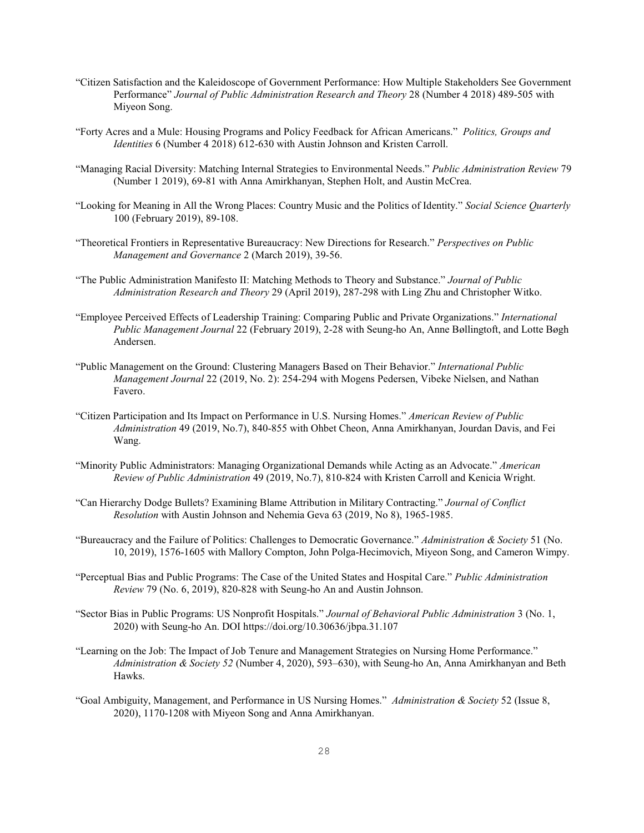- "Citizen Satisfaction and the Kaleidoscope of Government Performance: How Multiple Stakeholders See Government Performance" *Journal of Public Administration Research and Theory* 28 (Number 4 2018) 489-505 with Miyeon Song.
- "Forty Acres and a Mule: Housing Programs and Policy Feedback for African Americans." *Politics, Groups and Identities* 6 (Number 4 2018) 612-630 with Austin Johnson and Kristen Carroll.
- "Managing Racial Diversity: Matching Internal Strategies to Environmental Needs." *Public Administration Review* 79 (Number 1 2019), 69-81 with Anna Amirkhanyan, Stephen Holt, and Austin McCrea.
- "Looking for Meaning in All the Wrong Places: Country Music and the Politics of Identity." *Social Science Quarterly* 100 (February 2019), 89-108.
- "Theoretical Frontiers in Representative Bureaucracy: New Directions for Research." *Perspectives on Public Management and Governance* 2 (March 2019), 39-56.
- "The Public Administration Manifesto II: Matching Methods to Theory and Substance." *Journal of Public Administration Research and Theory* 29 (April 2019), 287-298 with Ling Zhu and Christopher Witko.
- "Employee Perceived Effects of Leadership Training: Comparing Public and Private Organizations." *International Public Management Journal* 22 (February 2019), 2-28 with Seung-ho An, Anne Bøllingtoft, and Lotte Bøgh Andersen.
- "Public Management on the Ground: Clustering Managers Based on Their Behavior." *International Public Management Journal* 22 (2019, No. 2): 254-294 with Mogens Pedersen, Vibeke Nielsen, and Nathan Favero.
- "Citizen Participation and Its Impact on Performance in U.S. Nursing Homes." *American Review of Public Administration* 49 (2019, No.7), 840-855 with Ohbet Cheon, Anna Amirkhanyan, Jourdan Davis, and Fei Wang.
- "Minority Public Administrators: Managing Organizational Demands while Acting as an Advocate." *American Review of Public Administration* 49 (2019, No.7), 810-824 with Kristen Carroll and Kenicia Wright.
- "Can Hierarchy Dodge Bullets? Examining Blame Attribution in Military Contracting." *Journal of Conflict Resolution* with Austin Johnson and Nehemia Geva 63 (2019, No 8), 1965-1985.
- "Bureaucracy and the Failure of Politics: Challenges to Democratic Governance." *Administration & Society* 51 (No. 10, 2019), 1576-1605 with Mallory Compton, John Polga-Hecimovich, Miyeon Song, and Cameron Wimpy.
- "Perceptual Bias and Public Programs: The Case of the United States and Hospital Care." *Public Administration Review* 79 (No. 6, 2019), 820-828 with Seung-ho An and Austin Johnson.
- "Sector Bias in Public Programs: US Nonprofit Hospitals." *Journal of Behavioral Public Administration* 3 (No. 1, 2020) with Seung-ho An. DOI https://doi.org/10.30636/jbpa.31.107
- "Learning on the Job: The Impact of Job Tenure and Management Strategies on Nursing Home Performance." *Administration & Society 52* (Number 4, 2020), 593–630), with Seung-ho An, Anna Amirkhanyan and Beth Hawks.
- "Goal Ambiguity, Management, and Performance in US Nursing Homes." *Administration & Society* 52 (Issue 8, 2020), 1170-1208 with Miyeon Song and Anna Amirkhanyan.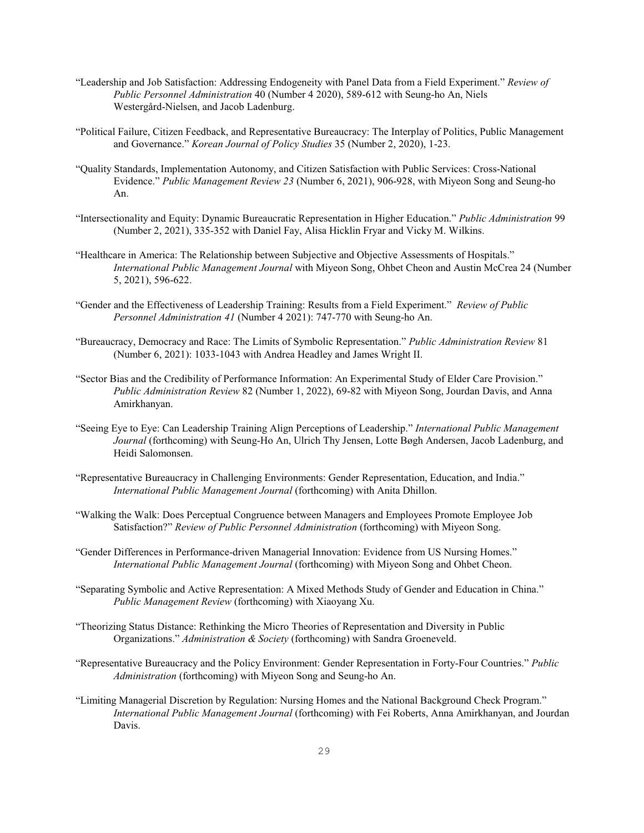- "Leadership and Job Satisfaction: Addressing Endogeneity with Panel Data from a Field Experiment." *Review of Public Personnel Administration* 40 (Number 4 2020), 589-612 with Seung-ho An, Niels Westergård-Nielsen, and Jacob Ladenburg.
- "Political Failure, Citizen Feedback, and Representative Bureaucracy: The Interplay of Politics, Public Management and Governance." *Korean Journal of Policy Studies* 35 (Number 2, 2020), 1-23.
- "Quality Standards, Implementation Autonomy, and Citizen Satisfaction with Public Services: Cross-National Evidence." *Public Management Review 23* (Number 6, 2021), 906-928, with Miyeon Song and Seung-ho An.
- "Intersectionality and Equity: Dynamic Bureaucratic Representation in Higher Education." *Public Administration* 99 (Number 2, 2021), 335-352 with Daniel Fay, Alisa Hicklin Fryar and Vicky M. Wilkins.
- "Healthcare in America: The Relationship between Subjective and Objective Assessments of Hospitals." *International Public Management Journal* with Miyeon Song, Ohbet Cheon and Austin McCrea 24 (Number 5, 2021), 596-622.
- "Gender and the Effectiveness of Leadership Training: Results from a Field Experiment." *Review of Public Personnel Administration 41* (Number 4 2021): 747-770 with Seung-ho An.
- "Bureaucracy, Democracy and Race: The Limits of Symbolic Representation." *Public Administration Review* 81 (Number 6, 2021): 1033-1043 with Andrea Headley and James Wright II.
- "Sector Bias and the Credibility of Performance Information: An Experimental Study of Elder Care Provision." *Public Administration Review* 82 (Number 1, 2022), 69-82 with Miyeon Song, Jourdan Davis, and Anna Amirkhanyan.
- "Seeing Eye to Eye: Can Leadership Training Align Perceptions of Leadership." *International Public Management Journal* (forthcoming) with Seung-Ho An, Ulrich Thy Jensen, Lotte Bøgh Andersen, Jacob Ladenburg, and Heidi Salomonsen.
- "Representative Bureaucracy in Challenging Environments: Gender Representation, Education, and India." *International Public Management Journal* (forthcoming) with Anita Dhillon.
- "Walking the Walk: Does Perceptual Congruence between Managers and Employees Promote Employee Job Satisfaction?" *Review of Public Personnel Administration* (forthcoming) with Miyeon Song.
- "Gender Differences in Performance-driven Managerial Innovation: Evidence from US Nursing Homes." *International Public Management Journal* (forthcoming) with Miyeon Song and Ohbet Cheon.
- "Separating Symbolic and Active Representation: A Mixed Methods Study of Gender and Education in China." *Public Management Review* (forthcoming) with Xiaoyang Xu.
- "Theorizing Status Distance: Rethinking the Micro Theories of Representation and Diversity in Public Organizations." *Administration & Society* (forthcoming) with Sandra Groeneveld.
- "Representative Bureaucracy and the Policy Environment: Gender Representation in Forty-Four Countries." *Public Administration* (forthcoming) with Miyeon Song and Seung-ho An.
- "Limiting Managerial Discretion by Regulation: Nursing Homes and the National Background Check Program." *International Public Management Journal* (forthcoming) with Fei Roberts, Anna Amirkhanyan, and Jourdan Davis.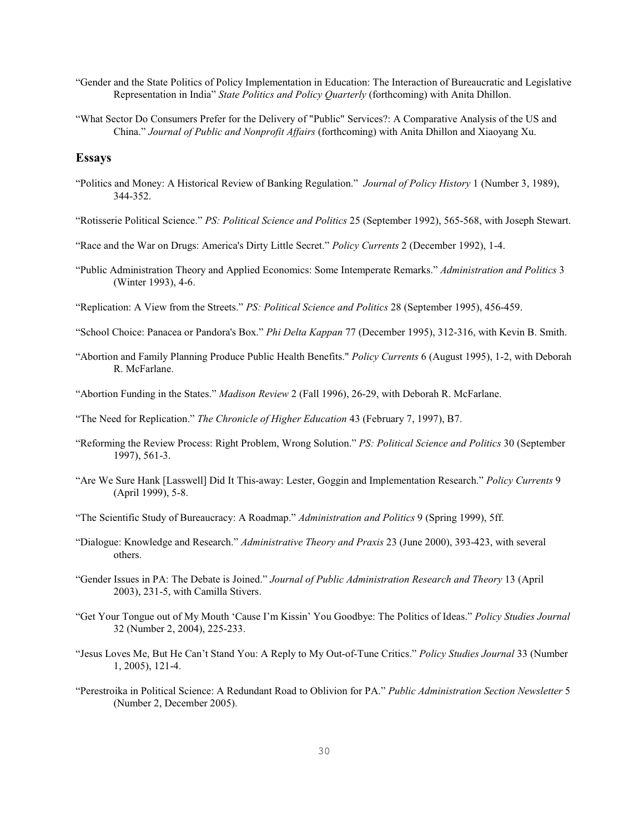"Gender and the State Politics of Policy Implementation in Education: The Interaction of Bureaucratic and Legislative Representation in India" *State Politics and Policy Quarterly* (forthcoming) with Anita Dhillon.

"What Sector Do Consumers Prefer for the Delivery of "Public" Services?: A Comparative Analysis of the US and China." *Journal of Public and Nonprofit Affairs* (forthcoming) with Anita Dhillon and Xiaoyang Xu.

### **Essays**

"Politics and Money: A Historical Review of Banking Regulation." *Journal of Policy History* 1 (Number 3, 1989), 344-352.

"Rotisserie Political Science." *PS: Political Science and Politics* 25 (September 1992), 565-568, with Joseph Stewart.

- "Race and the War on Drugs: America's Dirty Little Secret." *Policy Currents* 2 (December 1992), 1-4.
- "Public Administration Theory and Applied Economics: Some Intemperate Remarks." *Administration and Politics* 3 (Winter 1993), 4-6.
- "Replication: A View from the Streets." *PS: Political Science and Politics* 28 (September 1995), 456-459.
- "School Choice: Panacea or Pandora's Box." *Phi Delta Kappan* 77 (December 1995), 312-316, with Kevin B. Smith.
- "Abortion and Family Planning Produce Public Health Benefits." *Policy Currents* 6 (August 1995), 1-2, with Deborah R. McFarlane.
- "Abortion Funding in the States." *Madison Review* 2 (Fall 1996), 26-29, with Deborah R. McFarlane.
- "The Need for Replication." *The Chronicle of Higher Education* 43 (February 7, 1997), B7.
- "Reforming the Review Process: Right Problem, Wrong Solution." *PS: Political Science and Politics* 30 (September 1997), 561-3.
- "Are We Sure Hank [Lasswell] Did It This-away: Lester, Goggin and Implementation Research." *Policy Currents* 9 (April 1999), 5-8.
- "The Scientific Study of Bureaucracy: A Roadmap." *Administration and Politics* 9 (Spring 1999), 5ff.
- "Dialogue: Knowledge and Research." *Administrative Theory and Praxis* 23 (June 2000), 393-423, with several others.
- "Gender Issues in PA: The Debate is Joined." *Journal of Public Administration Research and Theory* 13 (April 2003), 231-5, with Camilla Stivers.
- "Get Your Tongue out of My Mouth 'Cause I'm Kissin' You Goodbye: The Politics of Ideas." *Policy Studies Journal* 32 (Number 2, 2004), 225-233.
- "Jesus Loves Me, But He Can't Stand You: A Reply to My Out-of-Tune Critics." *Policy Studies Journal* 33 (Number 1, 2005), 121-4.
- "Perestroika in Political Science: A Redundant Road to Oblivion for PA." *Public Administration Section Newsletter* 5 (Number 2, December 2005).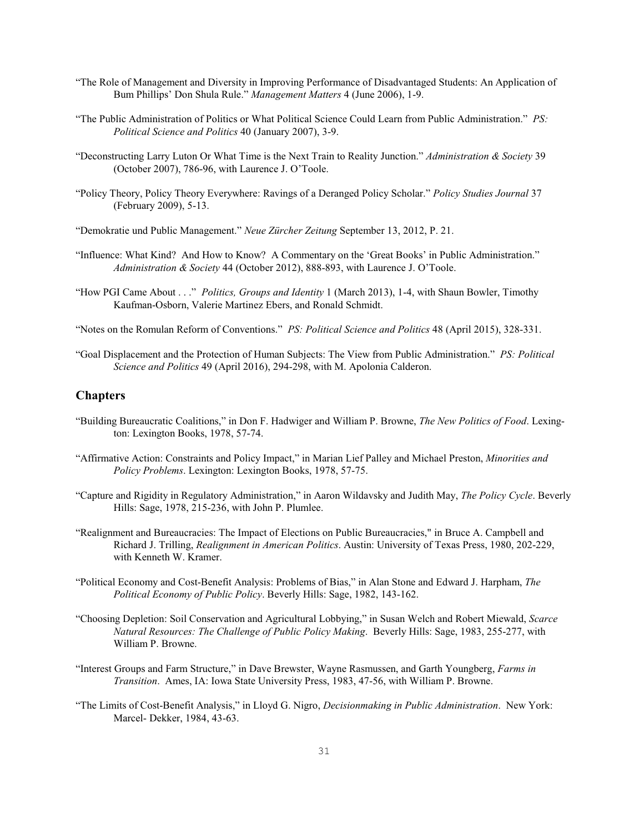- "The Role of Management and Diversity in Improving Performance of Disadvantaged Students: An Application of Bum Phillips' Don Shula Rule." *Management Matters* 4 (June 2006), 1-9.
- "The Public Administration of Politics or What Political Science Could Learn from Public Administration." *PS: Political Science and Politics* 40 (January 2007), 3-9.
- "Deconstructing Larry Luton Or What Time is the Next Train to Reality Junction." *Administration & Society* 39 (October 2007), 786-96, with Laurence J. O'Toole.
- "Policy Theory, Policy Theory Everywhere: Ravings of a Deranged Policy Scholar." *Policy Studies Journal* 37 (February 2009), 5-13.
- "Demokratie und Public Management." *Neue Zürcher Zeitung* September 13, 2012, P. 21.
- "Influence: What Kind? And How to Know? A Commentary on the 'Great Books' in Public Administration." *Administration & Society* 44 (October 2012), 888-893, with Laurence J. O'Toole.
- "How PGI Came About . . ." *Politics, Groups and Identity* 1 (March 2013), 1-4, with Shaun Bowler, Timothy Kaufman-Osborn, Valerie Martinez Ebers, and Ronald Schmidt.
- "Notes on the Romulan Reform of Conventions." *PS: Political Science and Politics* 48 (April 2015), 328-331.
- "Goal Displacement and the Protection of Human Subjects: The View from Public Administration." *PS: Political Science and Politics* 49 (April 2016), 294-298, with M. Apolonia Calderon.

### **Chapters**

- "Building Bureaucratic Coalitions," in Don F. Hadwiger and William P. Browne, *The New Politics of Food*. Lexington: Lexington Books, 1978, 57-74.
- "Affirmative Action: Constraints and Policy Impact," in Marian Lief Palley and Michael Preston, *Minorities and Policy Problems*. Lexington: Lexington Books, 1978, 57-75.
- "Capture and Rigidity in Regulatory Administration," in Aaron Wildavsky and Judith May, *The Policy Cycle*. Beverly Hills: Sage, 1978, 215-236, with John P. Plumlee.
- "Realignment and Bureaucracies: The Impact of Elections on Public Bureaucracies," in Bruce A. Campbell and Richard J. Trilling, *Realignment in American Politics*. Austin: University of Texas Press, 1980, 202-229, with Kenneth W. Kramer.
- "Political Economy and Cost-Benefit Analysis: Problems of Bias," in Alan Stone and Edward J. Harpham, *The Political Economy of Public Policy*. Beverly Hills: Sage, 1982, 143-162.
- "Choosing Depletion: Soil Conservation and Agricultural Lobbying," in Susan Welch and Robert Miewald, *Scarce Natural Resources: The Challenge of Public Policy Making*. Beverly Hills: Sage, 1983, 255-277, with William P. Browne.
- "Interest Groups and Farm Structure," in Dave Brewster, Wayne Rasmussen, and Garth Youngberg, *Farms in Transition*. Ames, IA: Iowa State University Press, 1983, 47-56, with William P. Browne.
- "The Limits of Cost-Benefit Analysis," in Lloyd G. Nigro, *Decisionmaking in Public Administration*. New York: Marcel- Dekker, 1984, 43-63.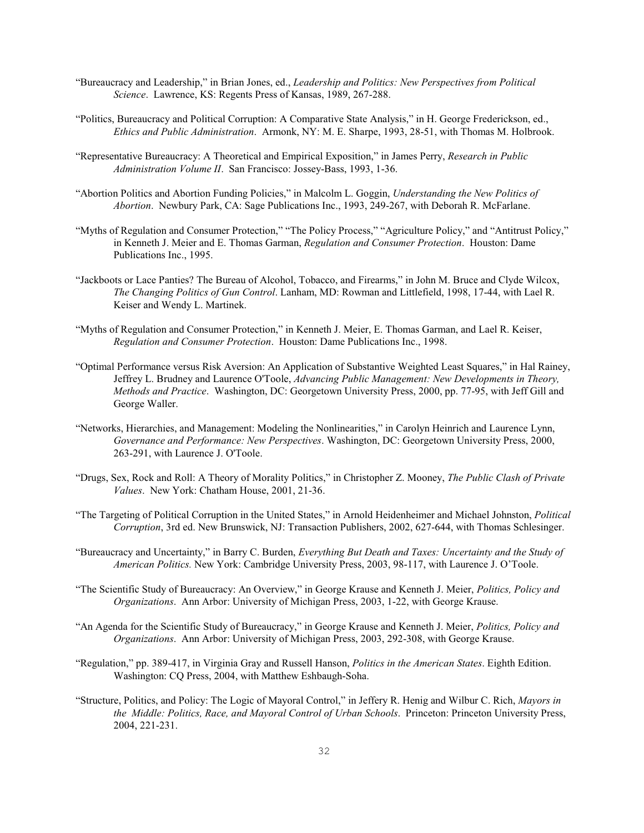- "Bureaucracy and Leadership," in Brian Jones, ed., *Leadership and Politics: New Perspectives from Political Science*. Lawrence, KS: Regents Press of Kansas, 1989, 267-288.
- "Politics, Bureaucracy and Political Corruption: A Comparative State Analysis," in H. George Frederickson, ed., *Ethics and Public Administration*. Armonk, NY: M. E. Sharpe, 1993, 28-51, with Thomas M. Holbrook.
- "Representative Bureaucracy: A Theoretical and Empirical Exposition," in James Perry, *Research in Public Administration Volume II*. San Francisco: Jossey-Bass, 1993, 1-36.
- "Abortion Politics and Abortion Funding Policies," in Malcolm L. Goggin, *Understanding the New Politics of Abortion*. Newbury Park, CA: Sage Publications Inc., 1993, 249-267, with Deborah R. McFarlane.
- "Myths of Regulation and Consumer Protection," "The Policy Process," "Agriculture Policy," and "Antitrust Policy," in Kenneth J. Meier and E. Thomas Garman, *Regulation and Consumer Protection*. Houston: Dame Publications Inc., 1995.
- "Jackboots or Lace Panties? The Bureau of Alcohol, Tobacco, and Firearms," in John M. Bruce and Clyde Wilcox, *The Changing Politics of Gun Control*. Lanham, MD: Rowman and Littlefield, 1998, 17-44, with Lael R. Keiser and Wendy L. Martinek.
- "Myths of Regulation and Consumer Protection," in Kenneth J. Meier, E. Thomas Garman, and Lael R. Keiser, *Regulation and Consumer Protection*. Houston: Dame Publications Inc., 1998.
- "Optimal Performance versus Risk Aversion: An Application of Substantive Weighted Least Squares," in Hal Rainey, Jeffrey L. Brudney and Laurence O'Toole, *Advancing Public Management: New Developments in Theory, Methods and Practice*. Washington, DC: Georgetown University Press, 2000, pp. 77-95, with Jeff Gill and George Waller.
- "Networks, Hierarchies, and Management: Modeling the Nonlinearities," in Carolyn Heinrich and Laurence Lynn, *Governance and Performance: New Perspectives*. Washington, DC: Georgetown University Press, 2000, 263-291, with Laurence J. O'Toole.
- "Drugs, Sex, Rock and Roll: A Theory of Morality Politics," in Christopher Z. Mooney, *The Public Clash of Private Values*. New York: Chatham House, 2001, 21-36.
- "The Targeting of Political Corruption in the United States," in Arnold Heidenheimer and Michael Johnston, *Political Corruption*, 3rd ed. New Brunswick, NJ: Transaction Publishers, 2002, 627-644, with Thomas Schlesinger.
- "Bureaucracy and Uncertainty," in Barry C. Burden, *Everything But Death and Taxes: Uncertainty and the Study of American Politics.* New York: Cambridge University Press, 2003, 98-117, with Laurence J. O'Toole.
- "The Scientific Study of Bureaucracy: An Overview," in George Krause and Kenneth J. Meier, *Politics, Policy and Organizations*. Ann Arbor: University of Michigan Press, 2003, 1-22, with George Krause.
- "An Agenda for the Scientific Study of Bureaucracy," in George Krause and Kenneth J. Meier, *Politics, Policy and Organizations*. Ann Arbor: University of Michigan Press, 2003, 292-308, with George Krause.
- "Regulation," pp. 389-417, in Virginia Gray and Russell Hanson, *Politics in the American States*. Eighth Edition. Washington: CQ Press, 2004, with Matthew Eshbaugh-Soha.
- "Structure, Politics, and Policy: The Logic of Mayoral Control," in Jeffery R. Henig and Wilbur C. Rich, *Mayors in the Middle: Politics, Race, and Mayoral Control of Urban Schools*. Princeton: Princeton University Press, 2004, 221-231.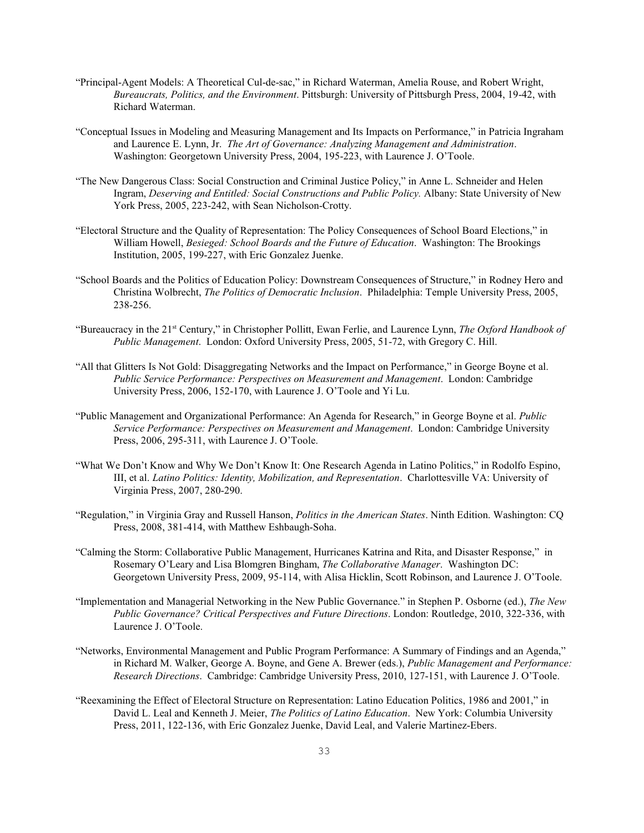- "Principal-Agent Models: A Theoretical Cul-de-sac," in Richard Waterman, Amelia Rouse, and Robert Wright, *Bureaucrats, Politics, and the Environment*. Pittsburgh: University of Pittsburgh Press, 2004, 19-42, with Richard Waterman.
- "Conceptual Issues in Modeling and Measuring Management and Its Impacts on Performance," in Patricia Ingraham and Laurence E. Lynn, Jr. *The Art of Governance: Analyzing Management and Administration*. Washington: Georgetown University Press, 2004, 195-223, with Laurence J. O'Toole.
- "The New Dangerous Class: Social Construction and Criminal Justice Policy," in Anne L. Schneider and Helen Ingram, *Deserving and Entitled: Social Constructions and Public Policy.* Albany: State University of New York Press, 2005, 223-242, with Sean Nicholson-Crotty.
- "Electoral Structure and the Quality of Representation: The Policy Consequences of School Board Elections," in William Howell, *Besieged: School Boards and the Future of Education*. Washington: The Brookings Institution, 2005, 199-227, with Eric Gonzalez Juenke.
- "School Boards and the Politics of Education Policy: Downstream Consequences of Structure," in Rodney Hero and Christina Wolbrecht, *The Politics of Democratic Inclusion*. Philadelphia: Temple University Press, 2005, 238-256.
- "Bureaucracy in the 21<sup>st</sup> Century," in Christopher Pollitt, Ewan Ferlie, and Laurence Lynn, The Oxford Handbook of *Public Management*. London: Oxford University Press, 2005, 51-72, with Gregory C. Hill.
- "All that Glitters Is Not Gold: Disaggregating Networks and the Impact on Performance," in George Boyne et al. *Public Service Performance: Perspectives on Measurement and Management*. London: Cambridge University Press, 2006, 152-170, with Laurence J. O'Toole and Yi Lu.
- "Public Management and Organizational Performance: An Agenda for Research," in George Boyne et al. *Public Service Performance: Perspectives on Measurement and Management*. London: Cambridge University Press, 2006, 295-311, with Laurence J. O'Toole.
- "What We Don't Know and Why We Don't Know It: One Research Agenda in Latino Politics," in Rodolfo Espino, III, et al. *Latino Politics: Identity, Mobilization, and Representation*. Charlottesville VA: University of Virginia Press, 2007, 280-290.
- "Regulation," in Virginia Gray and Russell Hanson, *Politics in the American States*. Ninth Edition. Washington: CQ Press, 2008, 381-414, with Matthew Eshbaugh-Soha.
- "Calming the Storm: Collaborative Public Management, Hurricanes Katrina and Rita, and Disaster Response," in Rosemary O'Leary and Lisa Blomgren Bingham, *The Collaborative Manager*. Washington DC: Georgetown University Press, 2009, 95-114, with Alisa Hicklin, Scott Robinson, and Laurence J. O'Toole.
- "Implementation and Managerial Networking in the New Public Governance." in Stephen P. Osborne (ed.), *The New Public Governance? Critical Perspectives and Future Directions*. London: Routledge, 2010, 322-336, with Laurence J. O'Toole.
- "Networks, Environmental Management and Public Program Performance: A Summary of Findings and an Agenda," in Richard M. Walker, George A. Boyne, and Gene A. Brewer (eds.), *Public Management and Performance: Research Directions*. Cambridge: Cambridge University Press, 2010, 127-151, with Laurence J. O'Toole.
- "Reexamining the Effect of Electoral Structure on Representation: Latino Education Politics, 1986 and 2001," in David L. Leal and Kenneth J. Meier, *The Politics of Latino Education*. New York: Columbia University Press, 2011, 122-136, with Eric Gonzalez Juenke, David Leal, and Valerie Martinez-Ebers.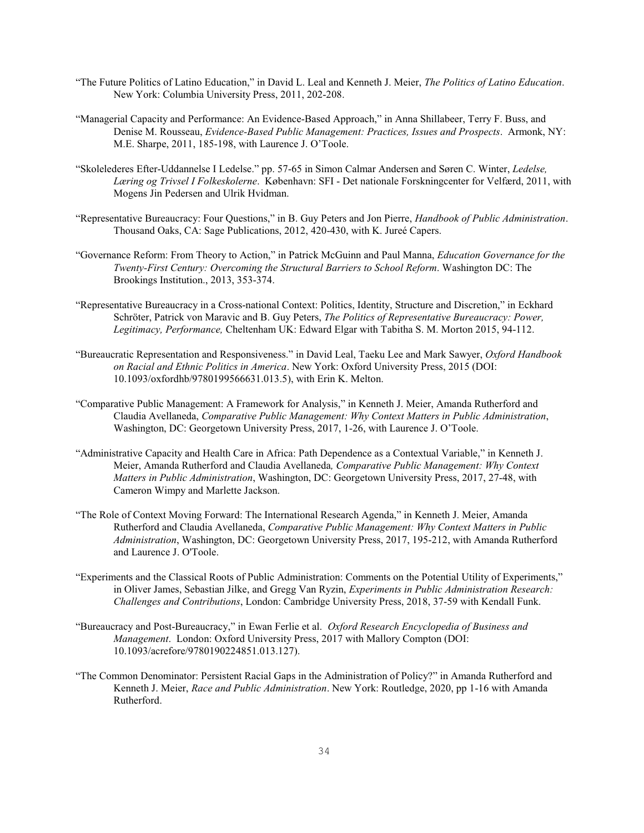- "The Future Politics of Latino Education," in David L. Leal and Kenneth J. Meier, *The Politics of Latino Education*. New York: Columbia University Press, 2011, 202-208.
- "Managerial Capacity and Performance: An Evidence-Based Approach," in Anna Shillabeer, Terry F. Buss, and Denise M. Rousseau, *Evidence-Based Public Management: Practices, Issues and Prospects*. Armonk, NY: M.E. Sharpe, 2011, 185-198, with Laurence J. O'Toole.
- "Skolelederes Efter-Uddannelse I Ledelse." pp. 57-65 in Simon Calmar Andersen and Søren C. Winter, *Ledelse, Læring og Trivsel I Folkeskolerne*. København: SFI - Det nationale Forskningcenter for Velfærd, 2011, with Mogens Jin Pedersen and Ulrik Hvidman.
- "Representative Bureaucracy: Four Questions," in B. Guy Peters and Jon Pierre, *Handbook of Public Administration*. Thousand Oaks, CA: Sage Publications, 2012, 420-430, with K. Jureé Capers.
- "Governance Reform: From Theory to Action," in Patrick McGuinn and Paul Manna, *Education Governance for the Twenty-First Century: Overcoming the Structural Barriers to School Reform*. Washington DC: The Brookings Institution., 2013, 353-374.
- "Representative Bureaucracy in a Cross-national Context: Politics, Identity, Structure and Discretion," in Eckhard Schröter, Patrick von Maravic and B. Guy Peters, *The Politics of Representative Bureaucracy: Power, Legitimacy, Performance,* Cheltenham UK: Edward Elgar with Tabitha S. M. Morton 2015, 94-112.
- "Bureaucratic Representation and Responsiveness." in David Leal, Taeku Lee and Mark Sawyer, *Oxford Handbook on Racial and Ethnic Politics in America*. New York: Oxford University Press, 2015 (DOI: 10.1093/oxfordhb/9780199566631.013.5), with Erin K. Melton.
- "Comparative Public Management: A Framework for Analysis," in Kenneth J. Meier, Amanda Rutherford and Claudia Avellaneda, *Comparative Public Management: Why Context Matters in Public Administration*, Washington, DC: Georgetown University Press, 2017, 1-26, with Laurence J. O'Toole.
- "Administrative Capacity and Health Care in Africa: Path Dependence as a Contextual Variable," in Kenneth J. Meier, Amanda Rutherford and Claudia Avellaneda*, Comparative Public Management: Why Context Matters in Public Administration*, Washington, DC: Georgetown University Press, 2017, 27-48, with Cameron Wimpy and Marlette Jackson.
- "The Role of Context Moving Forward: The International Research Agenda," in Kenneth J. Meier, Amanda Rutherford and Claudia Avellaneda, *Comparative Public Management: Why Context Matters in Public Administration*, Washington, DC: Georgetown University Press, 2017, 195-212, with Amanda Rutherford and Laurence J. O'Toole.
- "Experiments and the Classical Roots of Public Administration: Comments on the Potential Utility of Experiments," in Oliver James, Sebastian Jilke, and Gregg Van Ryzin, *Experiments in Public Administration Research: Challenges and Contributions*, London: Cambridge University Press, 2018, 37-59 with Kendall Funk.
- "Bureaucracy and Post-Bureaucracy," in Ewan Ferlie et al. *Oxford Research Encyclopedia of Business and Management*. London: Oxford University Press, 2017 with Mallory Compton (DOI: 10.1093/acrefore/9780190224851.013.127).
- "The Common Denominator: Persistent Racial Gaps in the Administration of Policy?" in Amanda Rutherford and Kenneth J. Meier, *Race and Public Administration*. New York: Routledge, 2020, pp 1-16 with Amanda Rutherford.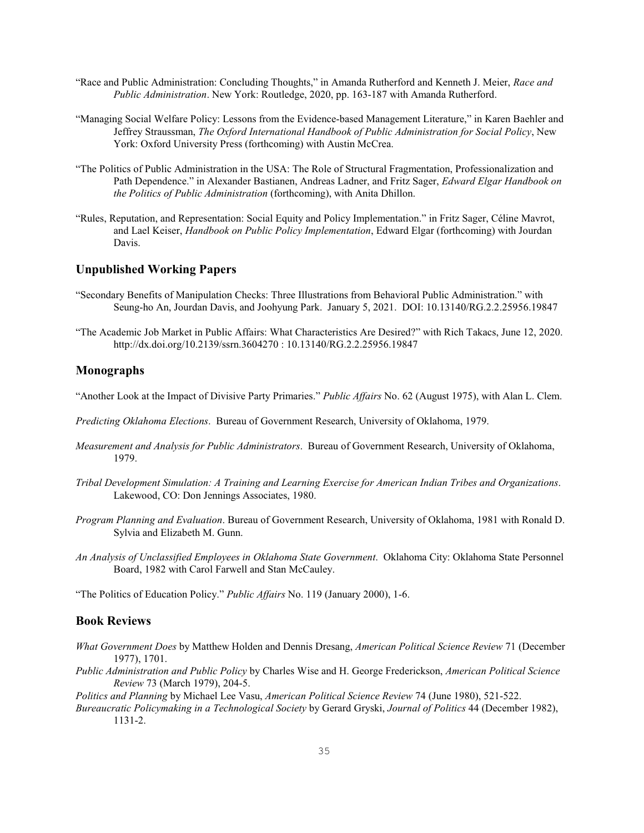- "Race and Public Administration: Concluding Thoughts," in Amanda Rutherford and Kenneth J. Meier, *Race and Public Administration*. New York: Routledge, 2020, pp. 163-187 with Amanda Rutherford.
- "Managing Social Welfare Policy: Lessons from the Evidence-based Management Literature," in Karen Baehler and Jeffrey Straussman, *The Oxford International Handbook of Public Administration for Social Policy*, New York: Oxford University Press (forthcoming) with Austin McCrea.
- "The Politics of Public Administration in the USA: The Role of Structural Fragmentation, Professionalization and Path Dependence." in Alexander Bastianen, Andreas Ladner, and Fritz Sager, *Edward Elgar Handbook on the Politics of Public Administration* (forthcoming), with Anita Dhillon.
- "Rules, Reputation, and Representation: Social Equity and Policy Implementation." in Fritz Sager, Céline Mavrot, and Lael Keiser, *Handbook on Public Policy Implementation*, Edward Elgar (forthcoming) with Jourdan Davis.

### **Unpublished Working Papers**

- "Secondary Benefits of Manipulation Checks: Three Illustrations from Behavioral Public Administration." with Seung-ho An, Jourdan Davis, and Joohyung Park. January 5, 2021. DOI: 10.13140/RG.2.2.25956.19847
- "The Academic Job Market in Public Affairs: What Characteristics Are Desired?" with Rich Takacs, June 12, 2020. http://dx.doi.org/10.2139/ssrn.3604270 : 10.13140/RG.2.2.25956.19847

### **Monographs**

"Another Look at the Impact of Divisive Party Primaries." *Public Affairs* No. 62 (August 1975), with Alan L. Clem.

- *Predicting Oklahoma Elections*. Bureau of Government Research, University of Oklahoma, 1979.
- *Measurement and Analysis for Public Administrators*. Bureau of Government Research, University of Oklahoma, 1979.
- *Tribal Development Simulation: A Training and Learning Exercise for American Indian Tribes and Organizations*. Lakewood, CO: Don Jennings Associates, 1980.
- *Program Planning and Evaluation*. Bureau of Government Research, University of Oklahoma, 1981 with Ronald D. Sylvia and Elizabeth M. Gunn.
- *An Analysis of Unclassified Employees in Oklahoma State Government*. Oklahoma City: Oklahoma State Personnel Board, 1982 with Carol Farwell and Stan McCauley.

"The Politics of Education Policy." *Public Affairs* No. 119 (January 2000), 1-6.

### **Book Reviews**

- *What Government Does* by Matthew Holden and Dennis Dresang, *American Political Science Review* 71 (December 1977), 1701.
- *Public Administration and Public Policy* by Charles Wise and H. George Frederickson, *American Political Science Review* 73 (March 1979), 204-5.

*Politics and Planning* by Michael Lee Vasu, *American Political Science Review* 74 (June 1980), 521-522.

*Bureaucratic Policymaking in a Technological Society* by Gerard Gryski, *Journal of Politics* 44 (December 1982), 1131-2.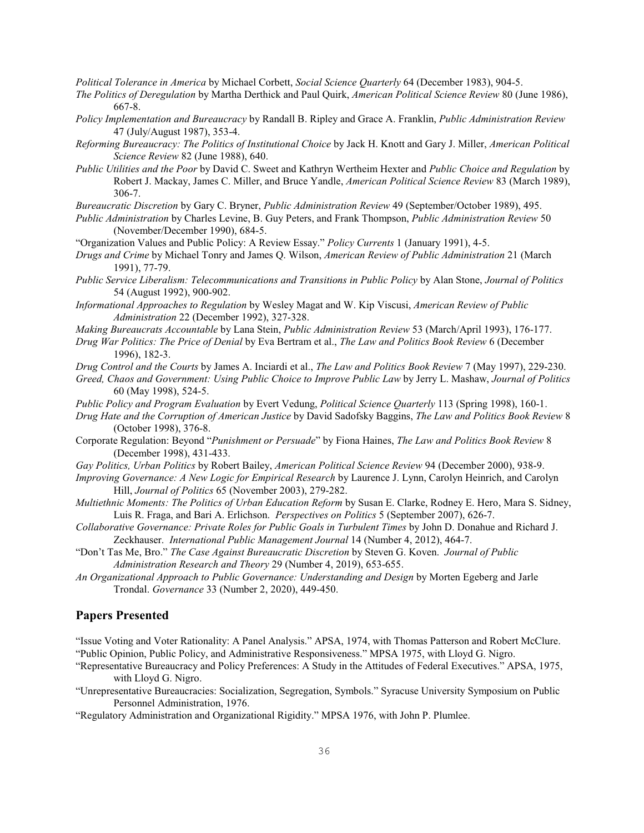*Political Tolerance in America* by Michael Corbett, *Social Science Quarterly* 64 (December 1983), 904-5.

- *The Politics of Deregulation* by Martha Derthick and Paul Quirk, *American Political Science Review* 80 (June 1986), 667-8.
- *Policy Implementation and Bureaucracy* by Randall B. Ripley and Grace A. Franklin, *Public Administration Review* 47 (July/August 1987), 353-4.
- *Reforming Bureaucracy: The Politics of Institutional Choice* by Jack H. Knott and Gary J. Miller, *American Political Science Review* 82 (June 1988), 640.
- *Public Utilities and the Poor* by David C. Sweet and Kathryn Wertheim Hexter and *Public Choice and Regulation* by Robert J. Mackay, James C. Miller, and Bruce Yandle, *American Political Science Review* 83 (March 1989), 306-7.

*Bureaucratic Discretion* by Gary C. Bryner, *Public Administration Review* 49 (September/October 1989), 495.

- *Public Administration* by Charles Levine, B. Guy Peters, and Frank Thompson, *Public Administration Review* 50 (November/December 1990), 684-5.
- "Organization Values and Public Policy: A Review Essay." *Policy Currents* 1 (January 1991), 4-5.
- *Drugs and Crime* by Michael Tonry and James Q. Wilson, *American Review of Public Administration* 21 (March 1991), 77-79.
- *Public Service Liberalism: Telecommunications and Transitions in Public Policy* by Alan Stone, *Journal of Politics* 54 (August 1992), 900-902.
- *Informational Approaches to Regulation* by Wesley Magat and W. Kip Viscusi, *American Review of Public Administration* 22 (December 1992), 327-328.
- *Making Bureaucrats Accountable* by Lana Stein, *Public Administration Review* 53 (March/April 1993), 176-177.
- *Drug War Politics: The Price of Denial* by Eva Bertram et al., *The Law and Politics Book Review* 6 (December 1996), 182-3.

*Drug Control and the Courts* by James A. Inciardi et al., *The Law and Politics Book Review* 7 (May 1997), 229-230.

*Greed, Chaos and Government: Using Public Choice to Improve Public Law* by Jerry L. Mashaw, *Journal of Politics* 60 (May 1998), 524-5.

*Public Policy and Program Evaluation* by Evert Vedung, *Political Science Quarterly* 113 (Spring 1998), 160-1.

- *Drug Hate and the Corruption of American Justice* by David Sadofsky Baggins, *The Law and Politics Book Review* 8 (October 1998), 376-8.
- Corporate Regulation: Beyond "*Punishment or Persuade*" by Fiona Haines, *The Law and Politics Book Review* 8 (December 1998), 431-433.
- *Gay Politics, Urban Politics* by Robert Bailey, *American Political Science Review* 94 (December 2000), 938-9.
- *Improving Governance: A New Logic for Empirical Research* by Laurence J. Lynn, Carolyn Heinrich, and Carolyn Hill, *Journal of Politics* 65 (November 2003), 279-282.
- *Multiethnic Moments: The Politics of Urban Education Reform* by Susan E. Clarke, Rodney E. Hero, Mara S. Sidney, Luis R. Fraga, and Bari A. Erlichson. *Perspectives on Politics* 5 (September 2007), 626-7.
- *Collaborative Governance: Private Roles for Public Goals in Turbulent Times* by John D. Donahue and Richard J. Zeckhauser. *International Public Management Journal* 14 (Number 4, 2012), 464-7.
- "Don't Tas Me, Bro." *The Case Against Bureaucratic Discretion* by Steven G. Koven. *Journal of Public Administration Research and Theory* 29 (Number 4, 2019), 653-655.
- *An Organizational Approach to Public Governance: Understanding and Design* by Morten Egeberg and Jarle Trondal. *Governance* 33 (Number 2, 2020), 449-450.

### **Papers Presented**

"Issue Voting and Voter Rationality: A Panel Analysis." APSA, 1974, with Thomas Patterson and Robert McClure. "Public Opinion, Public Policy, and Administrative Responsiveness." MPSA 1975, with Lloyd G. Nigro.

- "Representative Bureaucracy and Policy Preferences: A Study in the Attitudes of Federal Executives." APSA, 1975, with Lloyd G. Nigro.
- "Unrepresentative Bureaucracies: Socialization, Segregation, Symbols." Syracuse University Symposium on Public Personnel Administration, 1976.
- "Regulatory Administration and Organizational Rigidity." MPSA 1976, with John P. Plumlee.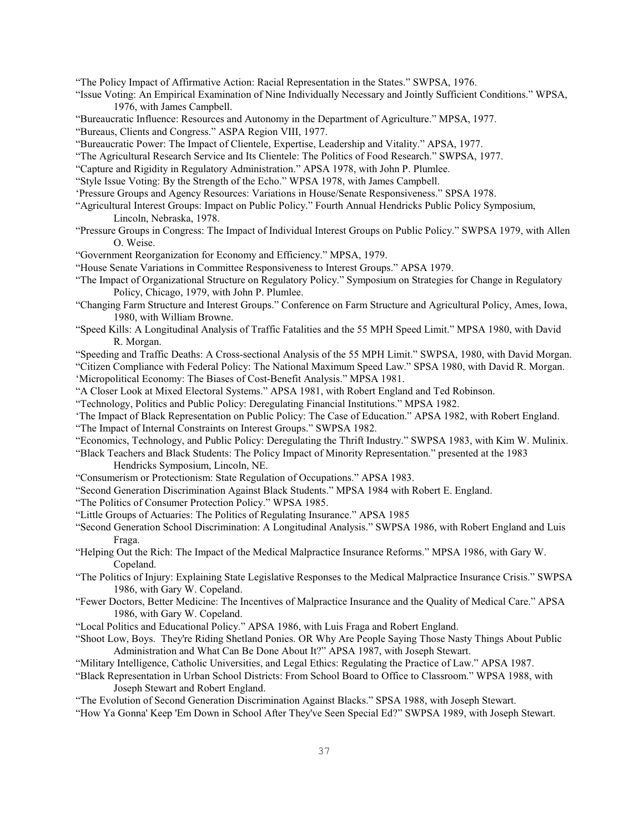"The Policy Impact of Affirmative Action: Racial Representation in the States." SWPSA, 1976.

- "Issue Voting: An Empirical Examination of Nine Individually Necessary and Jointly Sufficient Conditions." WPSA, 1976, with James Campbell.
- "Bureaucratic Influence: Resources and Autonomy in the Department of Agriculture." MPSA, 1977.

"Bureaus, Clients and Congress." ASPA Region VIII, 1977.

"Bureaucratic Power: The Impact of Clientele, Expertise, Leadership and Vitality." APSA, 1977.

- "The Agricultural Research Service and Its Clientele: The Politics of Food Research." SWPSA, 1977.
- "Capture and Rigidity in Regulatory Administration." APSA 1978, with John P. Plumlee.
- "Style Issue Voting: By the Strength of the Echo." WPSA 1978, with James Campbell.
- 'Pressure Groups and Agency Resources: Variations in House/Senate Responsiveness." SPSA 1978.
- "Agricultural Interest Groups: Impact on Public Policy." Fourth Annual Hendricks Public Policy Symposium, Lincoln, Nebraska, 1978.
- "Pressure Groups in Congress: The Impact of Individual Interest Groups on Public Policy." SWPSA 1979, with Allen O. Weise.
- "Government Reorganization for Economy and Efficiency." MPSA, 1979.
- "House Senate Variations in Committee Responsiveness to Interest Groups." APSA 1979.
- "The Impact of Organizational Structure on Regulatory Policy." Symposium on Strategies for Change in Regulatory Policy, Chicago, 1979, with John P. Plumlee.
- "Changing Farm Structure and Interest Groups." Conference on Farm Structure and Agricultural Policy, Ames, Iowa, 1980, with William Browne.
- "Speed Kills: A Longitudinal Analysis of Traffic Fatalities and the 55 MPH Speed Limit." MPSA 1980, with David R. Morgan.
- "Speeding and Traffic Deaths: A Cross-sectional Analysis of the 55 MPH Limit." SWPSA, 1980, with David Morgan.

"Citizen Compliance with Federal Policy: The National Maximum Speed Law." SPSA 1980, with David R. Morgan.

'Micropolitical Economy: The Biases of Cost-Benefit Analysis." MPSA 1981.

"A Closer Look at Mixed Electoral Systems." APSA 1981, with Robert England and Ted Robinson.

"Technology, Politics and Public Policy: Deregulating Financial Institutions." MPSA 1982.

'The Impact of Black Representation on Public Policy: The Case of Education." APSA 1982, with Robert England.

"The Impact of Internal Constraints on Interest Groups." SWPSA 1982.

"Economics, Technology, and Public Policy: Deregulating the Thrift Industry." SWPSA 1983, with Kim W. Mulinix.

"Black Teachers and Black Students: The Policy Impact of Minority Representation." presented at the 1983

Hendricks Symposium, Lincoln, NE.

- "Consumerism or Protectionism: State Regulation of Occupations." APSA 1983.
- "Second Generation Discrimination Against Black Students." MPSA 1984 with Robert E. England.
- "The Politics of Consumer Protection Policy." WPSA 1985.
- "Little Groups of Actuaries: The Politics of Regulating Insurance." APSA 1985
- "Second Generation School Discrimination: A Longitudinal Analysis." SWPSA 1986, with Robert England and Luis Fraga.
- "Helping Out the Rich: The Impact of the Medical Malpractice Insurance Reforms." MPSA 1986, with Gary W. Copeland.
- "The Politics of Injury: Explaining State Legislative Responses to the Medical Malpractice Insurance Crisis." SWPSA 1986, with Gary W. Copeland.
- "Fewer Doctors, Better Medicine: The Incentives of Malpractice Insurance and the Quality of Medical Care." APSA 1986, with Gary W. Copeland.
- "Local Politics and Educational Policy." APSA 1986, with Luis Fraga and Robert England.
- "Shoot Low, Boys. They're Riding Shetland Ponies. OR Why Are People Saying Those Nasty Things About Public Administration and What Can Be Done About It?" APSA 1987, with Joseph Stewart.
- "Military Intelligence, Catholic Universities, and Legal Ethics: Regulating the Practice of Law." APSA 1987.
- "Black Representation in Urban School Districts: From School Board to Office to Classroom." WPSA 1988, with Joseph Stewart and Robert England.

"The Evolution of Second Generation Discrimination Against Blacks." SPSA 1988, with Joseph Stewart.

"How Ya Gonna' Keep 'Em Down in School After They've Seen Special Ed?" SWPSA 1989, with Joseph Stewart.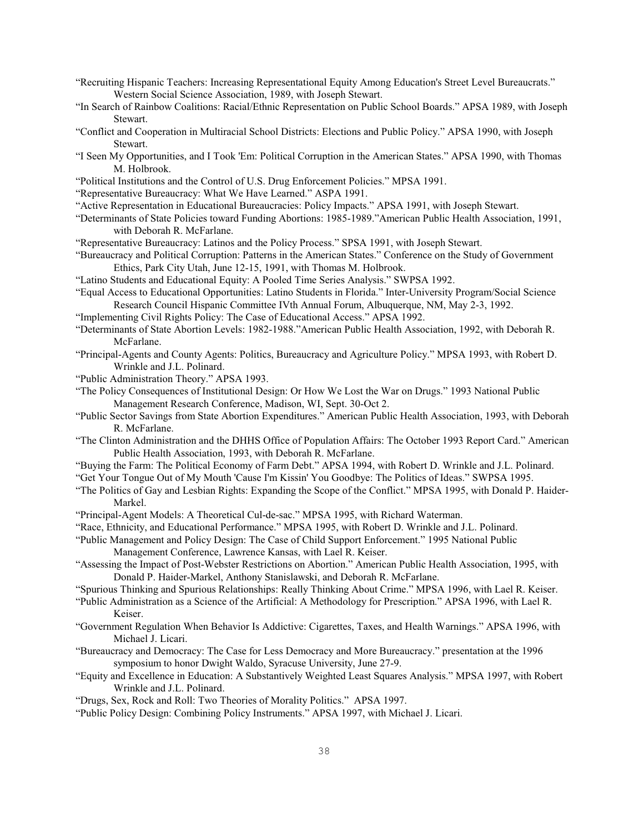- "Recruiting Hispanic Teachers: Increasing Representational Equity Among Education's Street Level Bureaucrats." Western Social Science Association, 1989, with Joseph Stewart.
- "In Search of Rainbow Coalitions: Racial/Ethnic Representation on Public School Boards." APSA 1989, with Joseph Stewart.
- "Conflict and Cooperation in Multiracial School Districts: Elections and Public Policy." APSA 1990, with Joseph Stewart.
- "I Seen My Opportunities, and I Took 'Em: Political Corruption in the American States." APSA 1990, with Thomas M. Holbrook.
- "Political Institutions and the Control of U.S. Drug Enforcement Policies." MPSA 1991.
- "Representative Bureaucracy: What We Have Learned." ASPA 1991.
- "Active Representation in Educational Bureaucracies: Policy Impacts." APSA 1991, with Joseph Stewart.
- "Determinants of State Policies toward Funding Abortions: 1985-1989."American Public Health Association, 1991, with Deborah R. McFarlane.
- "Representative Bureaucracy: Latinos and the Policy Process." SPSA 1991, with Joseph Stewart.
- "Bureaucracy and Political Corruption: Patterns in the American States." Conference on the Study of Government Ethics, Park City Utah, June 12-15, 1991, with Thomas M. Holbrook.
- "Latino Students and Educational Equity: A Pooled Time Series Analysis." SWPSA 1992.
- "Equal Access to Educational Opportunities: Latino Students in Florida." Inter-University Program/Social Science Research Council Hispanic Committee IVth Annual Forum, Albuquerque, NM, May 2-3, 1992.
- "Implementing Civil Rights Policy: The Case of Educational Access." APSA 1992.
- "Determinants of State Abortion Levels: 1982-1988."American Public Health Association, 1992, with Deborah R. McFarlane.
- "Principal-Agents and County Agents: Politics, Bureaucracy and Agriculture Policy." MPSA 1993, with Robert D. Wrinkle and J.L. Polinard.
- "Public Administration Theory." APSA 1993.
- "The Policy Consequences of Institutional Design: Or How We Lost the War on Drugs." 1993 National Public Management Research Conference, Madison, WI, Sept. 30-Oct 2.
- "Public Sector Savings from State Abortion Expenditures." American Public Health Association, 1993, with Deborah R. McFarlane.
- "The Clinton Administration and the DHHS Office of Population Affairs: The October 1993 Report Card." American Public Health Association, 1993, with Deborah R. McFarlane.
- "Buying the Farm: The Political Economy of Farm Debt." APSA 1994, with Robert D. Wrinkle and J.L. Polinard.
- "Get Your Tongue Out of My Mouth 'Cause I'm Kissin' You Goodbye: The Politics of Ideas." SWPSA 1995.
- "The Politics of Gay and Lesbian Rights: Expanding the Scope of the Conflict." MPSA 1995, with Donald P. Haider-Markel.
- "Principal-Agent Models: A Theoretical Cul-de-sac." MPSA 1995, with Richard Waterman.
- "Race, Ethnicity, and Educational Performance." MPSA 1995, with Robert D. Wrinkle and J.L. Polinard.
- "Public Management and Policy Design: The Case of Child Support Enforcement." 1995 National Public Management Conference, Lawrence Kansas, with Lael R. Keiser.
- "Assessing the Impact of Post-Webster Restrictions on Abortion." American Public Health Association, 1995, with Donald P. Haider-Markel, Anthony Stanislawski, and Deborah R. McFarlane.
- "Spurious Thinking and Spurious Relationships: Really Thinking About Crime." MPSA 1996, with Lael R. Keiser.
- "Public Administration as a Science of the Artificial: A Methodology for Prescription." APSA 1996, with Lael R. Keiser.
- "Government Regulation When Behavior Is Addictive: Cigarettes, Taxes, and Health Warnings." APSA 1996, with Michael J. Licari.
- "Bureaucracy and Democracy: The Case for Less Democracy and More Bureaucracy." presentation at the 1996 symposium to honor Dwight Waldo, Syracuse University, June 27-9.
- "Equity and Excellence in Education: A Substantively Weighted Least Squares Analysis." MPSA 1997, with Robert Wrinkle and J.L. Polinard.
- "Drugs, Sex, Rock and Roll: Two Theories of Morality Politics." APSA 1997.
- "Public Policy Design: Combining Policy Instruments." APSA 1997, with Michael J. Licari.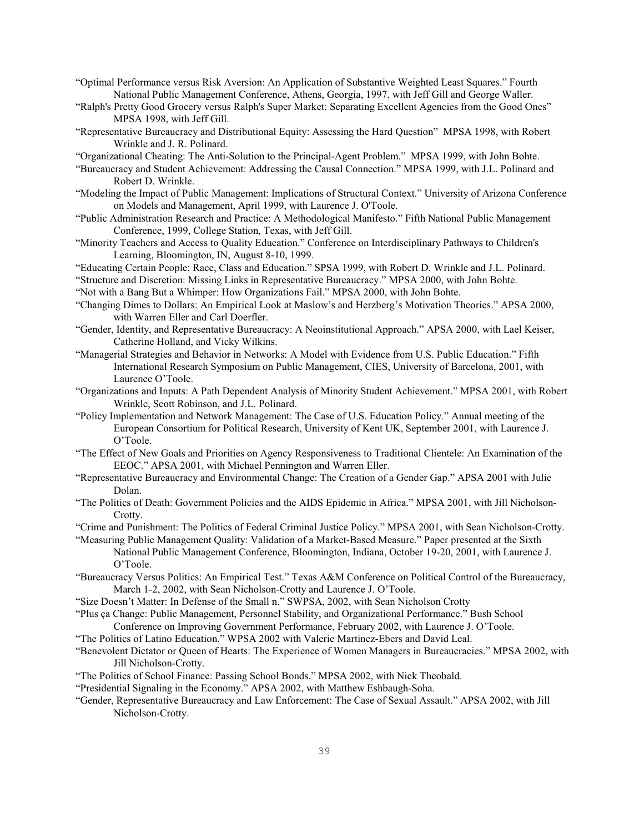- "Optimal Performance versus Risk Aversion: An Application of Substantive Weighted Least Squares." Fourth National Public Management Conference, Athens, Georgia, 1997, with Jeff Gill and George Waller.
- "Ralph's Pretty Good Grocery versus Ralph's Super Market: Separating Excellent Agencies from the Good Ones" MPSA 1998, with Jeff Gill.
- "Representative Bureaucracy and Distributional Equity: Assessing the Hard Question" MPSA 1998, with Robert Wrinkle and J. R. Polinard.

"Organizational Cheating: The Anti-Solution to the Principal-Agent Problem." MPSA 1999, with John Bohte.

- "Bureaucracy and Student Achievement: Addressing the Causal Connection." MPSA 1999, with J.L. Polinard and Robert D. Wrinkle.
- "Modeling the Impact of Public Management: Implications of Structural Context." University of Arizona Conference on Models and Management, April 1999, with Laurence J. O'Toole.
- "Public Administration Research and Practice: A Methodological Manifesto." Fifth National Public Management Conference, 1999, College Station, Texas, with Jeff Gill.
- "Minority Teachers and Access to Quality Education." Conference on Interdisciplinary Pathways to Children's Learning, Bloomington, IN, August 8-10, 1999.
- "Educating Certain People: Race, Class and Education." SPSA 1999, with Robert D. Wrinkle and J.L. Polinard.
- "Structure and Discretion: Missing Links in Representative Bureaucracy." MPSA 2000, with John Bohte.
- "Not with a Bang But a Whimper: How Organizations Fail." MPSA 2000, with John Bohte.
- "Changing Dimes to Dollars: An Empirical Look at Maslow's and Herzberg's Motivation Theories." APSA 2000, with Warren Eller and Carl Doerfler.
- "Gender, Identity, and Representative Bureaucracy: A Neoinstitutional Approach." APSA 2000, with Lael Keiser, Catherine Holland, and Vicky Wilkins.
- "Managerial Strategies and Behavior in Networks: A Model with Evidence from U.S. Public Education." Fifth International Research Symposium on Public Management, CIES, University of Barcelona, 2001, with Laurence O'Toole.
- "Organizations and Inputs: A Path Dependent Analysis of Minority Student Achievement." MPSA 2001, with Robert Wrinkle, Scott Robinson, and J.L. Polinard.
- "Policy Implementation and Network Management: The Case of U.S. Education Policy." Annual meeting of the European Consortium for Political Research, University of Kent UK, September 2001, with Laurence J. O'Toole.
- "The Effect of New Goals and Priorities on Agency Responsiveness to Traditional Clientele: An Examination of the EEOC." APSA 2001, with Michael Pennington and Warren Eller.
- "Representative Bureaucracy and Environmental Change: The Creation of a Gender Gap." APSA 2001 with Julie Dolan.
- "The Politics of Death: Government Policies and the AIDS Epidemic in Africa." MPSA 2001, with Jill Nicholson-Crotty.
- "Crime and Punishment: The Politics of Federal Criminal Justice Policy." MPSA 2001, with Sean Nicholson-Crotty.

"Measuring Public Management Quality: Validation of a Market-Based Measure." Paper presented at the Sixth National Public Management Conference, Bloomington, Indiana, October 19-20, 2001, with Laurence J. O'Toole.

- "Bureaucracy Versus Politics: An Empirical Test." Texas A&M Conference on Political Control of the Bureaucracy, March 1-2, 2002, with Sean Nicholson-Crotty and Laurence J. O'Toole.
- "Size Doesn't Matter: In Defense of the Small n." SWPSA, 2002, with Sean Nicholson Crotty

"Plus ça Change: Public Management, Personnel Stability, and Organizational Performance." Bush School

- Conference on Improving Government Performance, February 2002, with Laurence J. O'Toole.
- "The Politics of Latino Education." WPSA 2002 with Valerie Martinez-Ebers and David Leal.
- "Benevolent Dictator or Queen of Hearts: The Experience of Women Managers in Bureaucracies." MPSA 2002, with Jill Nicholson-Crotty.
- "The Politics of School Finance: Passing School Bonds." MPSA 2002, with Nick Theobald.
- "Presidential Signaling in the Economy." APSA 2002, with Matthew Eshbaugh-Soha.
- "Gender, Representative Bureaucracy and Law Enforcement: The Case of Sexual Assault." APSA 2002, with Jill Nicholson-Crotty.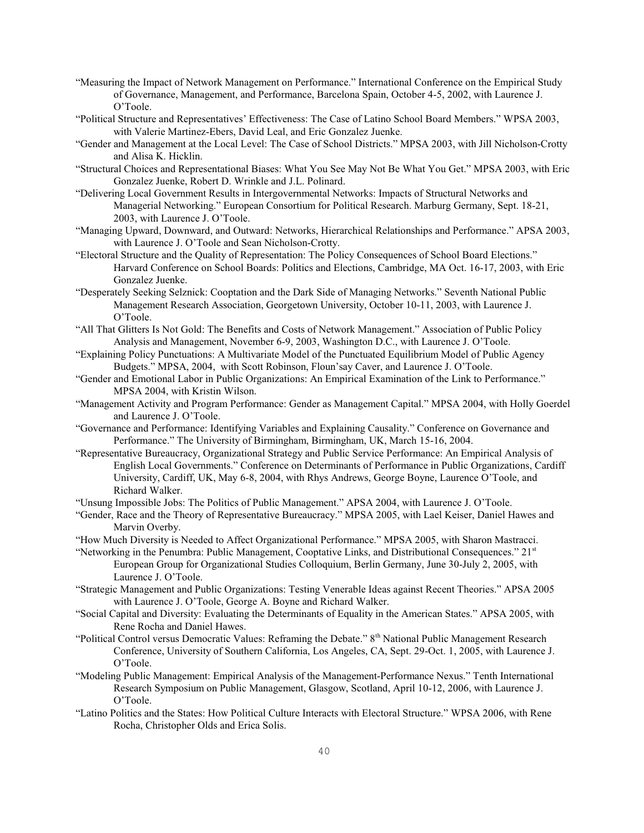- "Measuring the Impact of Network Management on Performance." International Conference on the Empirical Study of Governance, Management, and Performance, Barcelona Spain, October 4-5, 2002, with Laurence J. O'Toole.
- "Political Structure and Representatives' Effectiveness: The Case of Latino School Board Members." WPSA 2003, with Valerie Martinez-Ebers, David Leal, and Eric Gonzalez Juenke.
- "Gender and Management at the Local Level: The Case of School Districts." MPSA 2003, with Jill Nicholson-Crotty and Alisa K. Hicklin.
- "Structural Choices and Representational Biases: What You See May Not Be What You Get." MPSA 2003, with Eric Gonzalez Juenke, Robert D. Wrinkle and J.L. Polinard.
- "Delivering Local Government Results in Intergovernmental Networks: Impacts of Structural Networks and Managerial Networking." European Consortium for Political Research. Marburg Germany, Sept. 18-21, 2003, with Laurence J. O'Toole.
- "Managing Upward, Downward, and Outward: Networks, Hierarchical Relationships and Performance." APSA 2003, with Laurence J. O'Toole and Sean Nicholson-Crotty.
- "Electoral Structure and the Quality of Representation: The Policy Consequences of School Board Elections." Harvard Conference on School Boards: Politics and Elections, Cambridge, MA Oct. 16-17, 2003, with Eric Gonzalez Juenke.
- "Desperately Seeking Selznick: Cooptation and the Dark Side of Managing Networks." Seventh National Public Management Research Association, Georgetown University, October 10-11, 2003, with Laurence J. O'Toole.
- "All That Glitters Is Not Gold: The Benefits and Costs of Network Management." Association of Public Policy Analysis and Management, November 6-9, 2003, Washington D.C., with Laurence J. O'Toole.
- "Explaining Policy Punctuations: A Multivariate Model of the Punctuated Equilibrium Model of Public Agency Budgets." MPSA, 2004, with Scott Robinson, Floun'say Caver, and Laurence J. O'Toole.
- "Gender and Emotional Labor in Public Organizations: An Empirical Examination of the Link to Performance." MPSA 2004, with Kristin Wilson.
- "Management Activity and Program Performance: Gender as Management Capital." MPSA 2004, with Holly Goerdel and Laurence J. O'Toole.
- "Governance and Performance: Identifying Variables and Explaining Causality." Conference on Governance and Performance." The University of Birmingham, Birmingham, UK, March 15-16, 2004.
- "Representative Bureaucracy, Organizational Strategy and Public Service Performance: An Empirical Analysis of English Local Governments." Conference on Determinants of Performance in Public Organizations, Cardiff University, Cardiff, UK, May 6-8, 2004, with Rhys Andrews, George Boyne, Laurence O'Toole, and Richard Walker.

"Unsung Impossible Jobs: The Politics of Public Management." APSA 2004, with Laurence J. O'Toole.

"Gender, Race and the Theory of Representative Bureaucracy." MPSA 2005, with Lael Keiser, Daniel Hawes and Marvin Overby.

"How Much Diversity is Needed to Affect Organizational Performance." MPSA 2005, with Sharon Mastracci.

- "Networking in the Penumbra: Public Management, Cooptative Links, and Distributional Consequences." 21st European Group for Organizational Studies Colloquium, Berlin Germany, June 30-July 2, 2005, with Laurence J. O'Toole.
- "Strategic Management and Public Organizations: Testing Venerable Ideas against Recent Theories." APSA 2005 with Laurence J. O'Toole, George A. Boyne and Richard Walker.
- "Social Capital and Diversity: Evaluating the Determinants of Equality in the American States." APSA 2005, with Rene Rocha and Daniel Hawes.
- "Political Control versus Democratic Values: Reframing the Debate." 8<sup>th</sup> National Public Management Research Conference, University of Southern California, Los Angeles, CA, Sept. 29-Oct. 1, 2005, with Laurence J. O'Toole.
- "Modeling Public Management: Empirical Analysis of the Management-Performance Nexus." Tenth International Research Symposium on Public Management, Glasgow, Scotland, April 10-12, 2006, with Laurence J. O'Toole.
- "Latino Politics and the States: How Political Culture Interacts with Electoral Structure." WPSA 2006, with Rene Rocha, Christopher Olds and Erica Solis.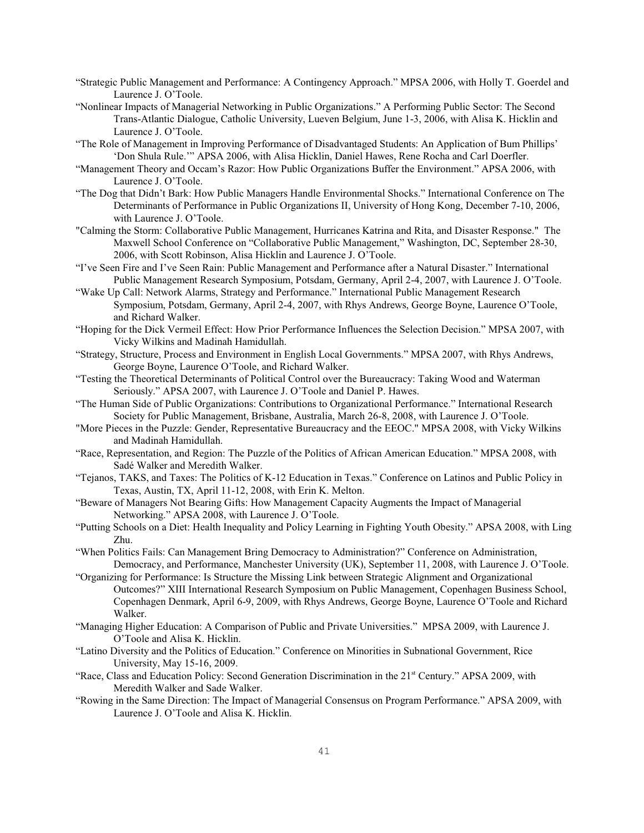- "Strategic Public Management and Performance: A Contingency Approach." MPSA 2006, with Holly T. Goerdel and Laurence J. O'Toole.
- "Nonlinear Impacts of Managerial Networking in Public Organizations." A Performing Public Sector: The Second Trans-Atlantic Dialogue, Catholic University, Lueven Belgium, June 1-3, 2006, with Alisa K. Hicklin and Laurence J. O'Toole.
- "The Role of Management in Improving Performance of Disadvantaged Students: An Application of Bum Phillips' 'Don Shula Rule.'" APSA 2006, with Alisa Hicklin, Daniel Hawes, Rene Rocha and Carl Doerfler.
- "Management Theory and Occam's Razor: How Public Organizations Buffer the Environment." APSA 2006, with Laurence J. O'Toole.
- "The Dog that Didn't Bark: How Public Managers Handle Environmental Shocks." International Conference on The Determinants of Performance in Public Organizations II, University of Hong Kong, December 7-10, 2006, with Laurence J. O'Toole.
- "Calming the Storm: Collaborative Public Management, Hurricanes Katrina and Rita, and Disaster Response." The Maxwell School Conference on "Collaborative Public Management," Washington, DC, September 28-30, 2006, with Scott Robinson, Alisa Hicklin and Laurence J. O'Toole.
- "I've Seen Fire and I've Seen Rain: Public Management and Performance after a Natural Disaster." International Public Management Research Symposium, Potsdam, Germany, April 2-4, 2007, with Laurence J. O'Toole.
- "Wake Up Call: Network Alarms, Strategy and Performance." International Public Management Research Symposium, Potsdam, Germany, April 2-4, 2007, with Rhys Andrews, George Boyne, Laurence O'Toole, and Richard Walker.
- "Hoping for the Dick Vermeil Effect: How Prior Performance Influences the Selection Decision." MPSA 2007, with Vicky Wilkins and Madinah Hamidullah.
- "Strategy, Structure, Process and Environment in English Local Governments." MPSA 2007, with Rhys Andrews, George Boyne, Laurence O'Toole, and Richard Walker.
- "Testing the Theoretical Determinants of Political Control over the Bureaucracy: Taking Wood and Waterman Seriously." APSA 2007, with Laurence J. O'Toole and Daniel P. Hawes.
- "The Human Side of Public Organizations: Contributions to Organizational Performance." International Research Society for Public Management, Brisbane, Australia, March 26-8, 2008, with Laurence J. O'Toole.
- "More Pieces in the Puzzle: Gender, Representative Bureaucracy and the EEOC." MPSA 2008, with Vicky Wilkins and Madinah Hamidullah.
- "Race, Representation, and Region: The Puzzle of the Politics of African American Education." MPSA 2008, with Sadé Walker and Meredith Walker.
- "Tejanos, TAKS, and Taxes: The Politics of K-12 Education in Texas." Conference on Latinos and Public Policy in Texas, Austin, TX, April 11-12, 2008, with Erin K. Melton.
- "Beware of Managers Not Bearing Gifts: How Management Capacity Augments the Impact of Managerial Networking." APSA 2008, with Laurence J. O'Toole.
- "Putting Schools on a Diet: Health Inequality and Policy Learning in Fighting Youth Obesity." APSA 2008, with Ling Zhu.
- "When Politics Fails: Can Management Bring Democracy to Administration?" Conference on Administration, Democracy, and Performance, Manchester University (UK), September 11, 2008, with Laurence J. O'Toole.
- "Organizing for Performance: Is Structure the Missing Link between Strategic Alignment and Organizational Outcomes?" XIII International Research Symposium on Public Management, Copenhagen Business School, Copenhagen Denmark, April 6-9, 2009, with Rhys Andrews, George Boyne, Laurence O'Toole and Richard Walker.
- "Managing Higher Education: A Comparison of Public and Private Universities." MPSA 2009, with Laurence J. O'Toole and Alisa K. Hicklin.
- "Latino Diversity and the Politics of Education." Conference on Minorities in Subnational Government, Rice University, May 15-16, 2009.
- "Race, Class and Education Policy: Second Generation Discrimination in the 21st Century." APSA 2009, with Meredith Walker and Sade Walker.
- "Rowing in the Same Direction: The Impact of Managerial Consensus on Program Performance." APSA 2009, with Laurence J. O'Toole and Alisa K. Hicklin.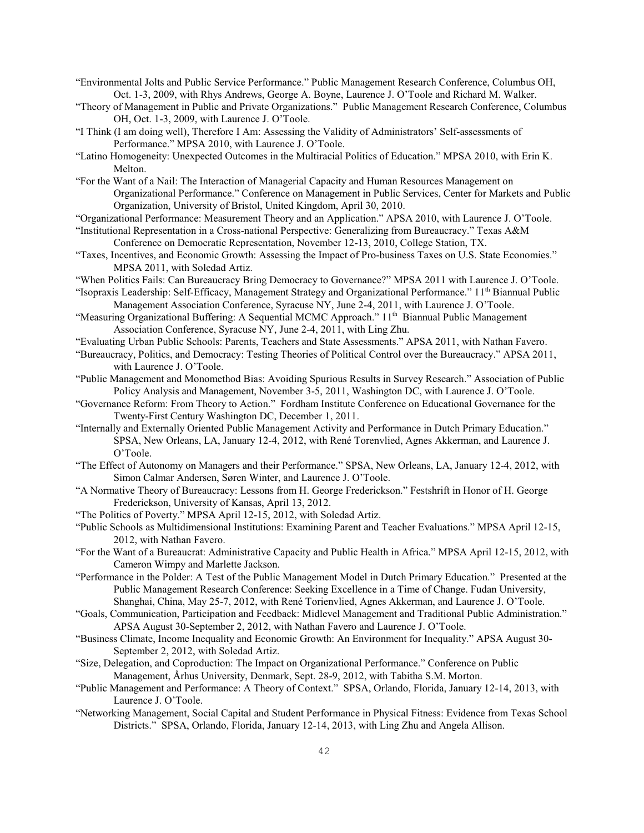- "Environmental Jolts and Public Service Performance." Public Management Research Conference, Columbus OH, Oct. 1-3, 2009, with Rhys Andrews, George A. Boyne, Laurence J. O'Toole and Richard M. Walker.
- "Theory of Management in Public and Private Organizations." Public Management Research Conference, Columbus OH, Oct. 1-3, 2009, with Laurence J. O'Toole.
- "I Think (I am doing well), Therefore I Am: Assessing the Validity of Administrators' Self-assessments of Performance." MPSA 2010, with Laurence J. O'Toole.
- "Latino Homogeneity: Unexpected Outcomes in the Multiracial Politics of Education." MPSA 2010, with Erin K. Melton.
- "For the Want of a Nail: The Interaction of Managerial Capacity and Human Resources Management on Organizational Performance." Conference on Management in Public Services, Center for Markets and Public Organization, University of Bristol, United Kingdom, April 30, 2010.

"Organizational Performance: Measurement Theory and an Application." APSA 2010, with Laurence J. O'Toole.

- "Institutional Representation in a Cross-national Perspective: Generalizing from Bureaucracy." Texas A&M Conference on Democratic Representation, November 12-13, 2010, College Station, TX.
- "Taxes, Incentives, and Economic Growth: Assessing the Impact of Pro-business Taxes on U.S. State Economies." MPSA 2011, with Soledad Artiz.
- "When Politics Fails: Can Bureaucracy Bring Democracy to Governance?" MPSA 2011 with Laurence J. O'Toole.
- "Isopraxis Leadership: Self-Efficacy, Management Strategy and Organizational Performance." 11<sup>th</sup> Biannual Public Management Association Conference, Syracuse NY, June 2-4, 2011, with Laurence J. O'Toole.
- "Measuring Organizational Buffering: A Sequential MCMC Approach." 11<sup>th</sup> Biannual Public Management Association Conference, Syracuse NY, June 2-4, 2011, with Ling Zhu.
- "Evaluating Urban Public Schools: Parents, Teachers and State Assessments." APSA 2011, with Nathan Favero.
- "Bureaucracy, Politics, and Democracy: Testing Theories of Political Control over the Bureaucracy." APSA 2011, with Laurence J. O'Toole.
- "Public Management and Monomethod Bias: Avoiding Spurious Results in Survey Research." Association of Public Policy Analysis and Management, November 3-5, 2011, Washington DC, with Laurence J. O'Toole.
- "Governance Reform: From Theory to Action." Fordham Institute Conference on Educational Governance for the Twenty-First Century Washington DC, December 1, 2011.
- "Internally and Externally Oriented Public Management Activity and Performance in Dutch Primary Education." SPSA, New Orleans, LA, January 12-4, 2012, with René Torenvlied, Agnes Akkerman, and Laurence J. O'Toole.
- "The Effect of Autonomy on Managers and their Performance." SPSA, New Orleans, LA, January 12-4, 2012, with Simon Calmar Andersen, Søren Winter, and Laurence J. O'Toole.
- "A Normative Theory of Bureaucracy: Lessons from H. George Frederickson." Festshrift in Honor of H. George Frederickson, University of Kansas, April 13, 2012.
- "The Politics of Poverty." MPSA April 12-15, 2012, with Soledad Artiz.
- "Public Schools as Multidimensional Institutions: Examining Parent and Teacher Evaluations." MPSA April 12-15, 2012, with Nathan Favero.
- "For the Want of a Bureaucrat: Administrative Capacity and Public Health in Africa." MPSA April 12-15, 2012, with Cameron Wimpy and Marlette Jackson.
- "Performance in the Polder: A Test of the Public Management Model in Dutch Primary Education." Presented at the Public Management Research Conference: Seeking Excellence in a Time of Change. Fudan University, Shanghai, China, May 25-7, 2012, with René Torienvlied, Agnes Akkerman, and Laurence J. O'Toole.
- "Goals, Communication, Participation and Feedback: Midlevel Management and Traditional Public Administration." APSA August 30-September 2, 2012, with Nathan Favero and Laurence J. O'Toole.
- "Business Climate, Income Inequality and Economic Growth: An Environment for Inequality." APSA August 30- September 2, 2012, with Soledad Artiz.
- "Size, Delegation, and Coproduction: The Impact on Organizational Performance." Conference on Public Management, Århus University, Denmark, Sept. 28-9, 2012, with Tabitha S.M. Morton.
- "Public Management and Performance: A Theory of Context." SPSA, Orlando, Florida, January 12-14, 2013, with Laurence J. O'Toole.
- "Networking Management, Social Capital and Student Performance in Physical Fitness: Evidence from Texas School Districts." SPSA, Orlando, Florida, January 12-14, 2013, with Ling Zhu and Angela Allison.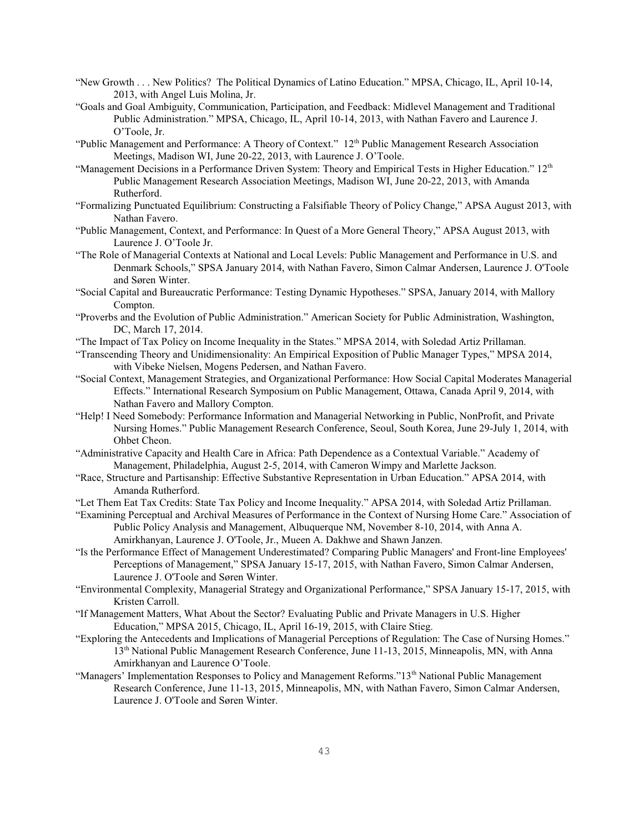- "New Growth . . . New Politics? The Political Dynamics of Latino Education." MPSA, Chicago, IL, April 10-14, 2013, with Angel Luis Molina, Jr.
- "Goals and Goal Ambiguity, Communication, Participation, and Feedback: Midlevel Management and Traditional Public Administration." MPSA, Chicago, IL, April 10-14, 2013, with Nathan Favero and Laurence J. O'Toole, Jr.
- "Public Management and Performance: A Theory of Context." 12<sup>th</sup> Public Management Research Association Meetings, Madison WI, June 20-22, 2013, with Laurence J. O'Toole.
- "Management Decisions in a Performance Driven System: Theory and Empirical Tests in Higher Education." 12<sup>th</sup> Public Management Research Association Meetings, Madison WI, June 20-22, 2013, with Amanda Rutherford.
- "Formalizing Punctuated Equilibrium: Constructing a Falsifiable Theory of Policy Change," APSA August 2013, with Nathan Favero.
- "Public Management, Context, and Performance: In Quest of a More General Theory," APSA August 2013, with Laurence J. O'Toole Jr.
- "The Role of Managerial Contexts at National and Local Levels: Public Management and Performance in U.S. and Denmark Schools," SPSA January 2014, with Nathan Favero, Simon Calmar Andersen, Laurence J. O'Toole and Søren Winter.
- "Social Capital and Bureaucratic Performance: Testing Dynamic Hypotheses." SPSA, January 2014, with Mallory Compton.
- "Proverbs and the Evolution of Public Administration." American Society for Public Administration, Washington, DC, March 17, 2014.
- "The Impact of Tax Policy on Income Inequality in the States." MPSA 2014, with Soledad Artiz Prillaman.
- "Transcending Theory and Unidimensionality: An Empirical Exposition of Public Manager Types," MPSA 2014, with Vibeke Nielsen, Mogens Pedersen, and Nathan Favero.
- "Social Context, Management Strategies, and Organizational Performance: How Social Capital Moderates Managerial Effects." International Research Symposium on Public Management, Ottawa, Canada April 9, 2014, with Nathan Favero and Mallory Compton.
- "Help! I Need Somebody: Performance Information and Managerial Networking in Public, NonProfit, and Private Nursing Homes." Public Management Research Conference, Seoul, South Korea, June 29-July 1, 2014, with Ohbet Cheon.
- "Administrative Capacity and Health Care in Africa: Path Dependence as a Contextual Variable." Academy of Management, Philadelphia, August 2-5, 2014, with Cameron Wimpy and Marlette Jackson.
- "Race, Structure and Partisanship: Effective Substantive Representation in Urban Education." APSA 2014, with Amanda Rutherford.

"Let Them Eat Tax Credits: State Tax Policy and Income Inequality." APSA 2014, with Soledad Artiz Prillaman.

- "Examining Perceptual and Archival Measures of Performance in the Context of Nursing Home Care." Association of Public Policy Analysis and Management, Albuquerque NM, November 8-10, 2014, with Anna A. Amirkhanyan, Laurence J. O'Toole, Jr., Mueen A. Dakhwe and Shawn Janzen.
- "Is the Performance Effect of Management Underestimated? Comparing Public Managers' and Front-line Employees' Perceptions of Management," SPSA January 15-17, 2015, with Nathan Favero, Simon Calmar Andersen, Laurence J. O'Toole and Søren Winter.
- "Environmental Complexity, Managerial Strategy and Organizational Performance," SPSA January 15-17, 2015, with Kristen Carroll.
- "If Management Matters, What About the Sector? Evaluating Public and Private Managers in U.S. Higher Education," MPSA 2015, Chicago, IL, April 16-19, 2015, with Claire Stieg.
- "Exploring the Antecedents and Implications of Managerial Perceptions of Regulation: The Case of Nursing Homes." 13<sup>th</sup> National Public Management Research Conference, June 11-13, 2015, Minneapolis, MN, with Anna Amirkhanyan and Laurence O'Toole.
- "Managers' Implementation Responses to Policy and Management Reforms."13<sup>th</sup> National Public Management Research Conference, June 11-13, 2015, Minneapolis, MN, with Nathan Favero, Simon Calmar Andersen, Laurence J. O'Toole and Søren Winter.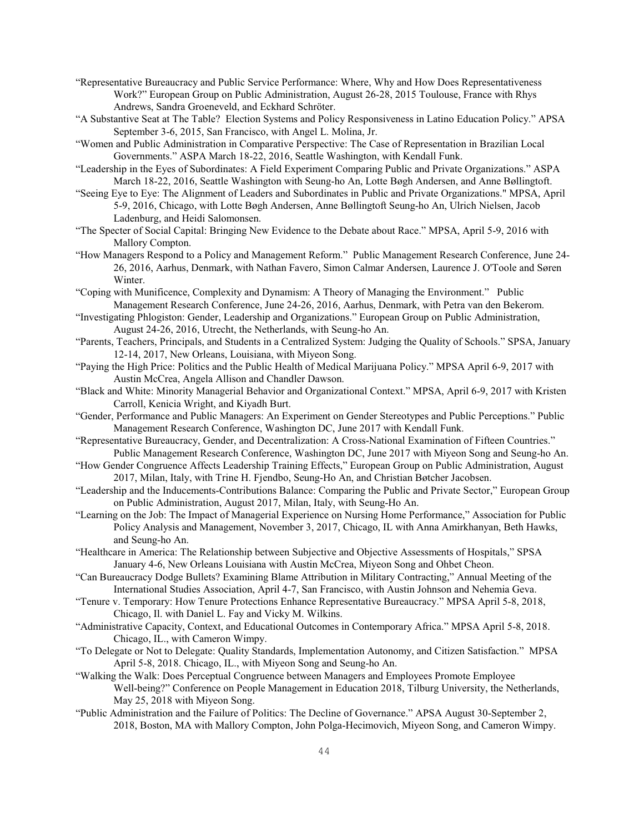- "Representative Bureaucracy and Public Service Performance: Where, Why and How Does Representativeness Work?" European Group on Public Administration, August 26-28, 2015 Toulouse, France with Rhys Andrews, Sandra Groeneveld, and Eckhard Schröter.
- "A Substantive Seat at The Table? Election Systems and Policy Responsiveness in Latino Education Policy." APSA September 3-6, 2015, San Francisco, with Angel L. Molina, Jr.
- "Women and Public Administration in Comparative Perspective: The Case of Representation in Brazilian Local Governments." ASPA March 18-22, 2016, Seattle Washington, with Kendall Funk.
- "Leadership in the Eyes of Subordinates: A Field Experiment Comparing Public and Private Organizations." ASPA March 18-22, 2016, Seattle Washington with Seung-ho An, Lotte Bøgh Andersen, and Anne Bøllingtoft.
- "Seeing Eye to Eye: The Alignment of Leaders and Subordinates in Public and Private Organizations." MPSA, April 5-9, 2016, Chicago, with Lotte Bøgh Andersen, Anne Bøllingtoft Seung-ho An, Ulrich Nielsen, Jacob Ladenburg, and Heidi Salomonsen.
- "The Specter of Social Capital: Bringing New Evidence to the Debate about Race." MPSA, April 5-9, 2016 with Mallory Compton.
- "How Managers Respond to a Policy and Management Reform." Public Management Research Conference, June 24- 26, 2016, Aarhus, Denmark, with Nathan Favero, Simon Calmar Andersen, Laurence J. O'Toole and Søren Winter.
- "Coping with Munificence, Complexity and Dynamism: A Theory of Managing the Environment." Public Management Research Conference, June 24-26, 2016, Aarhus, Denmark, with Petra van den Bekerom.
- "Investigating Phlogiston: Gender, Leadership and Organizations." European Group on Public Administration, August 24-26, 2016, Utrecht, the Netherlands, with Seung-ho An.
- "Parents, Teachers, Principals, and Students in a Centralized System: Judging the Quality of Schools." SPSA, January 12-14, 2017, New Orleans, Louisiana, with Miyeon Song.
- "Paying the High Price: Politics and the Public Health of Medical Marijuana Policy." MPSA April 6-9, 2017 with Austin McCrea, Angela Allison and Chandler Dawson.
- "Black and White: Minority Managerial Behavior and Organizational Context." MPSA, April 6-9, 2017 with Kristen Carroll, Kenicia Wright, and Kiyadh Burt.
- "Gender, Performance and Public Managers: An Experiment on Gender Stereotypes and Public Perceptions." Public Management Research Conference, Washington DC, June 2017 with Kendall Funk.
- "Representative Bureaucracy, Gender, and Decentralization: A Cross-National Examination of Fifteen Countries." Public Management Research Conference, Washington DC, June 2017 with Miyeon Song and Seung-ho An.
- "How Gender Congruence Affects Leadership Training Effects," European Group on Public Administration, August 2017, Milan, Italy, with Trine H. Fjendbo, Seung-Ho An, and Christian Bøtcher Jacobsen.
- "Leadership and the Inducements-Contributions Balance: Comparing the Public and Private Sector," European Group on Public Administration, August 2017, Milan, Italy, with Seung-Ho An.
- "Learning on the Job: The Impact of Managerial Experience on Nursing Home Performance," Association for Public Policy Analysis and Management, November 3, 2017, Chicago, IL with Anna Amirkhanyan, Beth Hawks, and Seung-ho An.
- "Healthcare in America: The Relationship between Subjective and Objective Assessments of Hospitals," SPSA January 4-6, New Orleans Louisiana with Austin McCrea, Miyeon Song and Ohbet Cheon.
- "Can Bureaucracy Dodge Bullets? Examining Blame Attribution in Military Contracting," Annual Meeting of the International Studies Association, April 4-7, San Francisco, with Austin Johnson and Nehemia Geva.
- "Tenure v. Temporary: How Tenure Protections Enhance Representative Bureaucracy." MPSA April 5-8, 2018, Chicago, Il. with Daniel L. Fay and Vicky M. Wilkins.
- "Administrative Capacity, Context, and Educational Outcomes in Contemporary Africa." MPSA April 5-8, 2018. Chicago, IL., with Cameron Wimpy.
- "To Delegate or Not to Delegate: Quality Standards, Implementation Autonomy, and Citizen Satisfaction." MPSA April 5-8, 2018. Chicago, IL., with Miyeon Song and Seung-ho An.
- "Walking the Walk: Does Perceptual Congruence between Managers and Employees Promote Employee Well-being?" Conference on People Management in Education 2018, Tilburg University, the Netherlands, May 25, 2018 with Miyeon Song.
- "Public Administration and the Failure of Politics: The Decline of Governance." APSA August 30-September 2, 2018, Boston, MA with Mallory Compton, John Polga-Hecimovich, Miyeon Song, and Cameron Wimpy.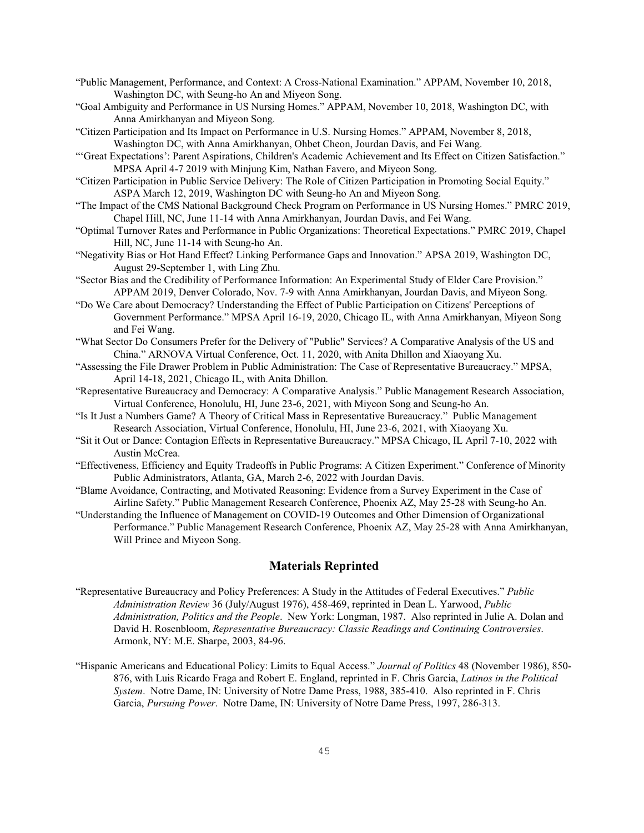- "Public Management, Performance, and Context: A Cross-National Examination." APPAM, November 10, 2018, Washington DC, with Seung-ho An and Miyeon Song.
- "Goal Ambiguity and Performance in US Nursing Homes." APPAM, November 10, 2018, Washington DC, with Anna Amirkhanyan and Miyeon Song.
- "Citizen Participation and Its Impact on Performance in U.S. Nursing Homes." APPAM, November 8, 2018, Washington DC, with Anna Amirkhanyan, Ohbet Cheon, Jourdan Davis, and Fei Wang.
- "'Great Expectations': Parent Aspirations, Children's Academic Achievement and Its Effect on Citizen Satisfaction." MPSA April 4-7 2019 with Minjung Kim, Nathan Favero, and Miyeon Song.
- "Citizen Participation in Public Service Delivery: The Role of Citizen Participation in Promoting Social Equity." ASPA March 12, 2019, Washington DC with Seung-ho An and Miyeon Song.
- "The Impact of the CMS National Background Check Program on Performance in US Nursing Homes." PMRC 2019, Chapel Hill, NC, June 11-14 with Anna Amirkhanyan, Jourdan Davis, and Fei Wang.
- "Optimal Turnover Rates and Performance in Public Organizations: Theoretical Expectations." PMRC 2019, Chapel Hill, NC, June 11-14 with Seung-ho An.
- "Negativity Bias or Hot Hand Effect? Linking Performance Gaps and Innovation." APSA 2019, Washington DC, August 29-September 1, with Ling Zhu.
- "Sector Bias and the Credibility of Performance Information: An Experimental Study of Elder Care Provision." APPAM 2019, Denver Colorado, Nov. 7-9 with Anna Amirkhanyan, Jourdan Davis, and Miyeon Song.
- "Do We Care about Democracy? Understanding the Effect of Public Participation on Citizens' Perceptions of Government Performance." MPSA April 16-19, 2020, Chicago IL, with Anna Amirkhanyan, Miyeon Song and Fei Wang.
- "What Sector Do Consumers Prefer for the Delivery of "Public" Services? A Comparative Analysis of the US and China." ARNOVA Virtual Conference, Oct. 11, 2020, with Anita Dhillon and Xiaoyang Xu.
- "Assessing the File Drawer Problem in Public Administration: The Case of Representative Bureaucracy." MPSA, April 14-18, 2021, Chicago IL, with Anita Dhillon.
- "Representative Bureaucracy and Democracy: A Comparative Analysis." Public Management Research Association, Virtual Conference, Honolulu, HI, June 23-6, 2021, with Miyeon Song and Seung-ho An.
- "Is It Just a Numbers Game? A Theory of Critical Mass in Representative Bureaucracy." Public Management Research Association, Virtual Conference, Honolulu, HI, June 23-6, 2021, with Xiaoyang Xu.
- "Sit it Out or Dance: Contagion Effects in Representative Bureaucracy." MPSA Chicago, IL April 7-10, 2022 with Austin McCrea.
- "Effectiveness, Efficiency and Equity Tradeoffs in Public Programs: A Citizen Experiment." Conference of Minority Public Administrators, Atlanta, GA, March 2-6, 2022 with Jourdan Davis.
- "Blame Avoidance, Contracting, and Motivated Reasoning: Evidence from a Survey Experiment in the Case of Airline Safety." Public Management Research Conference, Phoenix AZ, May 25-28 with Seung-ho An.
- "Understanding the Influence of Management on COVID-19 Outcomes and Other Dimension of Organizational Performance." Public Management Research Conference, Phoenix AZ, May 25-28 with Anna Amirkhanyan, Will Prince and Miyeon Song.

# **Materials Reprinted**

- "Representative Bureaucracy and Policy Preferences: A Study in the Attitudes of Federal Executives." *Public Administration Review* 36 (July/August 1976), 458-469, reprinted in Dean L. Yarwood, *Public Administration, Politics and the People*. New York: Longman, 1987. Also reprinted in Julie A. Dolan and David H. Rosenbloom, *Representative Bureaucracy: Classic Readings and Continuing Controversies*. Armonk, NY: M.E. Sharpe, 2003, 84-96.
- "Hispanic Americans and Educational Policy: Limits to Equal Access." *Journal of Politics* 48 (November 1986), 850- 876, with Luis Ricardo Fraga and Robert E. England, reprinted in F. Chris Garcia, *Latinos in the Political System*. Notre Dame, IN: University of Notre Dame Press, 1988, 385-410. Also reprinted in F. Chris Garcia, *Pursuing Power*. Notre Dame, IN: University of Notre Dame Press, 1997, 286-313.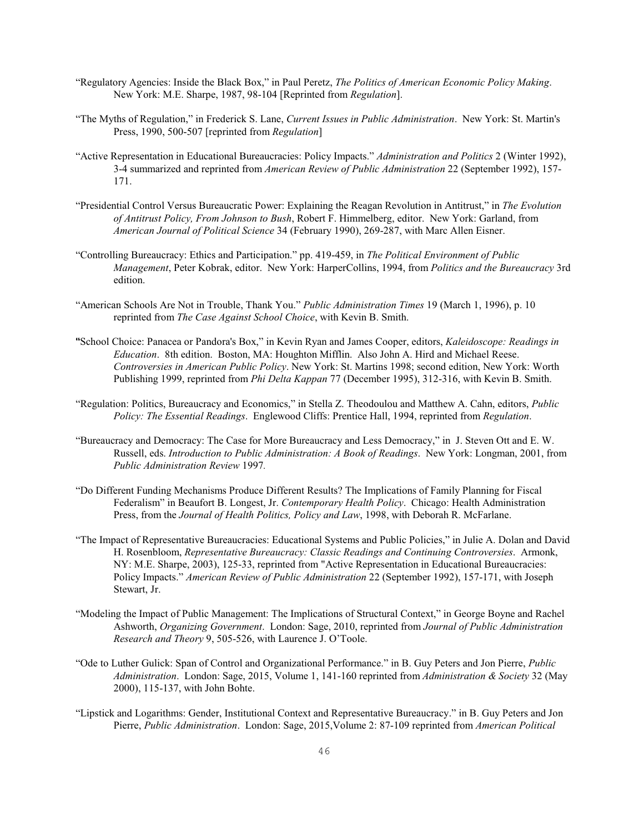- "Regulatory Agencies: Inside the Black Box," in Paul Peretz, *The Politics of American Economic Policy Making*. New York: M.E. Sharpe, 1987, 98-104 [Reprinted from *Regulation*].
- "The Myths of Regulation," in Frederick S. Lane, *Current Issues in Public Administration*. New York: St. Martin's Press, 1990, 500-507 [reprinted from *Regulation*]
- "Active Representation in Educational Bureaucracies: Policy Impacts." *Administration and Politics* 2 (Winter 1992), 3-4 summarized and reprinted from *American Review of Public Administration* 22 (September 1992), 157- 171.
- "Presidential Control Versus Bureaucratic Power: Explaining the Reagan Revolution in Antitrust," in *The Evolution of Antitrust Policy, From Johnson to Bush*, Robert F. Himmelberg, editor. New York: Garland, from *American Journal of Political Science* 34 (February 1990), 269-287, with Marc Allen Eisner.
- "Controlling Bureaucracy: Ethics and Participation." pp. 419-459, in *The Political Environment of Public Management*, Peter Kobrak, editor. New York: HarperCollins, 1994, from *Politics and the Bureaucracy* 3rd edition.
- "American Schools Are Not in Trouble, Thank You." *Public Administration Times* 19 (March 1, 1996), p. 10 reprinted from *The Case Against School Choice*, with Kevin B. Smith.
- ""School Choice: Panacea or Pandora's Box," in Kevin Ryan and James Cooper, editors, *Kaleidoscope: Readings in Education*. 8th edition. Boston, MA: Houghton Mifflin. Also John A. Hird and Michael Reese. *Controversies in American Public Policy*. New York: St. Martins 1998; second edition, New York: Worth Publishing 1999, reprinted from *Phi Delta Kappan* 77 (December 1995), 312-316, with Kevin B. Smith.
- "Regulation: Politics, Bureaucracy and Economics," in Stella Z. Theodoulou and Matthew A. Cahn, editors, *Public Policy: The Essential Readings*. Englewood Cliffs: Prentice Hall, 1994, reprinted from *Regulation*.
- "Bureaucracy and Democracy: The Case for More Bureaucracy and Less Democracy," in J. Steven Ott and E. W. Russell, eds. *Introduction to Public Administration: A Book of Readings*. New York: Longman, 2001, from *Public Administration Review* 1997*.*
- "Do Different Funding Mechanisms Produce Different Results? The Implications of Family Planning for Fiscal Federalism" in Beaufort B. Longest, Jr. *Contemporary Health Policy*. Chicago: Health Administration Press, from the *Journal of Health Politics, Policy and Law*, 1998, with Deborah R. McFarlane.
- "The Impact of Representative Bureaucracies: Educational Systems and Public Policies," in Julie A. Dolan and David H. Rosenbloom, *Representative Bureaucracy: Classic Readings and Continuing Controversies*. Armonk, NY: M.E. Sharpe, 2003), 125-33, reprinted from "Active Representation in Educational Bureaucracies: Policy Impacts." *American Review of Public Administration* 22 (September 1992), 157-171, with Joseph Stewart, Jr.
- "Modeling the Impact of Public Management: The Implications of Structural Context," in George Boyne and Rachel Ashworth, *Organizing Government*. London: Sage, 2010, reprinted from *Journal of Public Administration Research and Theory* 9, 505-526, with Laurence J. O'Toole.
- "Ode to Luther Gulick: Span of Control and Organizational Performance." in B. Guy Peters and Jon Pierre, *Public Administration*. London: Sage, 2015, Volume 1, 141-160 reprinted from *Administration & Society* 32 (May 2000), 115-137, with John Bohte.
- "Lipstick and Logarithms: Gender, Institutional Context and Representative Bureaucracy." in B. Guy Peters and Jon Pierre, *Public Administration*. London: Sage, 2015,Volume 2: 87-109 reprinted from *American Political*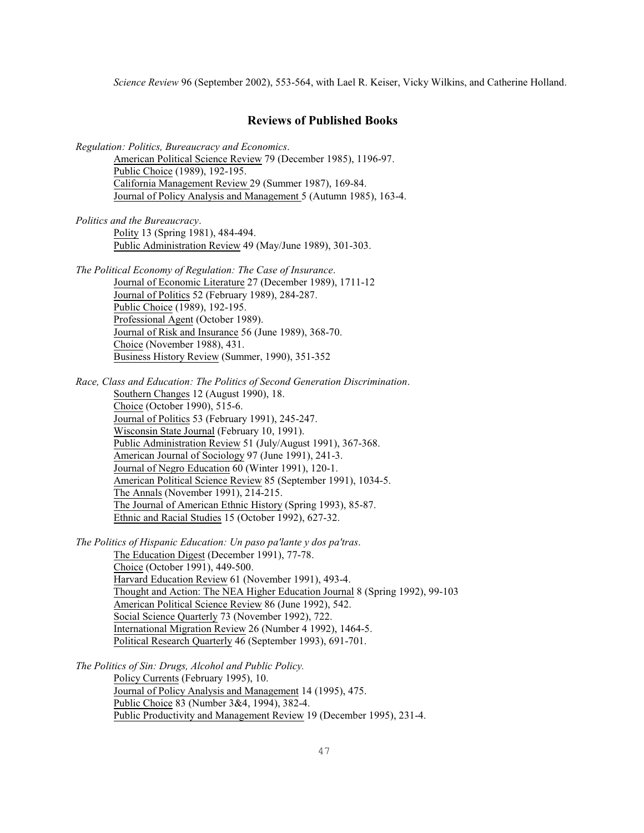*Science Review* 96 (September 2002), 553-564, with Lael R. Keiser, Vicky Wilkins, and Catherine Holland.

# **Reviews of Published Books**

*Regulation: Politics, Bureaucracy and Economics*.

American Political Science Review 79 (December 1985), 1196-97. Public Choice (1989), 192-195. California Management Review 29 (Summer 1987), 169-84. Journal of Policy Analysis and Management 5 (Autumn 1985), 163-4.

*Politics and the Bureaucracy*. Polity 13 (Spring 1981), 484-494. Public Administration Review 49 (May/June 1989), 301-303.

*The Political Economy of Regulation: The Case of Insurance*. Journal of Economic Literature 27 (December 1989), 1711-12 Journal of Politics 52 (February 1989), 284-287. Public Choice (1989), 192-195. Professional Agent (October 1989). Journal of Risk and Insurance 56 (June 1989), 368-70. Choice (November 1988), 431. Business History Review (Summer, 1990), 351-352

*Race, Class and Education: The Politics of Second Generation Discrimination*. Southern Changes 12 (August 1990), 18. Choice (October 1990), 515-6. Journal of Politics 53 (February 1991), 245-247. Wisconsin State Journal (February 10, 1991). Public Administration Review 51 (July/August 1991), 367-368. American Journal of Sociology 97 (June 1991), 241-3. Journal of Negro Education 60 (Winter 1991), 120-1. American Political Science Review 85 (September 1991), 1034-5. The Annals (November 1991), 214-215. The Journal of American Ethnic History (Spring 1993), 85-87. Ethnic and Racial Studies 15 (October 1992), 627-32.

*The Politics of Hispanic Education: Un paso pa'lante y dos pa'tras*. The Education Digest (December 1991), 77-78. Choice (October 1991), 449-500. Harvard Education Review 61 (November 1991), 493-4. Thought and Action: The NEA Higher Education Journal 8 (Spring 1992), 99-103 American Political Science Review 86 (June 1992), 542. Social Science Quarterly 73 (November 1992), 722. International Migration Review 26 (Number 4 1992), 1464-5. Political Research Quarterly 46 (September 1993), 691-701.

*The Politics of Sin: Drugs, Alcohol and Public Policy.* Policy Currents (February 1995), 10. Journal of Policy Analysis and Management 14 (1995), 475. Public Choice 83 (Number 3&4, 1994), 382-4. Public Productivity and Management Review 19 (December 1995), 231-4.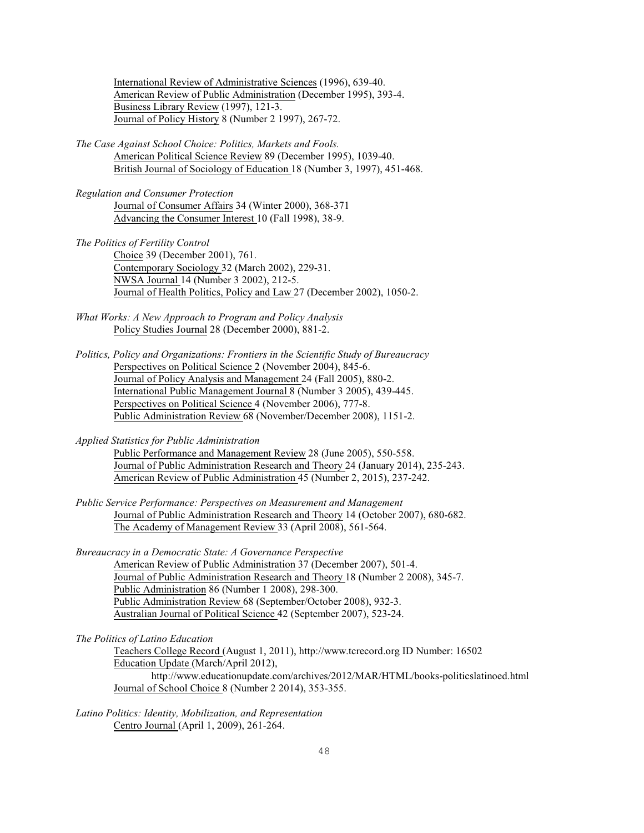International Review of Administrative Sciences (1996), 639-40. American Review of Public Administration (December 1995), 393-4. Business Library Review (1997), 121-3. Journal of Policy History 8 (Number 2 1997), 267-72.

*The Case Against School Choice: Politics, Markets and Fools.* American Political Science Review 89 (December 1995), 1039-40. British Journal of Sociology of Education 18 (Number 3, 1997), 451-468.

*Regulation and Consumer Protection* Journal of Consumer Affairs 34 (Winter 2000), 368-371 Advancing the Consumer Interest 10 (Fall 1998), 38-9.

*The Politics of Fertility Control* Choice 39 (December 2001), 761. Contemporary Sociology 32 (March 2002), 229-31. NWSA Journal 14 (Number 3 2002), 212-5. Journal of Health Politics, Policy and Law 27 (December 2002), 1050-2.

*What Works: A New Approach to Program and Policy Analysis* Policy Studies Journal 28 (December 2000), 881-2.

*Politics, Policy and Organizations: Frontiers in the Scientific Study of Bureaucracy* Perspectives on Political Science 2 (November 2004), 845-6. Journal of Policy Analysis and Management 24 (Fall 2005), 880-2. International Public Management Journal 8 (Number 3 2005), 439-445. Perspectives on Political Science 4 (November 2006), 777-8. Public Administration Review 68 (November/December 2008), 1151-2.

*Applied Statistics for Public Administration*

Public Performance and Management Review 28 (June 2005), 550-558. Journal of Public Administration Research and Theory 24 (January 2014), 235-243. American Review of Public Administration 45 (Number 2, 2015), 237-242.

*Public Service Performance: Perspectives on Measurement and Management* Journal of Public Administration Research and Theory 14 (October 2007), 680-682. The Academy of Management Review 33 (April 2008), 561-564.

*Bureaucracy in a Democratic State: A Governance Perspective* American Review of Public Administration 37 (December 2007), 501-4. Journal of Public Administration Research and Theory 18 (Number 2 2008), 345-7. Public Administration 86 (Number 1 2008), 298-300. Public Administration Review 68 (September/October 2008), 932-3. Australian Journal of Political Science 42 (September 2007), 523-24.

*The Politics of Latino Education*

Teachers College Record (August 1, 2011), http://www.tcrecord.org ID Number: 16502 Education Update (March/April 2012), http://www.educationupdate.com/archives/2012/MAR/HTML/books-politicslatinoed.html

Journal of School Choice 8 (Number 2 2014), 353-355.

*Latino Politics: Identity, Mobilization, and Representation* Centro Journal (April 1, 2009), 261-264.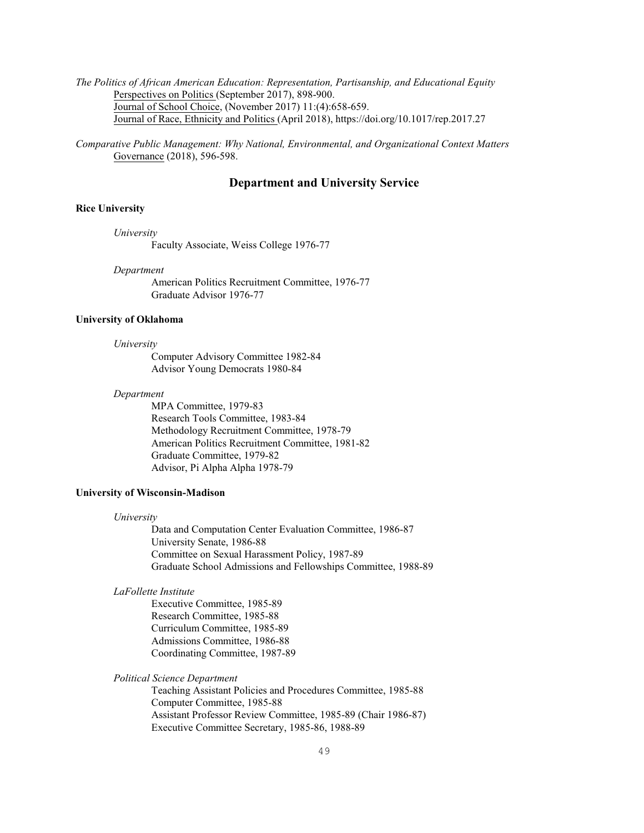*The Politics of African American Education: Representation, Partisanship, and Educational Equity* Perspectives on Politics (September 2017), 898-900. Journal of School Choice, (November 2017) 11:(4):658-659. Journal of Race, Ethnicity and Politics (April 2018), https://doi.org/10.1017/rep.2017.27

*Comparative Public Management: Why National, Environmental, and Organizational Context Matters* Governance (2018), 596-598.

### **Department and University Service**

### **Rice University**

*University*

Faculty Associate, Weiss College 1976-77

#### *Department*

American Politics Recruitment Committee, 1976-77 Graduate Advisor 1976-77

#### **University of Oklahoma**

*University* 

Computer Advisory Committee 1982-84 Advisor Young Democrats 1980-84

#### *Department*

MPA Committee, 1979-83 Research Tools Committee, 1983-84 Methodology Recruitment Committee, 1978-79 American Politics Recruitment Committee, 1981-82 Graduate Committee, 1979-82 Advisor, Pi Alpha Alpha 1978-79

### **University of Wisconsin-Madison**

#### *University*

Data and Computation Center Evaluation Committee, 1986-87 University Senate, 1986-88 Committee on Sexual Harassment Policy, 1987-89 Graduate School Admissions and Fellowships Committee, 1988-89

### *LaFollette Institute*

Executive Committee, 1985-89 Research Committee, 1985-88 Curriculum Committee, 1985-89 Admissions Committee, 1986-88 Coordinating Committee, 1987-89

### *Political Science Department*

Teaching Assistant Policies and Procedures Committee, 1985-88 Computer Committee, 1985-88 Assistant Professor Review Committee, 1985-89 (Chair 1986-87) Executive Committee Secretary, 1985-86, 1988-89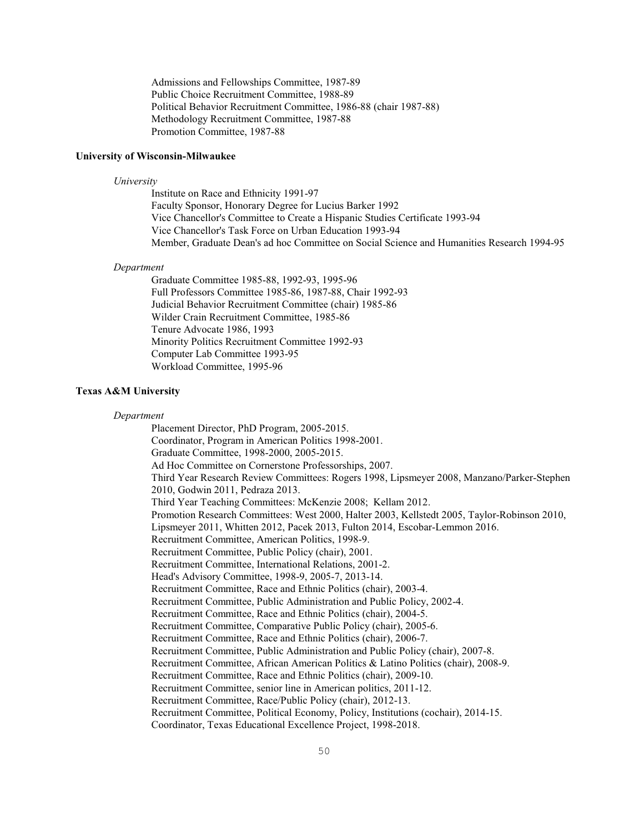Admissions and Fellowships Committee, 1987-89 Public Choice Recruitment Committee, 1988-89 Political Behavior Recruitment Committee, 1986-88 (chair 1987-88) Methodology Recruitment Committee, 1987-88 Promotion Committee, 1987-88

#### **University of Wisconsin-Milwaukee**

#### *University*

Institute on Race and Ethnicity 1991-97 Faculty Sponsor, Honorary Degree for Lucius Barker 1992 Vice Chancellor's Committee to Create a Hispanic Studies Certificate 1993-94 Vice Chancellor's Task Force on Urban Education 1993-94 Member, Graduate Dean's ad hoc Committee on Social Science and Humanities Research 1994-95

#### *Department*

Graduate Committee 1985-88, 1992-93, 1995-96 Full Professors Committee 1985-86, 1987-88, Chair 1992-93 Judicial Behavior Recruitment Committee (chair) 1985-86 Wilder Crain Recruitment Committee, 1985-86 Tenure Advocate 1986, 1993 Minority Politics Recruitment Committee 1992-93 Computer Lab Committee 1993-95 Workload Committee, 1995-96

#### **Texas A&M University**

#### *Department*

Placement Director, PhD Program, 2005-2015. Coordinator, Program in American Politics 1998-2001. Graduate Committee, 1998-2000, 2005-2015. Ad Hoc Committee on Cornerstone Professorships, 2007. Third Year Research Review Committees: Rogers 1998, Lipsmeyer 2008, Manzano/Parker-Stephen 2010, Godwin 2011, Pedraza 2013. Third Year Teaching Committees: McKenzie 2008; Kellam 2012. Promotion Research Committees: West 2000, Halter 2003, Kellstedt 2005, Taylor-Robinson 2010, Lipsmeyer 2011, Whitten 2012, Pacek 2013, Fulton 2014, Escobar-Lemmon 2016. Recruitment Committee, American Politics, 1998-9. Recruitment Committee, Public Policy (chair), 2001. Recruitment Committee, International Relations, 2001-2. Head's Advisory Committee, 1998-9, 2005-7, 2013-14. Recruitment Committee, Race and Ethnic Politics (chair), 2003-4. Recruitment Committee, Public Administration and Public Policy, 2002-4. Recruitment Committee, Race and Ethnic Politics (chair), 2004-5. Recruitment Committee, Comparative Public Policy (chair), 2005-6. Recruitment Committee, Race and Ethnic Politics (chair), 2006-7. Recruitment Committee, Public Administration and Public Policy (chair), 2007-8. Recruitment Committee, African American Politics & Latino Politics (chair), 2008-9. Recruitment Committee, Race and Ethnic Politics (chair), 2009-10. Recruitment Committee, senior line in American politics, 2011-12. Recruitment Committee, Race/Public Policy (chair), 2012-13. Recruitment Committee, Political Economy, Policy, Institutions (cochair), 2014-15. Coordinator, Texas Educational Excellence Project, 1998-2018.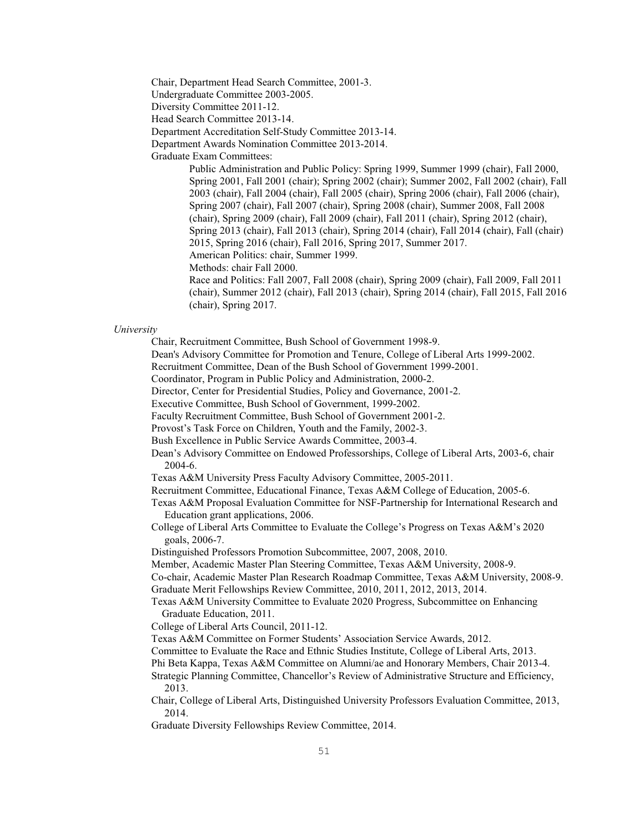Chair, Department Head Search Committee, 2001-3.

Undergraduate Committee 2003-2005.

Diversity Committee 2011-12.

Head Search Committee 2013-14.

Department Accreditation Self-Study Committee 2013-14.

Department Awards Nomination Committee 2013-2014.

Graduate Exam Committees:

Public Administration and Public Policy: Spring 1999, Summer 1999 (chair), Fall 2000, Spring 2001, Fall 2001 (chair); Spring 2002 (chair); Summer 2002, Fall 2002 (chair), Fall 2003 (chair), Fall 2004 (chair), Fall 2005 (chair), Spring 2006 (chair), Fall 2006 (chair), Spring 2007 (chair), Fall 2007 (chair), Spring 2008 (chair), Summer 2008, Fall 2008 (chair), Spring 2009 (chair), Fall 2009 (chair), Fall 2011 (chair), Spring 2012 (chair), Spring 2013 (chair), Fall 2013 (chair), Spring 2014 (chair), Fall 2014 (chair), Fall (chair) 2015, Spring 2016 (chair), Fall 2016, Spring 2017, Summer 2017.

American Politics: chair, Summer 1999.

Methods: chair Fall 2000.

Race and Politics: Fall 2007, Fall 2008 (chair), Spring 2009 (chair), Fall 2009, Fall 2011 (chair), Summer 2012 (chair), Fall 2013 (chair), Spring 2014 (chair), Fall 2015, Fall 2016 (chair), Spring 2017.

#### *University*

Chair, Recruitment Committee, Bush School of Government 1998-9.

Dean's Advisory Committee for Promotion and Tenure, College of Liberal Arts 1999-2002.

Recruitment Committee, Dean of the Bush School of Government 1999-2001.

Coordinator, Program in Public Policy and Administration, 2000-2.

Director, Center for Presidential Studies, Policy and Governance, 2001-2.

Executive Committee, Bush School of Government, 1999-2002.

Faculty Recruitment Committee, Bush School of Government 2001-2.

Provost's Task Force on Children, Youth and the Family, 2002-3.

Bush Excellence in Public Service Awards Committee, 2003-4.

Dean's Advisory Committee on Endowed Professorships, College of Liberal Arts, 2003-6, chair 2004-6.

Texas A&M University Press Faculty Advisory Committee, 2005-2011.

Recruitment Committee, Educational Finance, Texas A&M College of Education, 2005-6.

Texas A&M Proposal Evaluation Committee for NSF-Partnership for International Research and Education grant applications, 2006.

College of Liberal Arts Committee to Evaluate the College's Progress on Texas A&M's 2020 goals, 2006-7.

Distinguished Professors Promotion Subcommittee, 2007, 2008, 2010.

Member, Academic Master Plan Steering Committee, Texas A&M University, 2008-9.

Co-chair, Academic Master Plan Research Roadmap Committee, Texas A&M University, 2008-9. Graduate Merit Fellowships Review Committee, 2010, 2011, 2012, 2013, 2014.

Texas A&M University Committee to Evaluate 2020 Progress, Subcommittee on Enhancing Graduate Education, 2011.

College of Liberal Arts Council, 2011-12.

Texas A&M Committee on Former Students' Association Service Awards, 2012.

Committee to Evaluate the Race and Ethnic Studies Institute, College of Liberal Arts, 2013.

Phi Beta Kappa, Texas A&M Committee on Alumni/ae and Honorary Members, Chair 2013-4.

Strategic Planning Committee, Chancellor's Review of Administrative Structure and Efficiency, 2013.

Chair, College of Liberal Arts, Distinguished University Professors Evaluation Committee, 2013, 2014.

Graduate Diversity Fellowships Review Committee, 2014.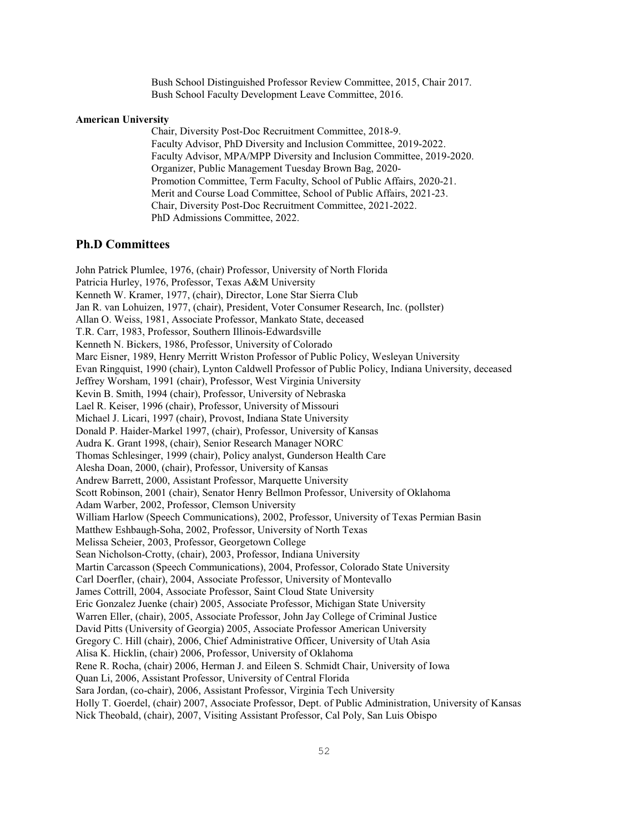Bush School Distinguished Professor Review Committee, 2015, Chair 2017. Bush School Faculty Development Leave Committee, 2016.

#### **American University**

Chair, Diversity Post-Doc Recruitment Committee, 2018-9. Faculty Advisor, PhD Diversity and Inclusion Committee, 2019-2022. Faculty Advisor, MPA/MPP Diversity and Inclusion Committee, 2019-2020. Organizer, Public Management Tuesday Brown Bag, 2020- Promotion Committee, Term Faculty, School of Public Affairs, 2020-21. Merit and Course Load Committee, School of Public Affairs, 2021-23. Chair, Diversity Post-Doc Recruitment Committee, 2021-2022. PhD Admissions Committee, 2022.

### **Ph.D Committees**

John Patrick Plumlee, 1976, (chair) Professor, University of North Florida Patricia Hurley, 1976, Professor, Texas A&M University Kenneth W. Kramer, 1977, (chair), Director, Lone Star Sierra Club Jan R. van Lohuizen, 1977, (chair), President, Voter Consumer Research, Inc. (pollster) Allan O. Weiss, 1981, Associate Professor, Mankato State, deceased T.R. Carr, 1983, Professor, Southern Illinois-Edwardsville Kenneth N. Bickers, 1986, Professor, University of Colorado Marc Eisner, 1989, Henry Merritt Wriston Professor of Public Policy, Wesleyan University Evan Ringquist, 1990 (chair), Lynton Caldwell Professor of Public Policy, Indiana University, deceased Jeffrey Worsham, 1991 (chair), Professor, West Virginia University Kevin B. Smith, 1994 (chair), Professor, University of Nebraska Lael R. Keiser, 1996 (chair), Professor, University of Missouri Michael J. Licari, 1997 (chair), Provost, Indiana State University Donald P. Haider-Markel 1997, (chair), Professor, University of Kansas Audra K. Grant 1998, (chair), Senior Research Manager NORC Thomas Schlesinger, 1999 (chair), Policy analyst, Gunderson Health Care Alesha Doan, 2000, (chair), Professor, University of Kansas Andrew Barrett, 2000, Assistant Professor, Marquette University Scott Robinson, 2001 (chair), Senator Henry Bellmon Professor, University of Oklahoma Adam Warber, 2002, Professor, Clemson University William Harlow (Speech Communications), 2002, Professor, University of Texas Permian Basin Matthew Eshbaugh-Soha, 2002, Professor, University of North Texas Melissa Scheier, 2003, Professor, Georgetown College Sean Nicholson-Crotty, (chair), 2003, Professor, Indiana University Martin Carcasson (Speech Communications), 2004, Professor, Colorado State University Carl Doerfler, (chair), 2004, Associate Professor, University of Montevallo James Cottrill, 2004, Associate Professor, Saint Cloud State University Eric Gonzalez Juenke (chair) 2005, Associate Professor, Michigan State University Warren Eller, (chair), 2005, Associate Professor, John Jay College of Criminal Justice David Pitts (University of Georgia) 2005, Associate Professor American University Gregory C. Hill (chair), 2006, Chief Administrative Officer, University of Utah Asia Alisa K. Hicklin, (chair) 2006, Professor, University of Oklahoma Rene R. Rocha, (chair) 2006, Herman J. and Eileen S. Schmidt Chair, University of Iowa Quan Li, 2006, Assistant Professor, University of Central Florida Sara Jordan, (co-chair), 2006, Assistant Professor, Virginia Tech University Holly T. Goerdel, (chair) 2007, Associate Professor, Dept. of Public Administration, University of Kansas Nick Theobald, (chair), 2007, Visiting Assistant Professor, Cal Poly, San Luis Obispo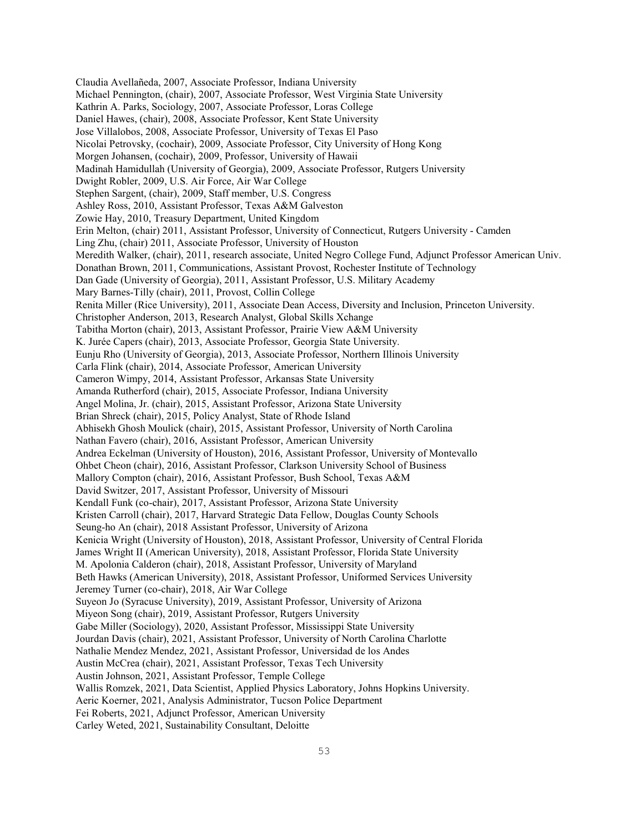Claudia Avellañeda, 2007, Associate Professor, Indiana University Michael Pennington, (chair), 2007, Associate Professor, West Virginia State University Kathrin A. Parks, Sociology, 2007, Associate Professor, Loras College Daniel Hawes, (chair), 2008, Associate Professor, Kent State University Jose Villalobos, 2008, Associate Professor, University of Texas El Paso Nicolai Petrovsky, (cochair), 2009, Associate Professor, City University of Hong Kong Morgen Johansen, (cochair), 2009, Professor, University of Hawaii Madinah Hamidullah (University of Georgia), 2009, Associate Professor, Rutgers University Dwight Robler, 2009, U.S. Air Force, Air War College Stephen Sargent, (chair), 2009, Staff member, U.S. Congress Ashley Ross, 2010, Assistant Professor, Texas A&M Galveston Zowie Hay, 2010, Treasury Department, United Kingdom Erin Melton, (chair) 2011, Assistant Professor, University of Connecticut, Rutgers University - Camden Ling Zhu, (chair) 2011, Associate Professor, University of Houston Meredith Walker, (chair), 2011, research associate, United Negro College Fund, Adjunct Professor American Univ. Donathan Brown, 2011, Communications, Assistant Provost, Rochester Institute of Technology Dan Gade (University of Georgia), 2011, Assistant Professor, U.S. Military Academy Mary Barnes-Tilly (chair), 2011, Provost, Collin College Renita Miller (Rice University), 2011, Associate Dean Access, Diversity and Inclusion, Princeton University. Christopher Anderson, 2013, Research Analyst, Global Skills Xchange Tabitha Morton (chair), 2013, Assistant Professor, Prairie View A&M University K. Jurée Capers (chair), 2013, Associate Professor, Georgia State University. Eunju Rho (University of Georgia), 2013, Associate Professor, Northern Illinois University Carla Flink (chair), 2014, Associate Professor, American University Cameron Wimpy, 2014, Assistant Professor, Arkansas State University Amanda Rutherford (chair), 2015, Associate Professor, Indiana University Angel Molina, Jr. (chair), 2015, Assistant Professor, Arizona State University Brian Shreck (chair), 2015, Policy Analyst, State of Rhode Island Abhisekh Ghosh Moulick (chair), 2015, Assistant Professor, University of North Carolina Nathan Favero (chair), 2016, Assistant Professor, American University Andrea Eckelman (University of Houston), 2016, Assistant Professor, University of Montevallo Ohbet Cheon (chair), 2016, Assistant Professor, Clarkson University School of Business Mallory Compton (chair), 2016, Assistant Professor, Bush School, Texas A&M David Switzer, 2017, Assistant Professor, University of Missouri Kendall Funk (co-chair), 2017, Assistant Professor, Arizona State University Kristen Carroll (chair), 2017, Harvard Strategic Data Fellow, Douglas County Schools Seung-ho An (chair), 2018 Assistant Professor, University of Arizona Kenicia Wright (University of Houston), 2018, Assistant Professor, University of Central Florida James Wright II (American University), 2018, Assistant Professor, Florida State University M. Apolonia Calderon (chair), 2018, Assistant Professor, University of Maryland Beth Hawks (American University), 2018, Assistant Professor, Uniformed Services University Jeremey Turner (co-chair), 2018, Air War College Suyeon Jo (Syracuse University), 2019, Assistant Professor, University of Arizona Miyeon Song (chair), 2019, Assistant Professor, Rutgers University Gabe Miller (Sociology), 2020, Assistant Professor, Mississippi State University Jourdan Davis (chair), 2021, Assistant Professor, University of North Carolina Charlotte Nathalie Mendez Mendez, 2021, Assistant Professor, Universidad de los Andes Austin McCrea (chair), 2021, Assistant Professor, Texas Tech University Austin Johnson, 2021, Assistant Professor, Temple College Wallis Romzek, 2021, Data Scientist, Applied Physics Laboratory, Johns Hopkins University. Aeric Koerner, 2021, Analysis Administrator, Tucson Police Department Fei Roberts, 2021, Adjunct Professor, American University Carley Weted, 2021, Sustainability Consultant, Deloitte